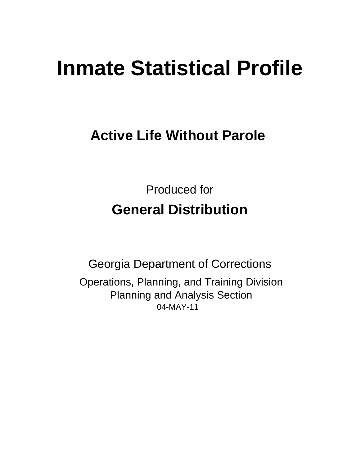# **Inmate Statistical Profile**

# **Active Life Without Parole**

**Produced for General Distribution** 

**Georgia Department of Corrections** Operations, Planning, and Training Division **Planning and Analysis Section** 04-MAY-11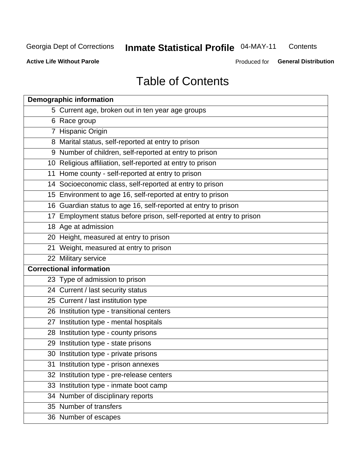#### **Inmate Statistical Profile 04-MAY-11** Contents

**Active Life Without Parole** 

Produced for General Distribution

# **Table of Contents**

| <b>Demographic information</b>                                       |
|----------------------------------------------------------------------|
| 5 Current age, broken out in ten year age groups                     |
| 6 Race group                                                         |
| 7 Hispanic Origin                                                    |
| 8 Marital status, self-reported at entry to prison                   |
| 9 Number of children, self-reported at entry to prison               |
| 10 Religious affiliation, self-reported at entry to prison           |
| 11 Home county - self-reported at entry to prison                    |
| 14 Socioeconomic class, self-reported at entry to prison             |
| 15 Environment to age 16, self-reported at entry to prison           |
| 16 Guardian status to age 16, self-reported at entry to prison       |
| 17 Employment status before prison, self-reported at entry to prison |
| 18 Age at admission                                                  |
| 20 Height, measured at entry to prison                               |
| 21 Weight, measured at entry to prison                               |
| 22 Military service                                                  |
| <b>Correctional information</b>                                      |
| 23 Type of admission to prison                                       |
| 24 Current / last security status                                    |
| 25 Current / last institution type                                   |
| 26 Institution type - transitional centers                           |
| 27 Institution type - mental hospitals                               |
| 28 Institution type - county prisons                                 |
| 29 Institution type - state prisons                                  |
| 30 Institution type - private prisons                                |
| 31 Institution type - prison annexes                                 |
| 32 Institution type - pre-release centers                            |
| 33 Institution type - inmate boot camp                               |
| 34 Number of disciplinary reports                                    |
| 35 Number of transfers                                               |
| 36 Number of escapes                                                 |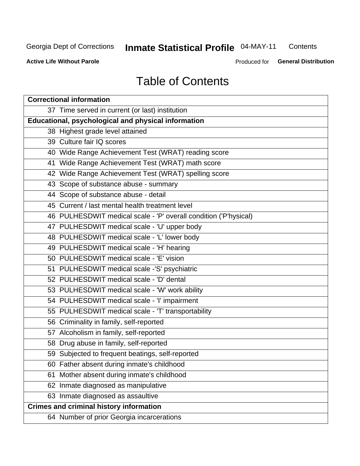# **Inmate Statistical Profile 04-MAY-11**

Contents

**Active Life Without Parole** 

Produced for General Distribution

# **Table of Contents**

| <b>Correctional information</b>                                  |  |  |  |  |  |  |  |
|------------------------------------------------------------------|--|--|--|--|--|--|--|
| 37 Time served in current (or last) institution                  |  |  |  |  |  |  |  |
| <b>Educational, psychological and physical information</b>       |  |  |  |  |  |  |  |
| 38 Highest grade level attained                                  |  |  |  |  |  |  |  |
| 39 Culture fair IQ scores                                        |  |  |  |  |  |  |  |
| 40 Wide Range Achievement Test (WRAT) reading score              |  |  |  |  |  |  |  |
| 41 Wide Range Achievement Test (WRAT) math score                 |  |  |  |  |  |  |  |
| 42 Wide Range Achievement Test (WRAT) spelling score             |  |  |  |  |  |  |  |
| 43 Scope of substance abuse - summary                            |  |  |  |  |  |  |  |
| 44 Scope of substance abuse - detail                             |  |  |  |  |  |  |  |
| 45 Current / last mental health treatment level                  |  |  |  |  |  |  |  |
| 46 PULHESDWIT medical scale - 'P' overall condition ('P'hysical) |  |  |  |  |  |  |  |
| 47 PULHESDWIT medical scale - 'U' upper body                     |  |  |  |  |  |  |  |
| 48 PULHESDWIT medical scale - 'L' lower body                     |  |  |  |  |  |  |  |
| 49 PULHESDWIT medical scale - 'H' hearing                        |  |  |  |  |  |  |  |
| 50 PULHESDWIT medical scale - 'E' vision                         |  |  |  |  |  |  |  |
| 51 PULHESDWIT medical scale -'S' psychiatric                     |  |  |  |  |  |  |  |
| 52 PULHESDWIT medical scale - 'D' dental                         |  |  |  |  |  |  |  |
| 53 PULHESDWIT medical scale - 'W' work ability                   |  |  |  |  |  |  |  |
| 54 PULHESDWIT medical scale - 'I' impairment                     |  |  |  |  |  |  |  |
| 55 PULHESDWIT medical scale - 'T' transportability               |  |  |  |  |  |  |  |
| 56 Criminality in family, self-reported                          |  |  |  |  |  |  |  |
| 57 Alcoholism in family, self-reported                           |  |  |  |  |  |  |  |
| 58 Drug abuse in family, self-reported                           |  |  |  |  |  |  |  |
| 59 Subjected to frequent beatings, self-reported                 |  |  |  |  |  |  |  |
| 60 Father absent during inmate's childhood                       |  |  |  |  |  |  |  |
| Mother absent during inmate's childhood<br>61                    |  |  |  |  |  |  |  |
| 62 Inmate diagnosed as manipulative                              |  |  |  |  |  |  |  |
| 63 Inmate diagnosed as assaultive                                |  |  |  |  |  |  |  |
| <b>Crimes and criminal history information</b>                   |  |  |  |  |  |  |  |
| 64 Number of prior Georgia incarcerations                        |  |  |  |  |  |  |  |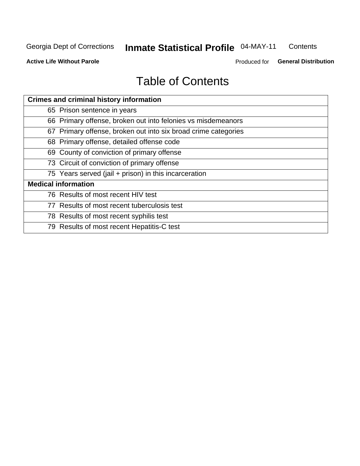#### **Inmate Statistical Profile 04-MAY-11** Contents

**Active Life Without Parole** 

Produced for General Distribution

# **Table of Contents**

| <b>Crimes and criminal history information</b>                 |
|----------------------------------------------------------------|
| 65 Prison sentence in years                                    |
| 66 Primary offense, broken out into felonies vs misdemeanors   |
| 67 Primary offense, broken out into six broad crime categories |
| 68 Primary offense, detailed offense code                      |
| 69 County of conviction of primary offense                     |
| 73 Circuit of conviction of primary offense                    |
| 75 Years served (jail + prison) in this incarceration          |
| <b>Medical information</b>                                     |
| 76 Results of most recent HIV test                             |
| 77 Results of most recent tuberculosis test                    |
| 78 Results of most recent syphilis test                        |
| 79 Results of most recent Hepatitis-C test                     |
|                                                                |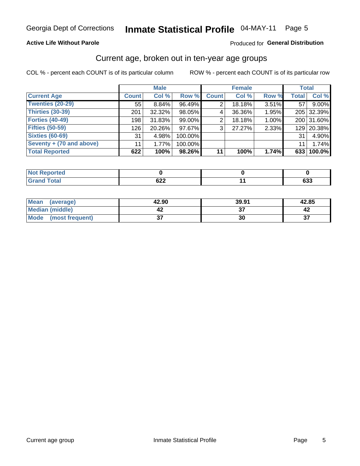### Inmate Statistical Profile 04-MAY-11 Page 5

### **Active Life Without Parole**

### Produced for General Distribution

### Current age, broken out in ten-year age groups

COL % - percent each COUNT is of its particular column

|                          |              | <b>Male</b> |         |                | <b>Female</b> |       |              | <b>Total</b> |
|--------------------------|--------------|-------------|---------|----------------|---------------|-------|--------------|--------------|
| <b>Current Age</b>       | <b>Count</b> | Col %       | Row %   | <b>Count</b>   | Col %         | Row % | <b>Total</b> | Col %        |
| Twenties (20-29)         | 55           | $8.84\%$    | 96.49%  |                | 18.18%        | 3.51% | 57           | 9.00%        |
| Thirties (30-39)         | 201          | 32.32%      | 98.05%  | 4              | 36.36%        | 1.95% |              | 205 32.39%   |
| <b>Forties (40-49)</b>   | 198          | 31.83%      | 99.00%  | $\overline{2}$ | 18.18%        | 1.00% |              | 200 31.60%   |
| <b>Fifties (50-59)</b>   | 126          | 20.26%      | 97.67%  | 3 <sup>1</sup> | 27.27%        | 2.33% |              | 129 20.38%   |
| <b>Sixties (60-69)</b>   | 31           | 4.98%       | 100.00% |                |               |       | 31           | 4.90%        |
| Seventy + (70 and above) | 11           | 1.77%       | 100.00% |                |               |       | 11           | 1.74%        |
| <b>Total Reported</b>    | 622          | 100%        | 98.26%  | 11             | 100%          | 1.74% |              | 633 100.0%   |

| <b>Reported</b><br>NOT<br>$\sim$                |                   |            |
|-------------------------------------------------|-------------------|------------|
| $f \circ f \circ f$<br>υιαι<br>$\mathbf{v}$ and | coc<br><b>DZZ</b> | cos<br>ნაა |

| Mean<br>(average)       | 42.90   | 39.91 | 42.85         |
|-------------------------|---------|-------|---------------|
| <b>Median (middle)</b>  |         |       |               |
| Mode<br>(most frequent) | ^<br>J1 | 30    | $\sim$<br>، پ |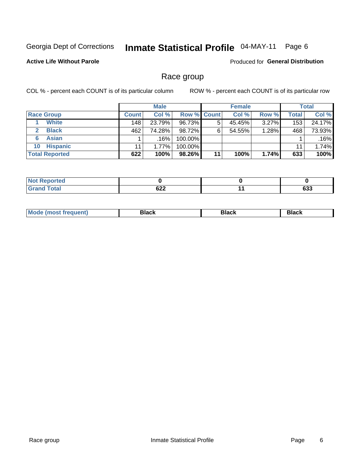#### Inmate Statistical Profile 04-MAY-11 Page 6

### **Active Life Without Parole**

Produced for General Distribution

### Race group

COL % - percent each COUNT is of its particular column

|                       |              | <b>Male</b> |             |    | <b>Female</b> |          |       | <b>Total</b> |
|-----------------------|--------------|-------------|-------------|----|---------------|----------|-------|--------------|
| <b>Race Group</b>     | <b>Count</b> | Col%        | Row % Count |    | Col%          | Row %    | Total | Col %        |
| <b>White</b>          | 148          | 23.79%      | 96.73%      | 5  | 45.45%        | $3.27\%$ | 153   | 24.17%       |
| <b>Black</b>          | 462          | 74.28%      | 98.72%      | 6  | 54.55%        | 1.28%    | 468   | 73.93%       |
| <b>Asian</b><br>6     |              | $.16\%$     | 100.00%     |    |               |          |       | .16%         |
| <b>Hispanic</b><br>10 | 11           | $1.77\%$    | 100.00%     |    |               |          | 11    | 1.74%        |
| <b>Total Reported</b> | 622          | 100%        | 98.26%      | 11 | 100%          | 1.74%    | 633   | 100%         |

| $f$ atal                    | coo | $ -$ | $\sim$ |
|-----------------------------|-----|------|--------|
| $\sim$ $\sim$ $\sim$ $\sim$ | ◡▵▴ |      | ნაა    |

| Mc | Black | <b>Black</b> | DIAAL |
|----|-------|--------------|-------|
|    |       |              | DIACK |
|    |       |              |       |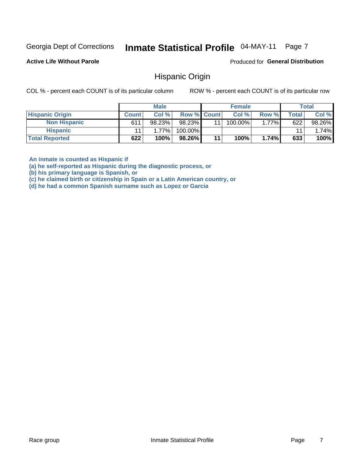#### Inmate Statistical Profile 04-MAY-11 Page 7

**Active Life Without Parole** 

Produced for General Distribution

### **Hispanic Origin**

COL % - percent each COUNT is of its particular column

ROW % - percent each COUNT is of its particular row

|                        |              | <b>Male</b> |                    |                 | <b>Female</b> |       |       | <b>Total</b> |
|------------------------|--------------|-------------|--------------------|-----------------|---------------|-------|-------|--------------|
| <b>Hispanic Origin</b> | <b>Count</b> | Col %       | <b>Row % Count</b> |                 | Col %         | Row % | Total | Col %        |
| <b>Non Hispanic</b>    | 611          | 98.23%      | 98.23%             | 11 <sub>1</sub> | 100.00%       | 1.77% | 622   | 98.26%       |
| <b>Hispanic</b>        |              | 1.77%       | 100.00%            |                 |               |       | 11    | $1.74\%$     |
| <b>Total Reported</b>  | 622          | 100%        | 98.26%             | 11              | 100%          | 1.74% | 633   | 100%         |

An inmate is counted as Hispanic if

(a) he self-reported as Hispanic during the diagnostic process, or

(b) his primary language is Spanish, or

(c) he claimed birth or citizenship in Spain or a Latin American country, or

(d) he had a common Spanish surname such as Lopez or Garcia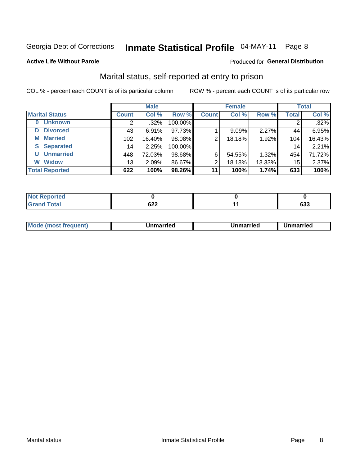### Inmate Statistical Profile 04-MAY-11 Page 8

### **Active Life Without Parole**

#### Produced for General Distribution

### Marital status, self-reported at entry to prison

COL % - percent each COUNT is of its particular column

|                            | <b>Male</b>     |         |         | <b>Female</b> |        |        | <b>Total</b> |        |
|----------------------------|-----------------|---------|---------|---------------|--------|--------|--------------|--------|
| <b>Marital Status</b>      | <b>Count</b>    | Col %   | Row %   | <b>Count</b>  | Col %  | Row %  | <b>Total</b> | Col %  |
| <b>Unknown</b><br>$\bf{0}$ |                 | $.32\%$ | 100.00% |               |        |        | 2            | .32%   |
| <b>Divorced</b><br>D       | 43              | 6.91%   | 97.73%  |               | 9.09%  | 2.27%  | 44           | 6.95%  |
| <b>Married</b><br>М        | 102             | 16.40%  | 98.08%  | 2             | 18.18% | 1.92%  | 104          | 16.43% |
| <b>Separated</b><br>S      | 14 <sub>1</sub> | 2.25%   | 100.00% |               |        |        | 14           | 2.21%  |
| <b>Unmarried</b><br>U      | 448             | 72.03%  | 98.68%  | 6             | 54.55% | 1.32%  | 454          | 71.72% |
| <b>Widow</b><br>W          | 13              | 2.09%   | 86.67%  | ⌒             | 18.18% | 13.33% | 15           | 2.37%  |
| <b>Total Reported</b>      | 622             | 100%    | 98.26%  | 11            | 100%   | 1.74%  | 633          | 100%   |

| rtea<br>NO |            |               |
|------------|------------|---------------|
| υιαι       | cos<br>υ∠∠ | $\sim$<br>ხაა |

|  | M | . | Unmarried | າmarried<br>_____ |
|--|---|---|-----------|-------------------|
|--|---|---|-----------|-------------------|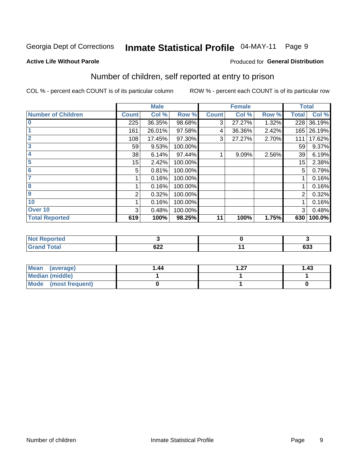### Inmate Statistical Profile 04-MAY-11 Page 9

#### **Active Life Without Parole**

### **Produced for General Distribution**

### Number of children, self reported at entry to prison

COL % - percent each COUNT is of its particular column

|                           |              | <b>Male</b> |         |              | <b>Female</b> |       | <b>Total</b> |        |
|---------------------------|--------------|-------------|---------|--------------|---------------|-------|--------------|--------|
| <b>Number of Children</b> | <b>Count</b> | Col %       | Row %   | <b>Count</b> | Col %         | Row % | Total        | Col %  |
| $\bf{0}$                  | 225          | 36.35%      | 98.68%  | 3            | 27.27%        | 1.32% | 228          | 36.19% |
|                           | 161          | 26.01%      | 97.58%  | 4            | 36.36%        | 2.42% | 165          | 26.19% |
| $\overline{2}$            | 108          | 17.45%      | 97.30%  | 3            | 27.27%        | 2.70% | 111          | 17.62% |
| 3                         | 59           | 9.53%       | 100.00% |              |               |       | 59           | 9.37%  |
| 4                         | 38           | 6.14%       | 97.44%  |              | 9.09%         | 2.56% | 39           | 6.19%  |
| 5                         | 15           | 2.42%       | 100.00% |              |               |       | 15           | 2.38%  |
| $6\phantom{1}6$           | 5            | 0.81%       | 100.00% |              |               |       | 5            | 0.79%  |
| 7                         |              | 0.16%       | 100.00% |              |               |       |              | 0.16%  |
| 8                         |              | 0.16%       | 100.00% |              |               |       |              | 0.16%  |
| 9                         | 2            | 0.32%       | 100.00% |              |               |       | 2            | 0.32%  |
| 10                        |              | 0.16%       | 100.00% |              |               |       |              | 0.16%  |
| Over 10                   | 3            | 0.48%       | 100.00% |              |               |       | 3            | 0.48%  |
| <b>Total Reported</b>     | 619          | 100%        | 98.25%  | 11           | 100%          | 1.75% | 630          | 100.0% |

| neo       |     |            |
|-----------|-----|------------|
| المقماد   |     | <b>000</b> |
| $- \cdot$ | ◡∠∠ | ნაა        |

| Mean<br>(average)       | 1.44 | ົາ7 | 1.43 |
|-------------------------|------|-----|------|
| Median (middle)         |      |     |      |
| Mode<br>(most frequent) |      |     |      |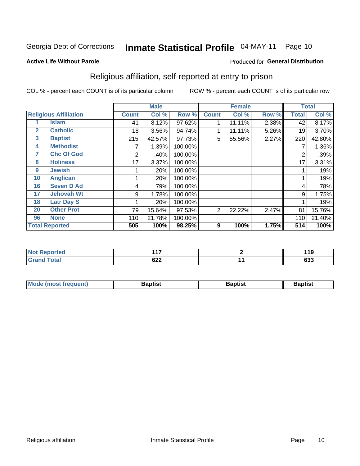#### Inmate Statistical Profile 04-MAY-11 Page 10

#### **Active Life Without Parole**

### Produced for General Distribution

### Religious affiliation, self-reported at entry to prison

COL % - percent each COUNT is of its particular column

|                |                              | <b>Male</b>  |        |         | <b>Female</b>  |        |       | <b>Total</b>   |        |
|----------------|------------------------------|--------------|--------|---------|----------------|--------|-------|----------------|--------|
|                | <b>Religious Affiliation</b> | <b>Count</b> | Col %  | Row %   | <b>Count</b>   | Col %  | Row % | <b>Total</b>   | Col %  |
|                | <b>Islam</b>                 | 41           | 8.12%  | 97.62%  |                | 11.11% | 2.38% | 42             | 8.17%  |
| $\overline{2}$ | <b>Catholic</b>              | 18           | 3.56%  | 94.74%  |                | 11.11% | 5.26% | 19             | 3.70%  |
| 3              | <b>Baptist</b>               | 215          | 42.57% | 97.73%  | 5              | 55.56% | 2.27% | 220            | 42.80% |
| 4              | <b>Methodist</b>             |              | 1.39%  | 100.00% |                |        |       |                | 1.36%  |
| 7              | <b>Chc Of God</b>            | 2            | .40%   | 100.00% |                |        |       | $\overline{2}$ | .39%   |
| 8              | <b>Holiness</b>              | 17           | 3.37%  | 100.00% |                |        |       | 17             | 3.31%  |
| 9              | <b>Jewish</b>                |              | .20%   | 100.00% |                |        |       |                | .19%   |
| 10             | <b>Anglican</b>              |              | .20%   | 100.00% |                |        |       |                | .19%   |
| 16             | <b>Seven D Ad</b>            | 4            | .79%   | 100.00% |                |        |       | 4              | .78%   |
| 17             | <b>Jehovah Wt</b>            | 9            | 1.78%  | 100.00% |                |        |       | 9              | 1.75%  |
| 18             | <b>Latr Day S</b>            |              | .20%   | 100.00% |                |        |       |                | .19%   |
| 20             | <b>Other Prot</b>            | 79           | 15.64% | 97.53%  | $\overline{2}$ | 22.22% | 2.47% | 81             | 15.76% |
| 96             | <b>None</b>                  | 110          | 21.78% | 100.00% |                |        |       | 110            | 21.40% |
|                | <b>Total Reported</b>        | 505          | 100%   | 98.25%  | 9              | 100%   | 1.75% | 514            | 100%   |

| ported<br><b>NOT</b><br><b>NGL</b> | .          | 11 O<br>- 10 |
|------------------------------------|------------|--------------|
| <b>otal</b><br>$\sim$              | ດາາ<br>◡∠∠ | 633          |

| Mode (most frequent) | 3aptist | .      | Baptist |
|----------------------|---------|--------|---------|
|                      |         | 'DIIS. |         |
|                      |         |        |         |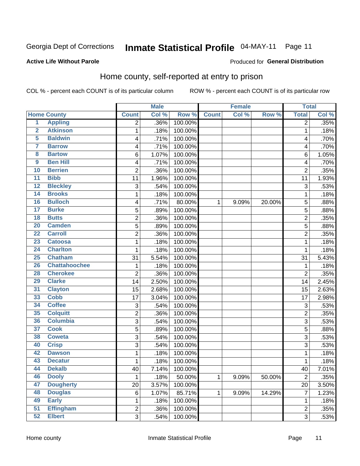#### Inmate Statistical Profile 04-MAY-11 Page 11

### **Active Life Without Parole**

### **Produced for General Distribution**

### Home county, self-reported at entry to prison

COL % - percent each COUNT is of its particular column

|                         |                      |                | <b>Male</b> |         |              | <b>Female</b> |        | <b>Total</b>   |       |
|-------------------------|----------------------|----------------|-------------|---------|--------------|---------------|--------|----------------|-------|
|                         | <b>Home County</b>   | <b>Count</b>   | Col %       | Row %   | <b>Count</b> | Col %         | Row %  | <b>Total</b>   | Col % |
| $\overline{1}$          | <b>Appling</b>       | 2              | .36%        | 100.00% |              |               |        | $\overline{2}$ | .35%  |
| $\overline{2}$          | <b>Atkinson</b>      | 1              | .18%        | 100.00% |              |               |        | 1              | .18%  |
| 5                       | <b>Baldwin</b>       | 4              | .71%        | 100.00% |              |               |        | 4              | .70%  |
| 7                       | <b>Barrow</b>        | 4              | .71%        | 100.00% |              |               |        | 4              | .70%  |
| $\overline{\mathbf{8}}$ | <b>Bartow</b>        | 6              | 1.07%       | 100.00% |              |               |        | 6              | 1.05% |
| $\boldsymbol{9}$        | <b>Ben Hill</b>      | 4              | .71%        | 100.00% |              |               |        | 4              | .70%  |
| 10                      | <b>Berrien</b>       | $\overline{2}$ | .36%        | 100.00% |              |               |        | $\overline{2}$ | .35%  |
| 11                      | <b>Bibb</b>          | 11             | 1.96%       | 100.00% |              |               |        | 11             | 1.93% |
| $\overline{12}$         | <b>Bleckley</b>      | 3              | .54%        | 100.00% |              |               |        | 3              | .53%  |
| 14                      | <b>Brooks</b>        | 1              | .18%        | 100.00% |              |               |        | 1              | .18%  |
| 16                      | <b>Bulloch</b>       | 4              | .71%        | 80.00%  | 1            | 9.09%         | 20.00% | 5              | .88%  |
| 17                      | <b>Burke</b>         | 5              | .89%        | 100.00% |              |               |        | 5              | .88%  |
| $\overline{18}$         | <b>Butts</b>         | $\overline{2}$ | .36%        | 100.00% |              |               |        | $\overline{2}$ | .35%  |
| 20                      | <b>Camden</b>        | 5              | .89%        | 100.00% |              |               |        | 5              | .88%  |
| $\overline{22}$         | <b>Carroll</b>       | $\overline{2}$ | .36%        | 100.00% |              |               |        | $\overline{2}$ | .35%  |
| 23                      | <b>Catoosa</b>       | 1              | .18%        | 100.00% |              |               |        | 1              | .18%  |
| $\overline{24}$         | <b>Charlton</b>      | 1              | .18%        | 100.00% |              |               |        | 1              | .18%  |
| 25                      | <b>Chatham</b>       | 31             | 5.54%       | 100.00% |              |               |        | 31             | 5.43% |
| 26                      | <b>Chattahoochee</b> | 1              | .18%        | 100.00% |              |               |        | 1              | .18%  |
| 28                      | <b>Cherokee</b>      | 2              | .36%        | 100.00% |              |               |        | $\overline{2}$ | .35%  |
| 29                      | <b>Clarke</b>        | 14             | 2.50%       | 100.00% |              |               |        | 14             | 2.45% |
| 31                      | <b>Clayton</b>       | 15             | 2.68%       | 100.00% |              |               |        | 15             | 2.63% |
| 33                      | <b>Cobb</b>          | 17             | 3.04%       | 100.00% |              |               |        | 17             | 2.98% |
| 34                      | <b>Coffee</b>        | 3              | .54%        | 100.00% |              |               |        | 3              | .53%  |
| 35                      | <b>Colquitt</b>      | 2              | .36%        | 100.00% |              |               |        | $\overline{2}$ | .35%  |
| 36                      | <b>Columbia</b>      | 3              | .54%        | 100.00% |              |               |        | 3              | .53%  |
| $\overline{37}$         | <b>Cook</b>          | $\overline{5}$ | .89%        | 100.00% |              |               |        | 5              | .88%  |
| 38                      | <b>Coweta</b>        | 3              | .54%        | 100.00% |              |               |        | 3              | .53%  |
| 40                      | <b>Crisp</b>         | 3              | .54%        | 100.00% |              |               |        | 3              | .53%  |
| 42                      | <b>Dawson</b>        | 1              | .18%        | 100.00% |              |               |        | 1              | .18%  |
| 43                      | <b>Decatur</b>       | 1              | .18%        | 100.00% |              |               |        | 1              | .18%  |
| 44                      | <b>Dekalb</b>        | 40             | 7.14%       | 100.00% |              |               |        | 40             | 7.01% |
| 46                      | <b>Dooly</b>         | 1              | .18%        | 50.00%  | 1            | 9.09%         | 50.00% | $\overline{2}$ | .35%  |
| 47                      | <b>Dougherty</b>     | 20             | 3.57%       | 100.00% |              |               |        | 20             | 3.50% |
| 48                      | <b>Douglas</b>       | 6              | 1.07%       | 85.71%  | 1            | 9.09%         | 14.29% | 7              | 1.23% |
| 49                      | <b>Early</b>         | 1              | .18%        | 100.00% |              |               |        | 1              | .18%  |
| 51                      | <b>Effingham</b>     | $\overline{c}$ | .36%        | 100.00% |              |               |        | 2              | .35%  |
| 52                      | <b>Elbert</b>        | 3              | .54%        | 100.00% |              |               |        | $\overline{3}$ | .53%  |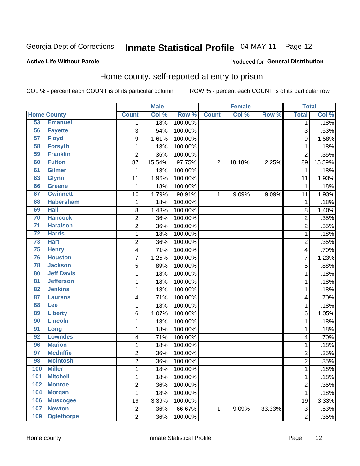# Inmate Statistical Profile 04-MAY-11 Page 12

### **Active Life Without Parole**

### **Produced for General Distribution**

### Home county, self-reported at entry to prison

COL % - percent each COUNT is of its particular column

|                 |                    |                         | <b>Male</b> |         |                | <b>Female</b> |        | <b>Total</b>   |        |
|-----------------|--------------------|-------------------------|-------------|---------|----------------|---------------|--------|----------------|--------|
|                 | <b>Home County</b> | <b>Count</b>            | Col %       | Row %   | <b>Count</b>   | Col %         | Row %  | <b>Total</b>   | Col %  |
| 53              | <b>Emanuel</b>     | 1                       | .18%        | 100.00% |                |               |        | 1              | .18%   |
| 56              | <b>Fayette</b>     | 3                       | .54%        | 100.00% |                |               |        | 3              | .53%   |
| 57              | <b>Floyd</b>       | 9                       | 1.61%       | 100.00% |                |               |        | 9              | 1.58%  |
| 58              | <b>Forsyth</b>     | 1                       | .18%        | 100.00% |                |               |        | 1              | .18%   |
| 59              | <b>Franklin</b>    | $\overline{2}$          | .36%        | 100.00% |                |               |        | $\overline{2}$ | .35%   |
| 60              | <b>Fulton</b>      | 87                      | 15.54%      | 97.75%  | $\overline{2}$ | 18.18%        | 2.25%  | 89             | 15.59% |
| 61              | <b>Gilmer</b>      | $\mathbf 1$             | .18%        | 100.00% |                |               |        | 1              | .18%   |
| 63              | <b>Glynn</b>       | 11                      | 1.96%       | 100.00% |                |               |        | 11             | 1.93%  |
| 66              | <b>Greene</b>      | 1                       | .18%        | 100.00% |                |               |        | 1              | .18%   |
| 67              | <b>Gwinnett</b>    | 10                      | 1.79%       | 90.91%  | $\mathbf{1}$   | 9.09%         | 9.09%  | 11             | 1.93%  |
| 68              | <b>Habersham</b>   | $\mathbf 1$             | .18%        | 100.00% |                |               |        | 1              | .18%   |
| 69              | <b>Hall</b>        | 8                       | 1.43%       | 100.00% |                |               |        | 8              | 1.40%  |
| 70              | <b>Hancock</b>     | $\overline{c}$          | .36%        | 100.00% |                |               |        | $\overline{2}$ | .35%   |
| $\overline{71}$ | <b>Haralson</b>    | $\overline{2}$          | .36%        | 100.00% |                |               |        | $\overline{2}$ | .35%   |
| $\overline{72}$ | <b>Harris</b>      | $\mathbf 1$             | .18%        | 100.00% |                |               |        | 1              | .18%   |
| $\overline{73}$ | <b>Hart</b>        | $\overline{c}$          | .36%        | 100.00% |                |               |        | $\overline{2}$ | .35%   |
| 75              | <b>Henry</b>       | 4                       | .71%        | 100.00% |                |               |        | 4              | .70%   |
| 76              | <b>Houston</b>     | $\overline{7}$          | 1.25%       | 100.00% |                |               |        | 7              | 1.23%  |
| 78              | <b>Jackson</b>     | 5                       | .89%        | 100.00% |                |               |        | 5              | .88%   |
| 80              | <b>Jeff Davis</b>  | $\mathbf 1$             | .18%        | 100.00% |                |               |        | 1              | .18%   |
| $\overline{81}$ | <b>Jefferson</b>   | $\mathbf 1$             | .18%        | 100.00% |                |               |        | 1              | .18%   |
| 82              | <b>Jenkins</b>     | $\mathbf{1}$            | .18%        | 100.00% |                |               |        | 1              | .18%   |
| 87              | <b>Laurens</b>     | 4                       | .71%        | 100.00% |                |               |        | 4              | .70%   |
| 88              | <b>Lee</b>         | $\mathbf{1}$            | .18%        | 100.00% |                |               |        | 1              | .18%   |
| 89              | <b>Liberty</b>     | 6                       | 1.07%       | 100.00% |                |               |        | 6              | 1.05%  |
| 90              | <b>Lincoln</b>     | $\mathbf{1}$            | .18%        | 100.00% |                |               |        | 1              | .18%   |
| 91              | Long               | $\mathbf 1$             | .18%        | 100.00% |                |               |        | 1              | .18%   |
| 92              | <b>Lowndes</b>     | 4                       | .71%        | 100.00% |                |               |        | 4              | .70%   |
| 96              | <b>Marion</b>      | $\mathbf 1$             | .18%        | 100.00% |                |               |        | 1              | .18%   |
| 97              | <b>Mcduffie</b>    | $\overline{\mathbf{c}}$ | .36%        | 100.00% |                |               |        | $\overline{c}$ | .35%   |
| 98              | <b>Mcintosh</b>    | $\overline{2}$          | .36%        | 100.00% |                |               |        | $\overline{2}$ | .35%   |
| 100             | <b>Miller</b>      | 1                       | .18%        | 100.00% |                |               |        | 1              | .18%   |
| 101             | <b>Mitchell</b>    | $\mathbf 1$             | .18%        | 100.00% |                |               |        | 1              | .18%   |
| 102             | <b>Monroe</b>      | $\overline{\mathbf{c}}$ | .36%        | 100.00% |                |               |        | $\overline{c}$ | .35%   |
| 104             | <b>Morgan</b>      | $\mathbf{1}$            | .18%        | 100.00% |                |               |        | $\mathbf 1$    | .18%   |
| 106             | <b>Muscogee</b>    | 19                      | 3.39%       | 100.00% |                |               |        | 19             | 3.33%  |
| 107             | <b>Newton</b>      | $\overline{c}$          | .36%        | 66.67%  | $\mathbf{1}$   | 9.09%         | 33.33% | 3              | .53%   |
| 109             | <b>Oglethorpe</b>  | $\overline{2}$          | .36%        | 100.00% |                |               |        | $\overline{2}$ | .35%   |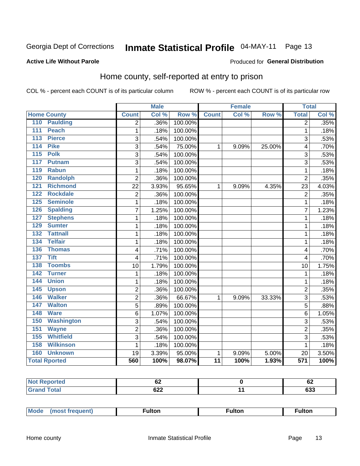### Inmate Statistical Profile 04-MAY-11 Page 13

### **Active Life Without Parole**

### **Produced for General Distribution**

### Home county, self-reported at entry to prison

COL % - percent each COUNT is of its particular column

|                       |                   | <b>Male</b>      |       |         | <b>Female</b>   |       | <b>Total</b> |                  |       |
|-----------------------|-------------------|------------------|-------|---------|-----------------|-------|--------------|------------------|-------|
| <b>Home County</b>    |                   | <b>Count</b>     | Col % | Row %   | <b>Count</b>    | Col % | Row %        | <b>Total</b>     | Col % |
| 110                   | <b>Paulding</b>   | $\overline{2}$   | .36%  | 100.00% |                 |       |              | $\overline{2}$   | .35%  |
| <b>Peach</b><br>111   |                   | 1                | .18%  | 100.00% |                 |       |              | 1                | .18%  |
| <b>Pierce</b><br>113  |                   | 3                | .54%  | 100.00% |                 |       |              | 3                | .53%  |
| <b>Pike</b><br>114    |                   | 3                | .54%  | 75.00%  | 1               | 9.09% | 25.00%       | 4                | .70%  |
| 115<br><b>Polk</b>    |                   | 3                | .54%  | 100.00% |                 |       |              | 3                | .53%  |
| 117                   | <b>Putnam</b>     | 3                | .54%  | 100.00% |                 |       |              | 3                | .53%  |
| 119                   | <b>Rabun</b>      | 1                | .18%  | 100.00% |                 |       |              | 1                | .18%  |
| 120                   | <b>Randolph</b>   | $\overline{2}$   | .36%  | 100.00% |                 |       |              | $\overline{2}$   | .35%  |
| 121                   | <b>Richmond</b>   | 22               | 3.93% | 95.65%  | $\mathbf{1}$    | 9.09% | 4.35%        | 23               | 4.03% |
| 122                   | <b>Rockdale</b>   | $\overline{c}$   | .36%  | 100.00% |                 |       |              | $\overline{2}$   | .35%  |
| 125                   | <b>Seminole</b>   | 1                | .18%  | 100.00% |                 |       |              | 1                | .18%  |
| 126                   | <b>Spalding</b>   | 7                | 1.25% | 100.00% |                 |       |              | 7                | 1.23% |
| 127                   | <b>Stephens</b>   | 1                | .18%  | 100.00% |                 |       |              | 1                | .18%  |
| 129                   | <b>Sumter</b>     | 1                | .18%  | 100.00% |                 |       |              | 1                | .18%  |
| 132                   | <b>Tattnall</b>   | 1                | .18%  | 100.00% |                 |       |              | 1                | .18%  |
| <b>Telfair</b><br>134 |                   | $\mathbf{1}$     | .18%  | 100.00% |                 |       |              | 1                | .18%  |
| 136                   | <b>Thomas</b>     | 4                | .71%  | 100.00% |                 |       |              | 4                | .70%  |
| <b>Tift</b><br>137    |                   | 4                | .71%  | 100.00% |                 |       |              | $\overline{4}$   | .70%  |
| 138                   | <b>Toombs</b>     | 10               | 1.79% | 100.00% |                 |       |              | 10               | 1.75% |
| 142                   | <b>Turner</b>     | $\mathbf{1}$     | .18%  | 100.00% |                 |       |              | $\mathbf 1$      | .18%  |
| <b>Union</b><br>144   |                   | $\mathbf{1}$     | .18%  | 100.00% |                 |       |              | 1                | .18%  |
| 145<br><b>Upson</b>   |                   | $\overline{2}$   | .36%  | 100.00% |                 |       |              | $\overline{2}$   | .35%  |
| 146                   | <b>Walker</b>     | $\boldsymbol{2}$ | .36%  | 66.67%  | 1               | 9.09% | 33.33%       | 3                | .53%  |
| 147                   | <b>Walton</b>     | 5                | .89%  | 100.00% |                 |       |              | 5                | .88%  |
| 148<br><b>Ware</b>    |                   | 6                | 1.07% | 100.00% |                 |       |              | 6                | 1.05% |
| 150                   | <b>Washington</b> | 3                | .54%  | 100.00% |                 |       |              | 3                | .53%  |
| 151                   | <b>Wayne</b>      | $\overline{2}$   | .36%  | 100.00% |                 |       |              | $\overline{2}$   | .35%  |
| 155                   | <b>Whitfield</b>  | 3                | .54%  | 100.00% |                 |       |              | 3                | .53%  |
| 158                   | <b>Wilkinson</b>  | 1                | .18%  | 100.00% |                 |       |              | 1                | .18%  |
| 160                   | <b>Unknown</b>    | 19               | 3.39% | 95.00%  | 1               | 9.09% | 5.00%        | 20               | 3.50% |
| <b>Total Rported</b>  |                   | 560              | 100%  | 98.07%  | $\overline{11}$ | 100%  | 1.93%        | $\overline{571}$ | 100%  |

| eported: | - -<br>UŁ | -<br>- ס∡     |
|----------|-----------|---------------|
| Total    | ◡∠∠       | $\sim$<br>ნაა |

| <b>Mode</b> | ⊺ulton | <b>ulton</b> | ultor |  |
|-------------|--------|--------------|-------|--|
|-------------|--------|--------------|-------|--|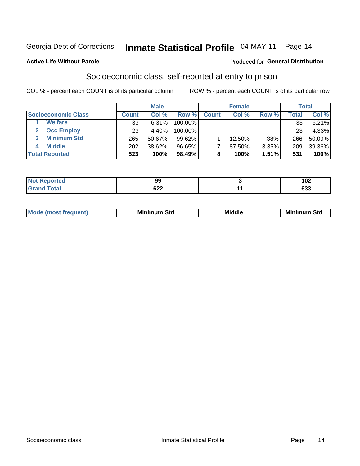### Inmate Statistical Profile 04-MAY-11 Page 14

#### **Active Life Without Parole**

### **Produced for General Distribution**

### Socioeconomic class, self-reported at entry to prison

COL % - percent each COUNT is of its particular column

|                       |              | <b>Male</b> |           |              | <b>Female</b> |       |        | <b>Total</b> |
|-----------------------|--------------|-------------|-----------|--------------|---------------|-------|--------|--------------|
| Socioeconomic Class   | <b>Count</b> | Col %       | Row %     | <b>Count</b> | Col %         | Row % | Total, | Col %        |
| <b>Welfare</b>        | 33           | 6.31%       | 100.00%   |              |               |       | 33     | 6.21%        |
| <b>Occ Employ</b>     | 23           | 4.40%       | 100.00%   |              |               |       | 23     | 4.33%        |
| <b>Minimum Std</b>    | 265          | 50.67%      | $99.62\%$ |              | $12.50\%$     | .38%  | 266    | 50.09%       |
| <b>Middle</b>         | 202          | 38.62%      | 96.65%    |              | 87.50%        | 3.35% | 209    | 39.36%       |
| <b>Total Reported</b> | 523          | 100%        | 98.49%    |              | 100%          | 1.51% | 531    | 100%         |

| 99                | $\sqrt{2}$<br>I VŁ |
|-------------------|--------------------|
| coo<br><b>DZZ</b> | <b>000</b><br>ნაა  |

|  | Mo | Minin<br>Std<br>$- - - -$ | <b>Middle</b> | Min<br>Std<br>. |
|--|----|---------------------------|---------------|-----------------|
|--|----|---------------------------|---------------|-----------------|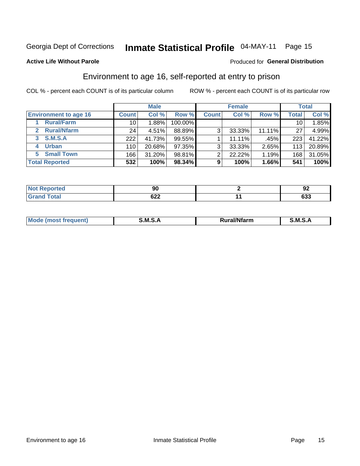### Inmate Statistical Profile 04-MAY-11 Page 15

### **Active Life Without Parole**

### Produced for General Distribution

### Environment to age 16, self-reported at entry to prison

COL % - percent each COUNT is of its particular column

|                              |                 | <b>Male</b> |         |              | <b>Female</b> |        |       | <b>Total</b> |
|------------------------------|-----------------|-------------|---------|--------------|---------------|--------|-------|--------------|
| <b>Environment to age 16</b> | <b>Count</b>    | Col %       | Row %   | <b>Count</b> | Col %         | Row %  | Total | Col %        |
| <b>Rural/Farm</b>            | 10 <sup>1</sup> | 1.88%       | 100.00% |              |               |        | 10    | 1.85%        |
| <b>Rural/Nfarm</b>           | 24              | 4.51%       | 88.89%  | 3            | 33.33%        | 11.11% | 27    | 4.99%        |
| S.M.S.A<br>3                 | 222             | 41.73%      | 99.55%  |              | 11.11%        | .45%   | 223   | 41.22%       |
| <b>Urban</b><br>4            | 110             | 20.68%      | 97.35%  | 3            | 33.33%        | 2.65%  | 113   | 20.89%       |
| <b>Small Town</b><br>5       | 166             | 31.20%      | 98.81%  | ົ            | 22.22%        | 1.19%  | 168   | 31.05%       |
| <b>Total Reported</b>        | 532             | 100%        | 98.34%  | 9            | 100%          | 1.66%  | 541   | 100%         |

| Reported<br>NOT.<br>$\sim$ | ״<br>Ju           | ~<br>◡            |
|----------------------------|-------------------|-------------------|
| <b>Total</b>               | coo<br><b>ULL</b> | <b>000</b><br>ნაა |

| Mo | M<br>______ | <b>17516</b><br><b>Ifarm</b><br>. | -<br>M<br>_____ |
|----|-------------|-----------------------------------|-----------------|
|    |             |                                   |                 |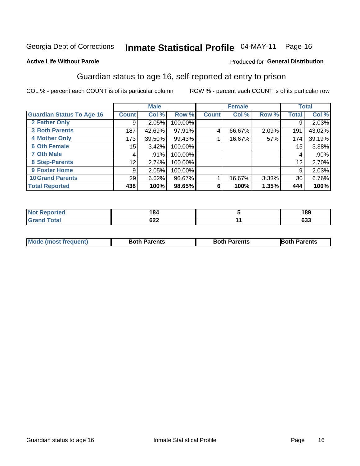# Inmate Statistical Profile 04-MAY-11 Page 16

### **Active Life Without Parole**

### Produced for General Distribution

### Guardian status to age 16, self-reported at entry to prison

COL % - percent each COUNT is of its particular column

|                                  |              | <b>Male</b> |         |              | <b>Female</b> |       |              | <b>Total</b> |
|----------------------------------|--------------|-------------|---------|--------------|---------------|-------|--------------|--------------|
| <b>Guardian Status To Age 16</b> | <b>Count</b> | Col %       | Row %   | <b>Count</b> | Col %         | Row % | <b>Total</b> | Col %        |
| 2 Father Only                    | 9            | 2.05%       | 100.00% |              |               |       | 9            | 2.03%        |
| <b>3 Both Parents</b>            | 187          | 42.69%      | 97.91%  | 4            | 66.67%        | 2.09% | 191          | 43.02%       |
| <b>4 Mother Only</b>             | 173          | 39.50%      | 99.43%  |              | 16.67%        | .57%  | 174          | 39.19%       |
| <b>6 Oth Female</b>              | 15           | 3.42%       | 100.00% |              |               |       | 15           | 3.38%        |
| <b>7 Oth Male</b>                | 4            | .91%        | 100.00% |              |               |       | 4            | $.90\%$      |
| 8 Step-Parents                   | 12           | 2.74%       | 100.00% |              |               |       | 12           | 2.70%        |
| 9 Foster Home                    | 9            | 2.05%       | 100.00% |              |               |       | 9            | 2.03%        |
| <b>10 Grand Parents</b>          | 29           | 6.62%       | 96.67%  |              | 16.67%        | 3.33% | 30           | 6.76%        |
| <b>Total Reported</b>            | 438          | 100%        | 98.65%  | 6            | 100%          | 1.35% | 444          | 100%         |

| <b>Not Reported</b><br>⋯ | 184        | 189       |
|--------------------------|------------|-----------|
| Total                    | cog<br>02Z | ົາ<br>ნაა |

| <b>Mode (most frequent)</b> | <b>Both Parents</b> | <b>Both Parents</b> | <b>Both Parents</b> |
|-----------------------------|---------------------|---------------------|---------------------|
|                             |                     |                     |                     |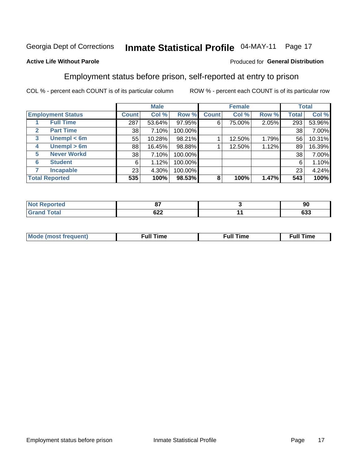#### Inmate Statistical Profile 04-MAY-11 Page 17

### **Active Life Without Parole**

### Produced for General Distribution

### Employment status before prison, self-reported at entry to prison

COL % - percent each COUNT is of its particular column

|                                  |         | <b>Male</b> |         |              | <b>Female</b> |       |       | <b>Total</b> |
|----------------------------------|---------|-------------|---------|--------------|---------------|-------|-------|--------------|
| <b>Employment Status</b>         | Count l | Col %       | Row %   | <b>Count</b> | Col %         | Row % | Total | Col %        |
| <b>Full Time</b>                 | 287     | 53.64%      | 97.95%  | 6            | 75.00%        | 2.05% | 293   | 53.96%       |
| <b>Part Time</b><br>$\mathbf{2}$ | 38      | 7.10%       | 100.00% |              |               |       | 38    | 7.00%        |
| Unempl $<$ 6m<br>3               | 55      | 10.28%      | 98.21%  |              | 12.50%        | 1.79% | 56    | 10.31%       |
| Unempl > 6m<br>4                 | 88      | 16.45%      | 98.88%  |              | 12.50%        | 1.12% | 89    | 16.39%       |
| <b>Never Workd</b><br>5          | 38      | 7.10%       | 100.00% |              |               |       | 38    | 7.00%        |
| <b>Student</b><br>6              | 6       | 1.12%       | 100.00% |              |               |       | 6     | 1.10%        |
| <b>Incapable</b>                 | 23      | 4.30%       | 100.00% |              |               |       | 23    | 4.24%        |
| <b>Total Reported</b>            | 535     | 100%        | 98.53%  | 8            | 100%          | 1.47% | 543   | 100%         |

| те о                  | ~-<br>     | 90                |
|-----------------------|------------|-------------------|
| $f \wedge f \wedge f$ | ດາາ<br>92Z | <b>000</b><br>ნაა |

| Mc | ∴ull | ----<br>ıme<br>w |
|----|------|------------------|
|    |      |                  |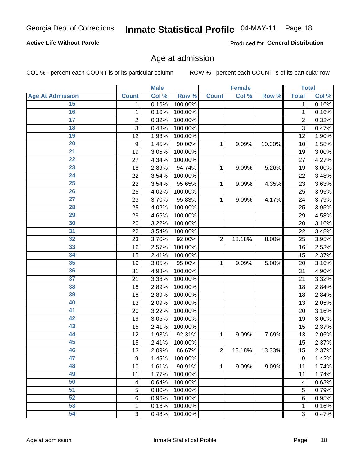# Inmate Statistical Profile 04-MAY-11 Page 18

### **Active Life Without Parole**

Produced for General Distribution

### Age at admission

COL % - percent each COUNT is of its particular column

|                         |                | <b>Male</b> |         |                | <b>Female</b> |        |                | <b>Total</b> |
|-------------------------|----------------|-------------|---------|----------------|---------------|--------|----------------|--------------|
| <b>Age At Admission</b> | <b>Count</b>   | Col %       | Row %   | <b>Count</b>   | Col %         | Row %  | <b>Total</b>   | Col %        |
| 15                      | 1              | 0.16%       | 100.00% |                |               |        | 1              | 0.16%        |
| 16                      | 1              | 0.16%       | 100.00% |                |               |        | 1              | 0.16%        |
| $\overline{17}$         | $\overline{c}$ | 0.32%       | 100.00% |                |               |        | $\overline{2}$ | 0.32%        |
| 18                      | 3              | 0.48%       | 100.00% |                |               |        | 3              | 0.47%        |
| 19                      | 12             | 1.93%       | 100.00% |                |               |        | 12             | 1.90%        |
| $\overline{20}$         | 9              | 1.45%       | 90.00%  | 1              | 9.09%         | 10.00% | 10             | 1.58%        |
| $\overline{21}$         | 19             | 3.05%       | 100.00% |                |               |        | 19             | 3.00%        |
| 22                      | 27             | 4.34%       | 100.00% |                |               |        | 27             | 4.27%        |
| $\overline{23}$         | 18             | 2.89%       | 94.74%  | 1              | 9.09%         | 5.26%  | 19             | 3.00%        |
| $\overline{24}$         | 22             | 3.54%       | 100.00% |                |               |        | 22             | 3.48%        |
| $\overline{25}$         | 22             | 3.54%       | 95.65%  | 1              | 9.09%         | 4.35%  | 23             | 3.63%        |
| 26                      | 25             | 4.02%       | 100.00% |                |               |        | 25             | 3.95%        |
| $\overline{27}$         | 23             | 3.70%       | 95.83%  | 1              | 9.09%         | 4.17%  | 24             | 3.79%        |
| 28                      | 25             | 4.02%       | 100.00% |                |               |        | 25             | 3.95%        |
| 29                      | 29             | 4.66%       | 100.00% |                |               |        | 29             | 4.58%        |
| 30                      | 20             | 3.22%       | 100.00% |                |               |        | 20             | 3.16%        |
| 31                      | 22             | 3.54%       | 100.00% |                |               |        | 22             | 3.48%        |
| 32                      | 23             | 3.70%       | 92.00%  | $\overline{2}$ | 18.18%        | 8.00%  | 25             | 3.95%        |
| 33                      | 16             | 2.57%       | 100.00% |                |               |        | 16             | 2.53%        |
| 34                      | 15             | 2.41%       | 100.00% |                |               |        | 15             | 2.37%        |
| 35                      | 19             | 3.05%       | 95.00%  | 1              | 9.09%         | 5.00%  | 20             | 3.16%        |
| 36                      | 31             | 4.98%       | 100.00% |                |               |        | 31             | 4.90%        |
| $\overline{37}$         | 21             | 3.38%       | 100.00% |                |               |        | 21             | 3.32%        |
| 38                      | 18             | 2.89%       | 100.00% |                |               |        | 18             | 2.84%        |
| 39                      | 18             | 2.89%       | 100.00% |                |               |        | 18             | 2.84%        |
| 40                      | 13             | 2.09%       | 100.00% |                |               |        | 13             | 2.05%        |
| 41                      | 20             | 3.22%       | 100.00% |                |               |        | 20             | 3.16%        |
| 42                      | 19             | 3.05%       | 100.00% |                |               |        | 19             | 3.00%        |
| 43                      | 15             | 2.41%       | 100.00% |                |               |        | 15             | 2.37%        |
| 44                      | 12             | 1.93%       | 92.31%  | 1              | 9.09%         | 7.69%  | 13             | 2.05%        |
| 45                      | 15             | 2.41%       | 100.00% |                |               |        | 15             | 2.37%        |
| 46                      | 13             | 2.09%       | 86.67%  | $\overline{2}$ | 18.18%        | 13.33% | 15             | 2.37%        |
| 47                      | 9              | 1.45%       | 100.00% |                |               |        | 9              | 1.42%        |
| 48                      | 10             | 1.61%       | 90.91%  | 1              | 9.09%         | 9.09%  | 11             | 1.74%        |
| 49                      | 11             | 1.77%       | 100.00% |                |               |        | 11             | 1.74%        |
| 50                      | 4              | 0.64%       | 100.00% |                |               |        | 4              | 0.63%        |
| $\overline{51}$         | 5              | 0.80%       | 100.00% |                |               |        | 5              | 0.79%        |
| 52                      | 6              | 0.96%       | 100.00% |                |               |        | 6              | 0.95%        |
| 53                      | 1              | 0.16%       | 100.00% |                |               |        | 1              | 0.16%        |
| 54                      | 3              | 0.48%       | 100.00% |                |               |        | 3              | 0.47%        |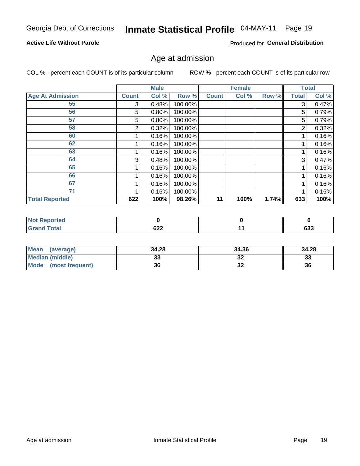# Inmate Statistical Profile 04-MAY-11 Page 19

### **Active Life Without Parole**

Produced for General Distribution

### Age at admission

COL % - percent each COUNT is of its particular column

|                         |              | <b>Male</b> |         |              | <b>Female</b> |       |              | <b>Total</b> |
|-------------------------|--------------|-------------|---------|--------------|---------------|-------|--------------|--------------|
| <b>Age At Admission</b> | <b>Count</b> | Col %       | Row %   | <b>Count</b> | Col %         | Row % | <b>Total</b> | Col %        |
| 55                      | 3            | 0.48%       | 100.00% |              |               |       | 3            | 0.47%        |
| 56                      | 5            | 0.80%       | 100.00% |              |               |       | 5            | 0.79%        |
| 57                      | 5            | 0.80%       | 100.00% |              |               |       | 5            | 0.79%        |
| 58                      | 2            | 0.32%       | 100.00% |              |               |       | 2            | 0.32%        |
| 60                      |              | 0.16%       | 100.00% |              |               |       |              | 0.16%        |
| 62                      |              | 0.16%       | 100.00% |              |               |       |              | 0.16%        |
| 63                      |              | 0.16%       | 100.00% |              |               |       |              | 0.16%        |
| 64                      | 3            | 0.48%       | 100.00% |              |               |       | 3            | 0.47%        |
| 65                      |              | 0.16%       | 100.00% |              |               |       |              | 0.16%        |
| 66                      |              | 0.16%       | 100.00% |              |               |       |              | 0.16%        |
| 67                      |              | 0.16%       | 100.00% |              |               |       |              | 0.16%        |
| 71                      |              | 0.16%       | 100.00% |              |               |       |              | 0.16%        |
| <b>Total Reported</b>   | 622          | 100%        | 98.26%  | 11           | 100%          | 1.74% | 633          | 100%         |

| orted<br>N. |            |        |
|-------------|------------|--------|
| <b>otal</b> | $\sim$     | $\sim$ |
| _____       | <u>UZZ</u> | ნაა    |

| Mean<br>(average)              | 34.28 | 34.36    | 34.28    |
|--------------------------------|-------|----------|----------|
| <b>Median (middle)</b>         | ົ     | ົ<br>-34 | າາ<br>نە |
| <b>Mode</b><br>(most frequent) | 36    | ^^<br>JZ | 36       |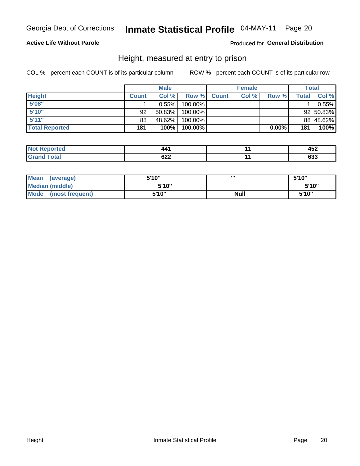#### Inmate Statistical Profile 04-MAY-11 Page 20

### **Active Life Without Parole**

Produced for General Distribution

### Height, measured at entry to prison

COL % - percent each COUNT is of its particular column

|                       |              | <b>Male</b> |         |              | <b>Female</b> |       |       | Total     |
|-----------------------|--------------|-------------|---------|--------------|---------------|-------|-------|-----------|
| <b>Height</b>         | <b>Count</b> | Col%        | Row %   | <b>Count</b> | Col %         | Row % | Total | Col %     |
| 5'08''                |              | $0.55\%$    | 100.00% |              |               |       |       | 0.55%     |
| 5'10''                | 92           | 50.83%      | 100.00% |              |               |       |       | 92 50.83% |
| 5'11''                | 88           | 48.62%      | 100.00% |              |               |       |       | 88 48.62% |
| <b>Total Reported</b> | 181          | 100%        | 100.00% |              |               | 0.00% | 181   | 100%      |

| <b>Not</b><br>∖rted<br>eno |     | $\overline{ }$<br>−J∠<br>$\sim$ $\sim$ $\sim$ |
|----------------------------|-----|-----------------------------------------------|
| <b>Total</b>               | coo | coo                                           |
| <b>Grand</b>               | uzz | თა                                            |

| <b>Mean</b><br>(average)       | 5'10'' | ш           | 5'10" |
|--------------------------------|--------|-------------|-------|
| <b>Median (middle)</b>         | 5'10"  |             | 5'10" |
| <b>Mode</b><br>(most frequent) | 5'10'' | <b>Null</b> | 5'10" |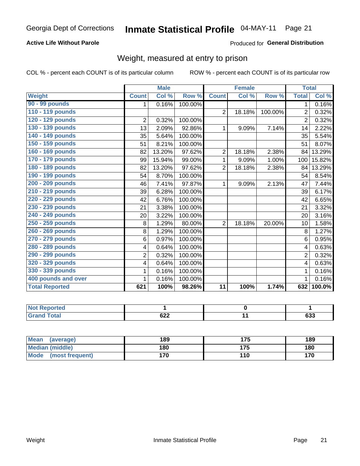#### Inmate Statistical Profile 04-MAY-11 Page 21

### **Active Life Without Parole**

### Produced for General Distribution

### Weight, measured at entry to prison

COL % - percent each COUNT is of its particular column

|                       |                         | <b>Male</b> |         |                 | <b>Female</b> |         |                | <b>Total</b>               |
|-----------------------|-------------------------|-------------|---------|-----------------|---------------|---------|----------------|----------------------------|
| <b>Weight</b>         | <b>Count</b>            | Col %       | Row %   | <b>Count</b>    | Col %         | Row %   | <b>Total</b>   | $\overline{\text{Col }\%}$ |
| 90 - 99 pounds        | 1                       | 0.16%       | 100.00% |                 |               |         | 1.             | 0.16%                      |
| 110 - 119 pounds      |                         |             |         | $\overline{2}$  | 18.18%        | 100.00% | $\overline{2}$ | 0.32%                      |
| 120 - 129 pounds      | $\overline{2}$          | 0.32%       | 100.00% |                 |               |         | $\overline{2}$ | 0.32%                      |
| 130 - 139 pounds      | 13                      | 2.09%       | 92.86%  | 1               | 9.09%         | 7.14%   | 14             | 2.22%                      |
| 140 - 149 pounds      | 35                      | 5.64%       | 100.00% |                 |               |         | 35             | 5.54%                      |
| 150 - 159 pounds      | 51                      | 8.21%       | 100.00% |                 |               |         | 51             | 8.07%                      |
| 160 - 169 pounds      | 82                      | 13.20%      | 97.62%  | $\overline{2}$  | 18.18%        | 2.38%   | 84             | 13.29%                     |
| 170 - 179 pounds      | 99                      | 15.94%      | 99.00%  | 1               | 9.09%         | 1.00%   | 100            | 15.82%                     |
| 180 - 189 pounds      | 82                      | 13.20%      | 97.62%  | $\overline{2}$  | 18.18%        | 2.38%   | 84             | 13.29%                     |
| 190 - 199 pounds      | 54                      | 8.70%       | 100.00% |                 |               |         | 54             | 8.54%                      |
| 200 - 209 pounds      | 46                      | 7.41%       | 97.87%  | 1               | 9.09%         | 2.13%   | 47             | 7.44%                      |
| 210 - 219 pounds      | 39                      | 6.28%       | 100.00% |                 |               |         | 39             | 6.17%                      |
| 220 - 229 pounds      | 42                      | 6.76%       | 100.00% |                 |               |         | 42             | 6.65%                      |
| 230 - 239 pounds      | 21                      | 3.38%       | 100.00% |                 |               |         | 21             | 3.32%                      |
| 240 - 249 pounds      | 20                      | 3.22%       | 100.00% |                 |               |         | 20             | 3.16%                      |
| 250 - 259 pounds      | 8                       | 1.29%       | 80.00%  | $\overline{2}$  | 18.18%        | 20.00%  | 10             | 1.58%                      |
| 260 - 269 pounds      | 8                       | 1.29%       | 100.00% |                 |               |         | 8              | 1.27%                      |
| 270 - 279 pounds      | 6                       | 0.97%       | 100.00% |                 |               |         | 6              | 0.95%                      |
| 280 - 289 pounds      | $\overline{\mathbf{4}}$ | 0.64%       | 100.00% |                 |               |         | $\overline{4}$ | 0.63%                      |
| 290 - 299 pounds      | $\overline{2}$          | 0.32%       | 100.00% |                 |               |         | $\overline{2}$ | 0.32%                      |
| 320 - 329 pounds      | $\overline{\mathbf{4}}$ | 0.64%       | 100.00% |                 |               |         | 4              | 0.63%                      |
| 330 - 339 pounds      | 1                       | 0.16%       | 100.00% |                 |               |         | 1              | 0.16%                      |
| 400 pounds and over   | 1                       | 0.16%       | 100.00% |                 |               |         | 1              | 0.16%                      |
| <b>Total Reported</b> | 621                     | 100%        | 98.26%  | $\overline{11}$ | 100%          | 1.74%   | 632            | 100.0%                     |

| <b>Not Reported</b>              |            |            |
|----------------------------------|------------|------------|
| <b>Total</b><br>'Grand<br>$\sim$ | coo<br>◡▵▴ | coo<br>ნაა |

| <b>Mean</b><br>(average)       | 189 |     | 189 |
|--------------------------------|-----|-----|-----|
| <b>Median (middle)</b>         | 180 | 175 | 180 |
| <b>Mode</b><br>(most frequent) | 170 | 110 | 170 |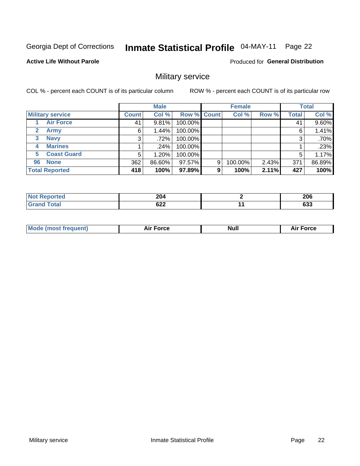#### Inmate Statistical Profile 04-MAY-11 Page 22

#### **Active Life Without Parole**

Produced for General Distribution

### Military service

COL % - percent each COUNT is of its particular column

|                             |              | <b>Male</b> |             |   | <b>Female</b> |       |              | <b>Total</b> |
|-----------------------------|--------------|-------------|-------------|---|---------------|-------|--------------|--------------|
| <b>Military service</b>     | <b>Count</b> | Col %       | Row % Count |   | Col %         | Row % | <b>Total</b> | Col %        |
| <b>Air Force</b>            | 41           | 9.81%       | 100.00%     |   |               |       | 41           | 9.60%        |
| $\mathbf{2}$<br><b>Army</b> | 6            | 1.44%       | 100.00%     |   |               |       | 6            | 1.41%        |
| <b>Navy</b><br>3            | 3            | .72%        | 100.00%     |   |               |       | 3            | .70%         |
| <b>Marines</b><br>4         |              | $.24\%$     | 100.00%     |   |               |       |              | .23%         |
| <b>Coast Guard</b><br>5.    | 5            | $1.20\%$    | 100.00%     |   |               |       | 5            | 1.17%        |
| <b>None</b><br>96           | 362          | 86.60%      | 97.57%      | 9 | 100.00%       | 2.43% | 371          | 86.89%       |
| <b>Total Reported</b>       | 418          | 100%        | 97.89%      | 9 | 100%          | 2.11% | 427          | 100%         |

| <b>orted</b> | 204<br>$\sim$ $\sim$ | 206               |
|--------------|----------------------|-------------------|
| Гоtal        | 622                  | <b>000</b><br>დაა |

| <b>Null</b><br><b>Force</b> |
|-----------------------------|
|-----------------------------|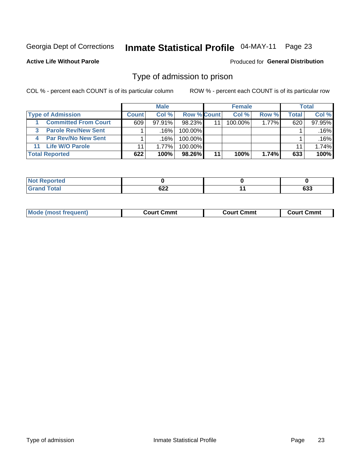#### Inmate Statistical Profile 04-MAY-11 Page 23

**Active Life Without Parole** 

Produced for General Distribution

### Type of admission to prison

COL % - percent each COUNT is of its particular column

|                                 |              | <b>Male</b> |             |    | <b>Female</b> |          |                  | Total  |
|---------------------------------|--------------|-------------|-------------|----|---------------|----------|------------------|--------|
| <b>Type of Admission</b>        | <b>Count</b> | Col%        | Row % Count |    | Col%          | Row %    | Total            | Col %  |
| <b>Committed From Court</b>     | 609          | $97.91\%$   | $98.23\%$   | 11 | 100.00%       | $1.77\%$ | 620 <sub>1</sub> | 97.95% |
| <b>Parole Rev/New Sent</b>      |              | .16%        | 100.00%     |    |               |          |                  | .16%   |
| <b>Par Rev/No New Sent</b><br>4 |              | ا 16%.      | 100.00%     |    |               |          |                  | .16%   |
| <b>Life W/O Parole</b><br>11    |              | $1.77\%$    | $100.00\%$  |    |               |          | 11               | 1.74%  |
| <b>Total Reported</b>           | 622          | 100%        | 98.26%      | 11 | 100%          | 1.74%    | 633              | 100%   |

| <b>orted</b>                       |                                                            |     |               |
|------------------------------------|------------------------------------------------------------|-----|---------------|
| $f \circ f \circ f$<br><b>C.A.</b> | $\sim$<br>0ZZ<br>$\sim$ $\sim$ $\sim$ $\sim$ $\sim$ $\sim$ | . . | $\sim$<br>ნაა |

| <b>Mode (most frequent)</b><br>Court Cmmt<br>Court Cmmt<br>Court Cmmt |
|-----------------------------------------------------------------------|
|-----------------------------------------------------------------------|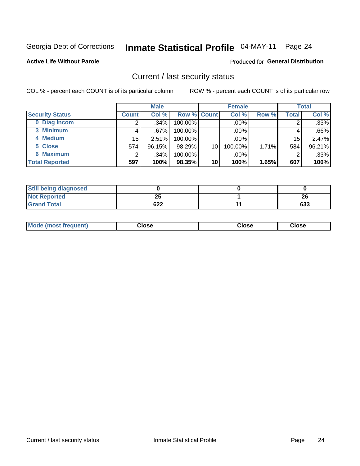### Inmate Statistical Profile 04-MAY-11 Page 24

**Active Life Without Parole** 

#### Produced for General Distribution

### Current / last security status

COL % - percent each COUNT is of its particular column

|                        |              | <b>Male</b> |             |    | <b>Female</b> |       |       | <b>Total</b> |
|------------------------|--------------|-------------|-------------|----|---------------|-------|-------|--------------|
| <b>Security Status</b> | <b>Count</b> | Col %       | Row % Count |    | Col %         | Row % | Total | Col %        |
| 0 Diag Incom           |              | .34%        | 100.00%     |    | .00%          |       |       | .33%         |
| 3 Minimum              |              | .67%        | $100.00\%$  |    | .00%          |       |       | .66%         |
| 4 Medium               | 15           | 2.51%       | 100.00%     |    | .00%          |       | 15    | 2.47%        |
| 5 Close                | 574          | 96.15%      | 98.29%      | 10 | 100.00%       | 1.71% | 584   | 96.21%       |
| 6 Maximum              | ◠            | .34%        | 100.00%     |    | .00%          |       | 2     | .33%         |
| <b>Total Reported</b>  | 597          | 100%        | 98.35%      | 10 | 100%          | 1.65% | 607   | 100%         |

| <b>Still being diagnosed</b> |     |     |
|------------------------------|-----|-----|
| <b>Not Reported</b>          | 25  | 26  |
| <b>Grand Total</b>           | 622 | 633 |

| Mode (most<br><b>Close</b><br>Close<br>Close<br>frequent) |
|-----------------------------------------------------------|
|-----------------------------------------------------------|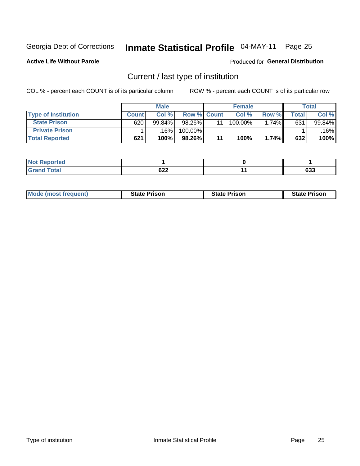### Inmate Statistical Profile 04-MAY-11 Page 25

**Active Life Without Parole** 

Produced for General Distribution

### Current / last type of institution

COL % - percent each COUNT is of its particular column

|                            |       | <b>Male</b> |                    | <b>Female</b> |       |                          | <b>Total</b> |
|----------------------------|-------|-------------|--------------------|---------------|-------|--------------------------|--------------|
| <b>Type of Institution</b> | Count | Col %       | <b>Row % Count</b> | Col %         | Row % | $\mathsf{Total}_{\perp}$ | Col %        |
| <b>State Prison</b>        | 620   | 99.84%      | 98.26%             | 100.00%       | 1.74% | 631                      | 99.84%       |
| <b>Private Prison</b>      |       | 16%         | 100.00%            |               |       |                          | $.16\%$      |
| <b>Total Reported</b>      | 621   | 100%        | 98.26%             | 100%          | 1.74% | 632                      | 100%         |

| rtea    |                      |               |
|---------|----------------------|---------------|
| $m + n$ | $\sim$<br><b>VZZ</b> | $\sim$<br>ნაა |

| <b>Mode (most frequent)</b> | <b>State Prison</b> | <b>State Prison</b> | <b>State Prison</b> |
|-----------------------------|---------------------|---------------------|---------------------|
|                             |                     |                     |                     |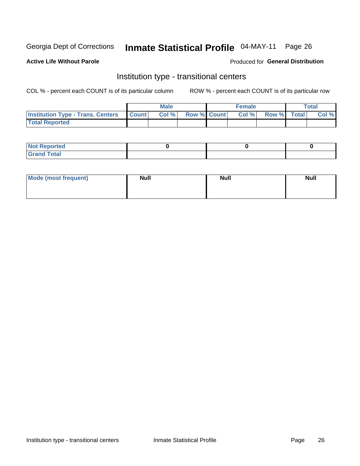### Inmate Statistical Profile 04-MAY-11 Page 26

### **Active Life Without Parole**

### Produced for General Distribution

### Institution type - transitional centers

COL % - percent each COUNT is of its particular column

|                                          |              | <b>Male</b> |                    | <b>Female</b> |             | <b>Total</b> |
|------------------------------------------|--------------|-------------|--------------------|---------------|-------------|--------------|
| <b>Institution Type - Trans. Centers</b> | <b>Count</b> | CoI%        | <b>Row % Count</b> | Col %         | Row % Total | Col %        |
| <b>Total Reported</b>                    |              |             |                    |               |             |              |

| <b>Reported</b><br><b>NOT</b>  |  |  |
|--------------------------------|--|--|
| $n+n$<br>C <sub>r</sub><br>--- |  |  |

| Mode (most frequent) | <b>Null</b> | <b>Null</b> | <b>Null</b> |
|----------------------|-------------|-------------|-------------|
|                      |             |             |             |
|                      |             |             |             |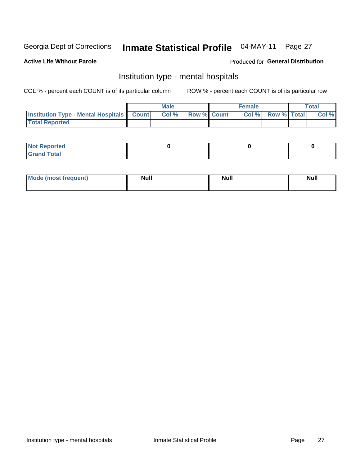#### Inmate Statistical Profile 04-MAY-11 Page 27

#### **Active Life Without Parole**

### Produced for General Distribution

### Institution type - mental hospitals

COL % - percent each COUNT is of its particular column

|                                                  | Male |                    | <b>Female</b> |                   | <b>Total</b> |
|--------------------------------------------------|------|--------------------|---------------|-------------------|--------------|
| <b>Institution Type - Mental Hospitals Count</b> | Col% | <b>Row % Count</b> |               | Col % Row % Total | Col %        |
| <b>Total Reported</b>                            |      |                    |               |                   |              |

| <b>Not Reported</b>   |  |  |
|-----------------------|--|--|
| <b>Total</b><br>_____ |  |  |

| Mode.<br>frequent) | <b>Nul</b><br>_____ | <b>Null</b> | <b>Null</b> |
|--------------------|---------------------|-------------|-------------|
|                    |                     |             |             |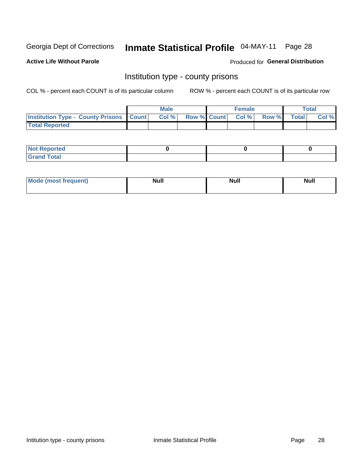# Inmate Statistical Profile 04-MAY-11 Page 28

**Active Life Without Parole** 

Produced for General Distribution

### Institution type - county prisons

COL % - percent each COUNT is of its particular column

|                                                  | <b>Male</b> |  | <b>Female</b>            |             | <b>Total</b> |
|--------------------------------------------------|-------------|--|--------------------------|-------------|--------------|
| <b>Institution Type - County Prisons   Count</b> | Col %       |  | <b>Row % Count Col %</b> | Row % Total | Col %        |
| <b>Total Reported</b>                            |             |  |                          |             |              |

| <b>Not Reported</b>   |  |  |
|-----------------------|--|--|
| <b>Total</b><br>Granc |  |  |

| <b>Mode</b>      | <b>Null</b> | <b>Null</b> | <b>Null</b> |  |
|------------------|-------------|-------------|-------------|--|
| (most freauent). |             |             |             |  |
|                  |             |             |             |  |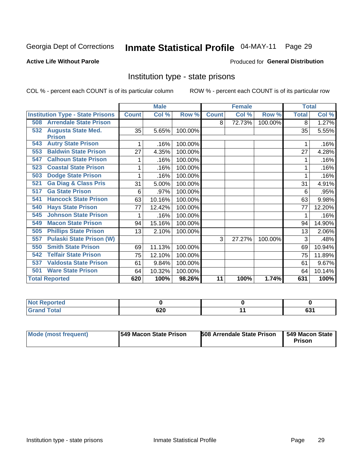### Inmate Statistical Profile 04-MAY-11 Page 29

#### **Active Life Without Parole**

#### Produced for General Distribution

### Institution type - state prisons

COL % - percent each COUNT is of its particular column

|                                         |              | <b>Male</b> |         |              | <b>Female</b> |         | <b>Total</b> |                           |
|-----------------------------------------|--------------|-------------|---------|--------------|---------------|---------|--------------|---------------------------|
| <b>Institution Type - State Prisons</b> | <b>Count</b> | Col %       | Row %   | <b>Count</b> | Col %         | Row %   | <b>Total</b> | $\overline{\text{Col}}$ % |
| <b>Arrendale State Prison</b><br>508    |              |             |         | 8            | 72.73%        | 100.00% | 8            | 1.27%                     |
| <b>Augusta State Med.</b><br>532        | 35           | 5.65%       | 100.00% |              |               |         | 35           | 5.55%                     |
| <b>Prison</b>                           |              |             |         |              |               |         |              |                           |
| <b>Autry State Prison</b><br>543        |              | .16%        | 100.00% |              |               |         |              | .16%                      |
| <b>Baldwin State Prison</b><br>553      | 27           | 4.35%       | 100.00% |              |               |         | 27           | 4.28%                     |
| <b>Calhoun State Prison</b><br>547      |              | .16%        | 100.00% |              |               |         |              | .16%                      |
| <b>Coastal State Prison</b><br>523      |              | .16%        | 100.00% |              |               |         |              | .16%                      |
| <b>Dodge State Prison</b><br>503        | 1            | .16%        | 100.00% |              |               |         |              | .16%                      |
| <b>Ga Diag &amp; Class Pris</b><br>521  | 31           | 5.00%       | 100.00% |              |               |         | 31           | 4.91%                     |
| <b>Ga State Prison</b><br>517           | 6            | .97%        | 100.00% |              |               |         | 6            | .95%                      |
| <b>Hancock State Prison</b><br>541      | 63           | 10.16%      | 100.00% |              |               |         | 63           | 9.98%                     |
| <b>Hays State Prison</b><br>540         | 77           | 12.42%      | 100.00% |              |               |         | 77           | 12.20%                    |
| <b>Johnson State Prison</b><br>545      |              | .16%        | 100.00% |              |               |         |              | .16%                      |
| <b>Macon State Prison</b><br>549        | 94           | 15.16%      | 100.00% |              |               |         | 94           | 14.90%                    |
| <b>Phillips State Prison</b><br>505     | 13           | 2.10%       | 100.00% |              |               |         | 13           | 2.06%                     |
| <b>Pulaski State Prison (W)</b><br>557  |              |             |         | 3            | 27.27%        | 100.00% | 3            | .48%                      |
| <b>Smith State Prison</b><br>550        | 69           | 11.13%      | 100.00% |              |               |         | 69           | 10.94%                    |
| <b>Telfair State Prison</b><br>542      | 75           | 12.10%      | 100.00% |              |               |         | 75           | 11.89%                    |
| 537<br><b>Valdosta State Prison</b>     | 61           | 9.84%       | 100.00% |              |               |         | 61           | 9.67%                     |
| <b>Ware State Prison</b><br>501         | 64           | 10.32%      | 100.00% |              |               |         | 64           | 10.14%                    |
| <b>Total Reported</b>                   | 620          | 100%        | 98.26%  | 11           | 100%          | 1.74%   | 631          | 100%                      |

| <b>Not Reported</b> |     |             |
|---------------------|-----|-------------|
| <b>Total</b>        | 620 | co.<br>ו כס |

| Mode (most frequent) | <b>1549 Macon State Prison</b> | <b>508 Arrendale State Prison</b> | <b>549 Macon State</b><br>Prison |
|----------------------|--------------------------------|-----------------------------------|----------------------------------|
|----------------------|--------------------------------|-----------------------------------|----------------------------------|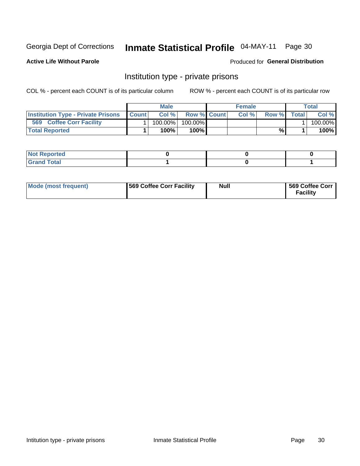### Inmate Statistical Profile 04-MAY-11 Page 30

**Active Life Without Parole** 

Produced for General Distribution

### Institution type - private prisons

COL % - percent each COUNT is of its particular column

|                                           |              | Male       |                    | <b>Female</b> |       |              | Total   |
|-------------------------------------------|--------------|------------|--------------------|---------------|-------|--------------|---------|
| <b>Institution Type - Private Prisons</b> | <b>Count</b> | Col%       | <b>Row % Count</b> | Col%          | Row % | <b>Total</b> | Col %   |
| 569<br><b>Coffee Corr Facility</b>        |              | $100.00\%$ | 100.00%            |               |       |              | 100.00% |
| <b>Total Reported</b>                     |              | $100\%$ .  | 100%               |               | %     |              | 100%    |

| Not Reported |  |  |
|--------------|--|--|
|              |  |  |

| Mode (most frequent) | 569 Coffee Corr Facility | <b>Null</b> | 569 Coffee Corr<br><b>Facility</b> |
|----------------------|--------------------------|-------------|------------------------------------|
|----------------------|--------------------------|-------------|------------------------------------|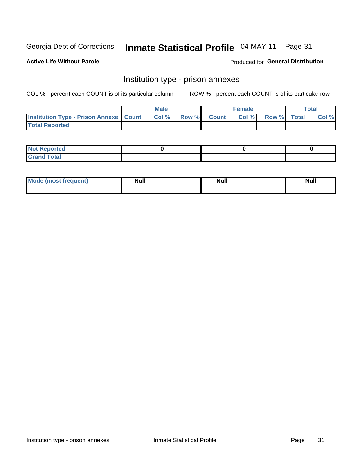### Inmate Statistical Profile 04-MAY-11 Page 31

**Active Life Without Parole** 

**Produced for General Distribution** 

### Institution type - prison annexes

COL % - percent each COUNT is of its particular column

|                                                   | <b>Male</b> |              |       | <b>Female</b> |                    | <b>Total</b> |
|---------------------------------------------------|-------------|--------------|-------|---------------|--------------------|--------------|
| <b>Institution Type - Prison Annexe   Count  </b> | Col %       | <b>Row %</b> | Count | Col %         | <b>Row %</b> Total | Col %        |
| <b>Total Reported</b>                             |             |              |       |               |                    |              |

| <b>Reported</b><br>I NOT                      |  |  |
|-----------------------------------------------|--|--|
| <b>Total</b><br>Carar<br>$\sim$ . When $\sim$ |  |  |

| $^{\prime}$ Mo <sub>t</sub><br>frequent)<br>⊥(most | <b>Null</b> | Noll<br><b>vull</b> | <b>Null</b> |
|----------------------------------------------------|-------------|---------------------|-------------|
|                                                    |             |                     |             |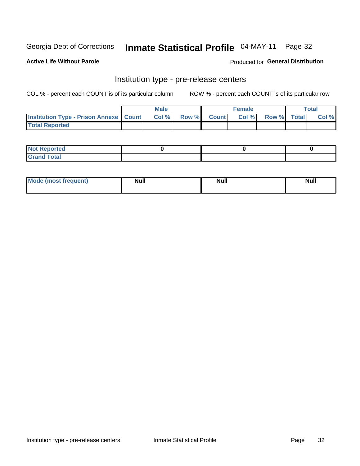### Inmate Statistical Profile 04-MAY-11 Page 32

**Active Life Without Parole** 

**Produced for General Distribution** 

### Institution type - pre-release centers

COL % - percent each COUNT is of its particular column

|                                                   | <b>Male</b> |              |       | <b>Female</b> |                    | <b>Total</b> |
|---------------------------------------------------|-------------|--------------|-------|---------------|--------------------|--------------|
| <b>Institution Type - Prison Annexe   Count  </b> | Col %       | <b>Row %</b> | Count | Col %         | <b>Row %</b> Total | Col %        |
| <b>Total Reported</b>                             |             |              |       |               |                    |              |

| <b>Reported</b><br>I NOT |  |  |
|--------------------------|--|--|
| <b>Total</b><br>$C$ ren  |  |  |

| <b>Mo</b><br>frequent)<br>(most | <b>Null</b> | <b>Null</b> | <b>Null</b> |
|---------------------------------|-------------|-------------|-------------|
|                                 |             |             |             |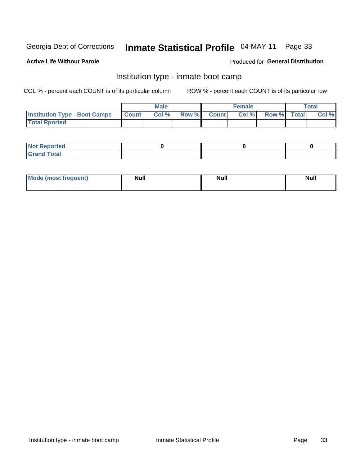# Inmate Statistical Profile 04-MAY-11 Page 33

#### **Active Life Without Parole**

### Produced for General Distribution

### Institution type - inmate boot camp

COL % - percent each COUNT is of its particular column

|                                      |              | <b>Male</b> |               |              | <b>Female</b> |             | <b>Total</b> |
|--------------------------------------|--------------|-------------|---------------|--------------|---------------|-------------|--------------|
| <b>Institution Type - Boot Camps</b> | <b>Count</b> | Col %       | <b>Row %I</b> | <b>Count</b> | Col %         | Row % Total | Col %        |
| <b>Total Rported</b>                 |              |             |               |              |               |             |              |

| <b>Not Reported</b>            |  |  |
|--------------------------------|--|--|
| <b>Total</b><br>C <sub>r</sub> |  |  |

| <b>I Mode (most frequent)</b> | <b>Null</b> | <b>Null</b> | <b>Null</b> |
|-------------------------------|-------------|-------------|-------------|
|                               |             |             |             |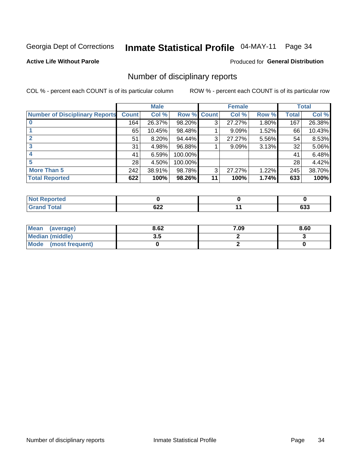# Inmate Statistical Profile 04-MAY-11 Page 34

**Active Life Without Parole** 

**Produced for General Distribution** 

### Number of disciplinary reports

COL % - percent each COUNT is of its particular column

|                                       |              | <b>Male</b> |                    |    | <b>Female</b> |       |       | <b>Total</b> |
|---------------------------------------|--------------|-------------|--------------------|----|---------------|-------|-------|--------------|
| <b>Number of Disciplinary Reports</b> | <b>Count</b> | Col %       | <b>Row % Count</b> |    | Col %         | Row % | Total | Col %        |
|                                       | 164          | 26.37%      | 98.20%             | 3  | 27.27%        | 1.80% | 167   | 26.38%       |
|                                       | 65           | 10.45%      | 98.48%             |    | 9.09%         | 1.52% | 66    | 10.43%       |
|                                       | 51           | 8.20%       | 94.44%             | 3  | 27.27%        | 5.56% | 54    | 8.53%        |
| 3                                     | 31           | 4.98%       | 96.88%             |    | 9.09%         | 3.13% | 32    | 5.06%        |
|                                       | 41           | 6.59%       | 100.00%            |    |               |       | 41    | 6.48%        |
|                                       | 28           | 4.50%       | 100.00%            |    |               |       | 28    | 4.42%        |
| <b>More Than 5</b>                    | 242          | 38.91%      | 98.78%             | 3  | 27.27%        | 1.22% | 245   | 38.70%       |
| <b>Total Reported</b>                 | 622          | 100%        | 98.26%             | 11 | 100%          | 1.74% | 633   | 100%         |

| ---<br>"tea<br>NO |                      |               |
|-------------------|----------------------|---------------|
| Total             | $\sim$<br><b>UZZ</b> | $\sim$<br>ნაა |

| Mean (average)       | 8.62 | 7.09 | 8.60 |
|----------------------|------|------|------|
| Median (middle)      | J.J  |      |      |
| Mode (most frequent) |      |      |      |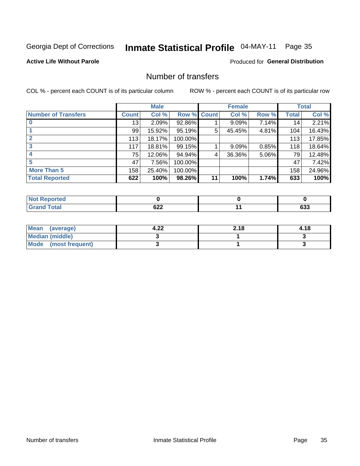### Inmate Statistical Profile 04-MAY-11 Page 35

### **Active Life Without Parole**

### **Produced for General Distribution**

### Number of transfers

COL % - percent each COUNT is of its particular column

|                            |         | <b>Male</b> |         |              | <b>Female</b> |       |              | <b>Total</b> |
|----------------------------|---------|-------------|---------|--------------|---------------|-------|--------------|--------------|
| <b>Number of Transfers</b> | Count l | Col %       | Row %   | <b>Count</b> | Col %         | Row % | <b>Total</b> | Col %        |
|                            | 13      | 2.09%       | 92.86%  |              | $9.09\%$      | 7.14% | 14           | 2.21%        |
|                            | 99      | 15.92%      | 95.19%  | 5            | 45.45%        | 4.81% | 104          | 16.43%       |
|                            | 113     | 18.17%      | 100.00% |              |               |       | 113          | 17.85%       |
| 3                          | 117     | 18.81%      | 99.15%  |              | 9.09%         | 0.85% | 118          | 18.64%       |
|                            | 75      | 12.06%      | 94.94%  | 4            | 36.36%        | 5.06% | 79           | 12.48%       |
| 5                          | 47      | 7.56%       | 100.00% |              |               |       | 47           | 7.42%        |
| <b>More Than 5</b>         | 158     | 25.40%      | 100.00% |              |               |       | 158          | 24.96%       |
| <b>Total Reported</b>      | 622     | 100%        | 98.26%  | 11           | 100%          | 1.74% | 633          | 100%         |

| <b>Not Reported</b> |            |               |
|---------------------|------------|---------------|
| <b>Fotal</b>        | coo<br>92Z | $\sim$<br>დაა |

| Mean (average)       | . റ^<br>4.ZZ | 2.18 | 4.18 |
|----------------------|--------------|------|------|
| Median (middle)      |              |      |      |
| Mode (most frequent) |              |      |      |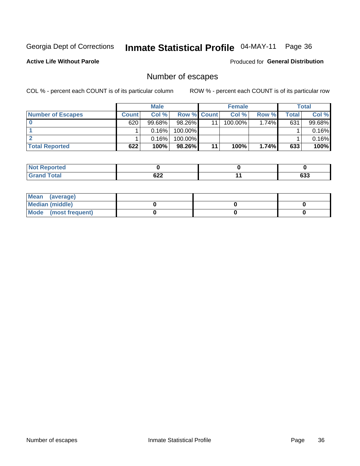### Inmate Statistical Profile 04-MAY-11 Page 36

**Active Life Without Parole** 

Produced for General Distribution

### Number of escapes

COL % - percent each COUNT is of its particular column

|                          |              | <b>Male</b> |                    |    | <b>Female</b> |          |       | Total  |
|--------------------------|--------------|-------------|--------------------|----|---------------|----------|-------|--------|
| <b>Number of Escapes</b> | <b>Count</b> | Col%        | <b>Row % Count</b> |    | Col %         | Row %    | Total | Col %  |
|                          | 620          | $99.68\%$   | $98.26\%$          | 11 | $100.00\%$    | $1.74\%$ | 631   | 99.68% |
|                          |              | 0.16%       | 100.00%            |    |               |          |       | 0.16%  |
|                          |              | 0.16%       | 100.00%            |    |               |          |       | 0.16%  |
| <b>Total Reported</b>    | 622          | 100%        | 98.26%             | 11 | 100%          | 1.74%    | 633   | 100%   |

| <b>Not Reported</b> |        |            |
|---------------------|--------|------------|
| <b>Total</b>        | $\sim$ | <b>000</b> |
| ' Grand             | 92Z    | დაა        |

| Mean (average)       |  |  |
|----------------------|--|--|
| Median (middle)      |  |  |
| Mode (most frequent) |  |  |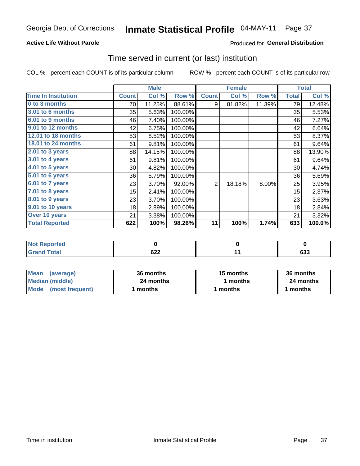### **Active Life Without Parole**

### **Produced for General Distribution**

## Time served in current (or last) institution

COL % - percent each COUNT is of its particular column

|                            |              | <b>Male</b> |         |                | <b>Female</b> |        |              | <b>Total</b> |
|----------------------------|--------------|-------------|---------|----------------|---------------|--------|--------------|--------------|
| <b>Time In Institution</b> | <b>Count</b> | Col %       | Row %   | <b>Count</b>   | Col %         | Row %  | <b>Total</b> | Col %        |
| 0 to 3 months              | 70           | 11.25%      | 88.61%  | 9              | 81.82%        | 11.39% | 79           | 12.48%       |
| 3.01 to 6 months           | 35           | 5.63%       | 100.00% |                |               |        | 35           | 5.53%        |
| 6.01 to 9 months           | 46           | 7.40%       | 100.00% |                |               |        | 46           | 7.27%        |
| 9.01 to 12 months          | 42           | 6.75%       | 100.00% |                |               |        | 42           | 6.64%        |
| 12.01 to 18 months         | 53           | 8.52%       | 100.00% |                |               |        | 53           | 8.37%        |
| 18.01 to 24 months         | 61           | 9.81%       | 100.00% |                |               |        | 61           | 9.64%        |
| $2.01$ to 3 years          | 88           | 14.15%      | 100.00% |                |               |        | 88           | 13.90%       |
| $3.01$ to 4 years          | 61           | 9.81%       | 100.00% |                |               |        | 61           | 9.64%        |
| $4.01$ to 5 years          | 30           | 4.82%       | 100.00% |                |               |        | 30           | 4.74%        |
| 5.01 to 6 years            | 36           | 5.79%       | 100.00% |                |               |        | 36           | 5.69%        |
| 6.01 to 7 years            | 23           | 3.70%       | 92.00%  | $\overline{2}$ | 18.18%        | 8.00%  | 25           | 3.95%        |
| 7.01 to 8 years            | 15           | 2.41%       | 100.00% |                |               |        | 15           | 2.37%        |
| 8.01 to 9 years            | 23           | 3.70%       | 100.00% |                |               |        | 23           | 3.63%        |
| 9.01 to 10 years           | 18           | 2.89%       | 100.00% |                |               |        | 18           | 2.84%        |
| Over 10 years              | 21           | 3.38%       | 100.00% |                |               |        | 21           | 3.32%        |
| <b>Total Reported</b>      | 622          | 100%        | 98.26%  | 11             | 100%          | 1.74%  | 633          | $100.0\%$    |

| Reported<br><b>NOT</b> |                      |                   |
|------------------------|----------------------|-------------------|
| <i>i</i> otal          | coo<br>◡∠∠<br>$\sim$ | <b>000</b><br>ნაა |

| <b>Mean</b><br>(average) | 36 months | 15 months | 36 months |
|--------------------------|-----------|-----------|-----------|
| Median (middle)          | 24 months | months    | 24 months |
| Mode (most frequent)     | months    | 1 months  | 1 months  |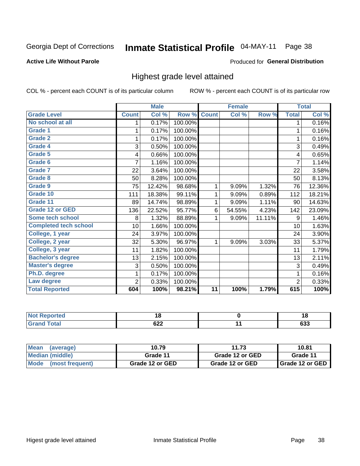# Inmate Statistical Profile 04-MAY-11 Page 38

### **Active Life Without Parole**

### **Produced for General Distribution**

## Highest grade level attained

COL % - percent each COUNT is of its particular column

|                              |              | <b>Male</b> |         |              | <b>Female</b> |        |                | <b>Total</b> |
|------------------------------|--------------|-------------|---------|--------------|---------------|--------|----------------|--------------|
| <b>Grade Level</b>           | <b>Count</b> | Col %       | Row %   | <b>Count</b> | Col %         | Row %  | <b>Total</b>   | Col %        |
| No school at all             | 1.           | 0.17%       | 100.00% |              |               |        | 1              | 0.16%        |
| <b>Grade 1</b>               | 1            | 0.17%       | 100.00% |              |               |        | 1              | 0.16%        |
| <b>Grade 2</b>               |              | 0.17%       | 100.00% |              |               |        | 1              | 0.16%        |
| <b>Grade 4</b>               | 3            | 0.50%       | 100.00% |              |               |        | 3              | 0.49%        |
| Grade 5                      | 4            | 0.66%       | 100.00% |              |               |        | 4              | 0.65%        |
| Grade 6                      | 7            | 1.16%       | 100.00% |              |               |        | $\overline{7}$ | 1.14%        |
| <b>Grade 7</b>               | 22           | 3.64%       | 100.00% |              |               |        | 22             | 3.58%        |
| <b>Grade 8</b>               | 50           | 8.28%       | 100.00% |              |               |        | 50             | 8.13%        |
| <b>Grade 9</b>               | 75           | 12.42%      | 98.68%  | 1            | 9.09%         | 1.32%  | 76             | 12.36%       |
| Grade 10                     | 111          | 18.38%      | 99.11%  | 1            | 9.09%         | 0.89%  | 112            | 18.21%       |
| Grade 11                     | 89           | 14.74%      | 98.89%  | 1            | 9.09%         | 1.11%  | 90             | 14.63%       |
| <b>Grade 12 or GED</b>       | 136          | 22.52%      | 95.77%  | 6            | 54.55%        | 4.23%  | 142            | 23.09%       |
| Some tech school             | 8            | 1.32%       | 88.89%  |              | 9.09%         | 11.11% | 9              | 1.46%        |
| <b>Completed tech school</b> | 10           | 1.66%       | 100.00% |              |               |        | 10             | 1.63%        |
| College, 1 year              | 24           | 3.97%       | 100.00% |              |               |        | 24             | 3.90%        |
| College, 2 year              | 32           | 5.30%       | 96.97%  | 1            | 9.09%         | 3.03%  | 33             | 5.37%        |
| College, 3 year              | 11           | 1.82%       | 100.00% |              |               |        | 11             | 1.79%        |
| <b>Bachelor's degree</b>     | 13           | 2.15%       | 100.00% |              |               |        | 13             | 2.11%        |
| <b>Master's degree</b>       | 3            | 0.50%       | 100.00% |              |               |        | 3              | 0.49%        |
| Ph.D. degree                 | 1            | 0.17%       | 100.00% |              |               |        | 1              | 0.16%        |
| Law degree                   | 2            | 0.33%       | 100.00% |              |               |        | $\overline{2}$ | 0.33%        |
| <b>Total Reported</b>        | 604          | 100%        | 98.21%  | 11           | 100%          | 1.79%  | 615            | 100%         |

| لمنتشر بالتعبين<br>Reported | 10            | 1 O           |
|-----------------------------|---------------|---------------|
| <b>c</b> otal               | $\sim$<br>◡∠∠ | $\sim$<br>დაა |

| <b>Mean</b><br>(average) | 10.79           | 11.73           | 10.81                    |
|--------------------------|-----------------|-----------------|--------------------------|
| Median (middle)          | Grade 11        | Grade 12 or GED | Grade 11                 |
| Mode (most frequent)     | Grade 12 or GED | Grade 12 or GED | <b>I</b> Grade 12 or GED |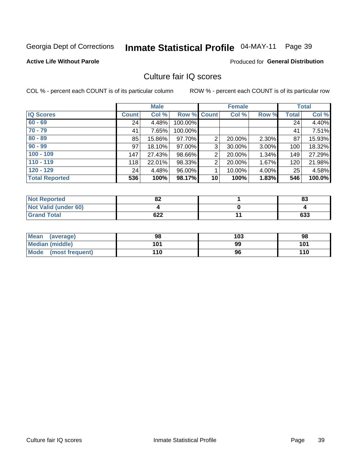# Inmate Statistical Profile 04-MAY-11 Page 39

### **Active Life Without Parole**

### **Produced for General Distribution**

## Culture fair IQ scores

COL % - percent each COUNT is of its particular column

|                       |              | <b>Male</b> |                    |                | <b>Female</b> |       |              | <b>Total</b> |
|-----------------------|--------------|-------------|--------------------|----------------|---------------|-------|--------------|--------------|
| <b>IQ Scores</b>      | <b>Count</b> | Col %       | <b>Row % Count</b> |                | Col %         | Row % | <b>Total</b> | Col %        |
| $60 - 69$             | 24           | 4.48%       | 100.00%            |                |               |       | 24           | 4.40%        |
| $70 - 79$             | 41           | 7.65%       | 100.00%            |                |               |       | 41           | 7.51%        |
| $80 - 89$             | 85           | 15.86%      | 97.70%             | $\overline{2}$ | 20.00%        | 2.30% | 87           | 15.93%       |
| $90 - 99$             | 97           | 18.10%      | 97.00%             | 3              | 30.00%        | 3.00% | 100          | 18.32%       |
| $100 - 109$           | 147          | 27.43%      | 98.66%             | 2              | 20.00%        | 1.34% | 149          | 27.29%       |
| $110 - 119$           | 118          | 22.01%      | 98.33%             | $\overline{2}$ | 20.00%        | 1.67% | 120          | 21.98%       |
| $120 - 129$           | 24           | 4.48%       | 96.00%             | 1              | 10.00%        | 4.00% | 25           | 4.58%        |
| <b>Total Reported</b> | 536          | 100%        | 98.17%             | 10             | 100%          | 1.83% | 546          | 100.0%       |

| <b>Not Reported</b>         | o۹<br>ОZ | 83  |
|-----------------------------|----------|-----|
| <b>Not Valid (under 60)</b> |          |     |
| <b>Grand Total</b>          | 622      | 633 |

| Mean (average)       | 98  | 103 | 98  |
|----------------------|-----|-----|-----|
| Median (middle)      | 101 | 99  | 101 |
| Mode (most frequent) | 110 | 96  | 110 |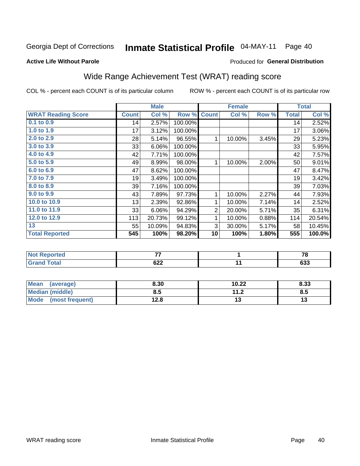#### Inmate Statistical Profile 04-MAY-11 Page 40

### **Active Life Without Parole**

### **Produced for General Distribution**

## Wide Range Achievement Test (WRAT) reading score

COL % - percent each COUNT is of its particular column

|                           |              | <b>Male</b> |         |                | <b>Female</b> |       |              | <b>Total</b> |
|---------------------------|--------------|-------------|---------|----------------|---------------|-------|--------------|--------------|
| <b>WRAT Reading Score</b> | <b>Count</b> | Col %       | Row %   | <b>Count</b>   | Col %         | Row % | <b>Total</b> | Col %        |
| $0.1$ to $0.9$            | 14           | 2.57%       | 100.00% |                |               |       | 14           | 2.52%        |
| 1.0 to 1.9                | 17           | 3.12%       | 100.00% |                |               |       | 17           | 3.06%        |
| 2.0 to 2.9                | 28           | 5.14%       | 96.55%  | $\mathbf{1}$   | 10.00%        | 3.45% | 29           | 5.23%        |
| 3.0 to 3.9                | 33           | 6.06%       | 100.00% |                |               |       | 33           | 5.95%        |
| 4.0 to 4.9                | 42           | 7.71%       | 100.00% |                |               |       | 42           | 7.57%        |
| 5.0 to 5.9                | 49           | 8.99%       | 98.00%  | 1              | 10.00%        | 2.00% | 50           | 9.01%        |
| 6.0 to 6.9                | 47           | 8.62%       | 100.00% |                |               |       | 47           | 8.47%        |
| 7.0 to 7.9                | 19           | 3.49%       | 100.00% |                |               |       | 19           | 3.42%        |
| 8.0 to 8.9                | 39           | 7.16%       | 100.00% |                |               |       | 39           | 7.03%        |
| 9.0 to 9.9                | 43           | 7.89%       | 97.73%  | 1              | 10.00%        | 2.27% | 44           | 7.93%        |
| 10.0 to 10.9              | 13           | 2.39%       | 92.86%  | $\mathbf{1}$   | 10.00%        | 7.14% | 14           | 2.52%        |
| 11.0 to 11.9              | 33           | 6.06%       | 94.29%  | $\overline{2}$ | 20.00%        | 5.71% | 35           | 6.31%        |
| 12.0 to 12.9              | 113          | 20.73%      | 99.12%  | 1              | 10.00%        | 0.88% | 114          | 20.54%       |
| 13                        | 55           | 10.09%      | 94.83%  | 3              | 30.00%        | 5.17% | 58           | 10.45%       |
| <b>Total Reported</b>     | 545          | 100%        | 98.20%  | 10             | 100%          | 1.80% | 555          | 100.0%       |
|                           |              |             |         |                |               |       |              |              |

| <b>Not Reported</b> | --  | $\sim$ |
|---------------------|-----|--------|
| <b>Grand Total</b>  | 622 | 633    |

| <b>Mean</b><br>(average) | 8.30 | 10.22             | 8.33 |
|--------------------------|------|-------------------|------|
| Median (middle)          | 8.5  | 112<br>. <u>.</u> | 8.5  |
| Mode (most frequent)     | 12.8 | . J               | IJ   |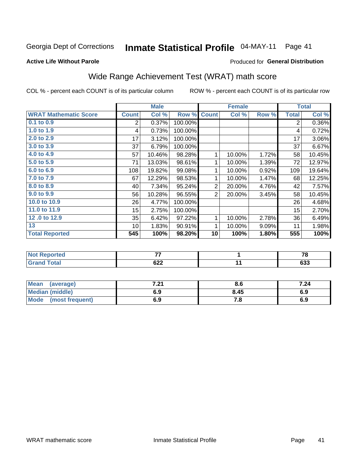# Inmate Statistical Profile 04-MAY-11 Page 41

**Produced for General Distribution** 

### **Active Life Without Parole**

## Wide Range Achievement Test (WRAT) math score

COL % - percent each COUNT is of its particular column

|                              |                 | <b>Male</b> |         |                | <b>Female</b> |       |              | <b>Total</b> |
|------------------------------|-----------------|-------------|---------|----------------|---------------|-------|--------------|--------------|
| <b>WRAT Mathematic Score</b> | <b>Count</b>    | Col %       | Row %   | <b>Count</b>   | Col %         | Row % | <b>Total</b> | Col %        |
| 0.1 to 0.9                   | $\overline{2}$  | 0.37%       | 100.00% |                |               |       | 2            | $0.36\%$     |
| 1.0 to 1.9                   | 4               | 0.73%       | 100.00% |                |               |       | 4            | 0.72%        |
| 2.0 to 2.9                   | 17              | 3.12%       | 100.00% |                |               |       | 17           | 3.06%        |
| 3.0 to 3.9                   | 37              | 6.79%       | 100.00% |                |               |       | 37           | 6.67%        |
| 4.0 to 4.9                   | 57              | 10.46%      | 98.28%  | 1              | 10.00%        | 1.72% | 58           | 10.45%       |
| 5.0 to 5.9                   | 71              | 13.03%      | 98.61%  | 1              | 10.00%        | 1.39% | 72           | 12.97%       |
| 6.0 to 6.9                   | 108             | 19.82%      | 99.08%  | 1              | 10.00%        | 0.92% | 109          | 19.64%       |
| 7.0 to 7.9                   | 67              | 12.29%      | 98.53%  | 1              | 10.00%        | 1.47% | 68           | 12.25%       |
| 8.0 to 8.9                   | 40              | 7.34%       | 95.24%  | $\overline{2}$ | 20.00%        | 4.76% | 42           | 7.57%        |
| 9.0 to 9.9                   | 56              | 10.28%      | 96.55%  | $\overline{2}$ | 20.00%        | 3.45% | 58           | 10.45%       |
| 10.0 to 10.9                 | 26              | 4.77%       | 100.00% |                |               |       | 26           | 4.68%        |
| 11.0 to 11.9                 | 15              | 2.75%       | 100.00% |                |               |       | 15           | 2.70%        |
| 12.0 to 12.9                 | 35              | 6.42%       | 97.22%  | 1              | 10.00%        | 2.78% | 36           | 6.49%        |
| 13                           | 10 <sup>1</sup> | 1.83%       | 90.91%  | 1              | 10.00%        | 9.09% | 11           | 1.98%        |
| <b>Total Reported</b>        | 545             | 100%        | 98.20%  | 10             | 100%          | 1.80% | 555          | 100%         |
|                              |                 |             |         |                |               |       |              |              |
| <b>Not Reported</b>          |                 | 77          |         |                | 1             |       |              | 78           |
| <b>Grand Total</b>           |                 | 622         |         |                | 11            |       |              | 633          |

| <b>Mean</b><br>(average)       | 04 ז<br>$\sim$ | 8.O  | 7.24 |
|--------------------------------|----------------|------|------|
| Median (middle)                | 6.9            | 8.45 | 6.9  |
| <b>Mode</b><br>(most frequent) | 6.9            | 60   | 6.9  |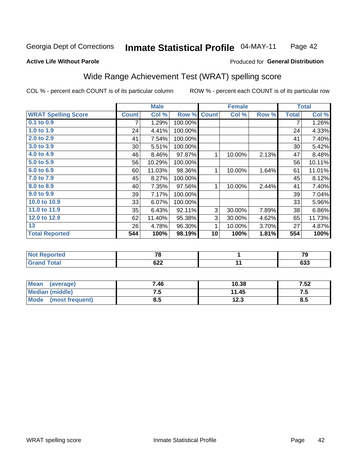#### Inmate Statistical Profile 04-MAY-11 Page 42

### **Active Life Without Parole**

### **Produced for General Distribution**

## Wide Range Achievement Test (WRAT) spelling score

COL % - percent each COUNT is of its particular column

|                            |              | <b>Male</b> |         |              | <b>Female</b> |       |                | <b>Total</b> |
|----------------------------|--------------|-------------|---------|--------------|---------------|-------|----------------|--------------|
| <b>WRAT Spelling Score</b> | <b>Count</b> | Col %       | Row %   | <b>Count</b> | Col %         | Row % | <b>Total</b>   | Col %        |
| 0.1 to 0.9                 | 7            | 1.29%       | 100.00% |              |               |       | $\overline{7}$ | 1.26%        |
| 1.0 to 1.9                 | 24           | 4.41%       | 100.00% |              |               |       | 24             | 4.33%        |
| 2.0 to 2.9                 | 41           | 7.54%       | 100.00% |              |               |       | 41             | 7.40%        |
| 3.0 to 3.9                 | 30           | 5.51%       | 100.00% |              |               |       | 30             | 5.42%        |
| 4.0 to 4.9                 | 46           | 8.46%       | 97.87%  | 1            | 10.00%        | 2.13% | 47             | 8.48%        |
| 5.0 to 5.9                 | 56           | 10.29%      | 100.00% |              |               |       | 56             | 10.11%       |
| 6.0 to 6.9                 | 60           | 11.03%      | 98.36%  | 1            | 10.00%        | 1.64% | 61             | 11.01%       |
| 7.0 to 7.9                 | 45           | 8.27%       | 100.00% |              |               |       | 45             | 8.12%        |
| 8.0 to 8.9                 | 40           | 7.35%       | 97.56%  | 1            | 10.00%        | 2.44% | 41             | 7.40%        |
| 9.0 to 9.9                 | 39           | 7.17%       | 100.00% |              |               |       | 39             | 7.04%        |
| 10.0 to 10.9               | 33           | 6.07%       | 100.00% |              |               |       | 33             | 5.96%        |
| 11.0 to 11.9               | 35           | 6.43%       | 92.11%  | 3            | 30.00%        | 7.89% | 38             | 6.86%        |
| 12.0 to 12.9               | 62           | 11.40%      | 95.38%  | 3            | 30.00%        | 4.62% | 65             | 11.73%       |
| 13                         | 26           | 4.78%       | 96.30%  | 1            | 10.00%        | 3.70% | 27             | 4.87%        |
| <b>Total Reported</b>      | 544          | 100%        | 98.19%  | 10           | 100%          | 1.81% | 554            | 100%         |
|                            |              |             |         |              |               |       |                |              |
| <del>.</del>               |              |             |         |              |               |       |                |              |

| <b>Not Reported</b>  | $\overline{\phantom{a}}$<br>. О | $\mathbf{z}$ |
|----------------------|---------------------------------|--------------|
| <b>Total</b><br>Gr2r | 622                             | coo<br>ხაა   |

| <b>Mean</b><br>(average) | 7.46 | 10.38 | 7.52 |
|--------------------------|------|-------|------|
| Median (middle)          | . ت  | 11.45 | ن. ، |
| Mode<br>(most frequent)  | 8.5  | 12.3  | ၓ.ͻ  |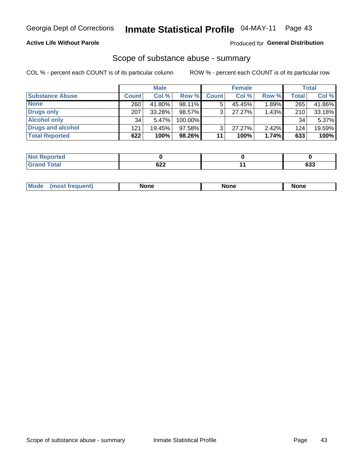### **Active Life Without Parole**

### Produced for General Distribution

### Scope of substance abuse - summary

COL % - percent each COUNT is of its particular column

|                        |              | <b>Male</b> |           |              | <b>Female</b> |       |              | <b>Total</b> |
|------------------------|--------------|-------------|-----------|--------------|---------------|-------|--------------|--------------|
| <b>Substance Abuse</b> | <b>Count</b> | Col %       | Row %     | <b>Count</b> | Col %         | Row % | <b>Total</b> | Col %        |
| <b>None</b>            | 260          | 41.80%      | 98.11%    |              | 45.45%        | 1.89% | 265          | 41.86%       |
| <b>Drugs only</b>      | 207          | 33.28%      | 98.57%    |              | 27.27%        | 1.43% | 210          | 33.18%       |
| <b>Alcohol only</b>    | 34           | 5.47%       | 100.00%   |              |               |       | 34           | 5.37%        |
| Drugs and alcohol      | 121          | $19.45\%$   | $97.58\%$ |              | $27.27\%$     | 2.42% | 124          | 19.59%       |
| <b>Total Reported</b>  | 622          | 100%        | 98.26%    | 11           | 100%          | 1.74% | 633          | 100%         |

| <b>Reported</b><br><b>NOT</b> |     |               |
|-------------------------------|-----|---------------|
| <b>Total</b>                  | 622 | $\sim$<br>ხაა |

|  | Mode | None | <b>None</b> | None |
|--|------|------|-------------|------|
|--|------|------|-------------|------|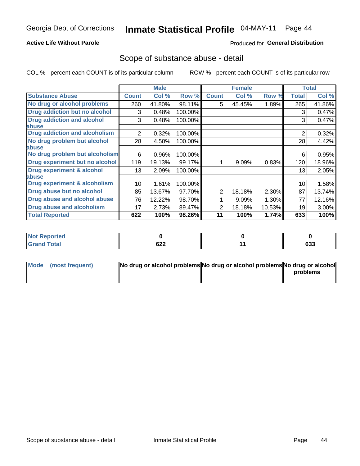### **Active Life Without Parole**

### **Produced for General Distribution**

## Scope of substance abuse - detail

COL % - percent each COUNT is of its particular column

|                                         |                | <b>Male</b> |         |              | <b>Female</b> |        |                | <b>Total</b> |
|-----------------------------------------|----------------|-------------|---------|--------------|---------------|--------|----------------|--------------|
| <b>Substance Abuse</b>                  | <b>Count</b>   | Col %       | Row %   | <b>Count</b> | Col %         | Row %  | <b>Total</b>   | Col %        |
| No drug or alcohol problems             | 260            | 41.80%      | 98.11%  | 5            | 45.45%        | 1.89%  | 265            | 41.86%       |
| Drug addiction but no alcohol           | 3              | 0.48%       | 100.00% |              |               |        | 3              | 0.47%        |
| <b>Drug addiction and alcohol</b>       | 3              | 0.48%       | 100.00% |              |               |        | 3              | 0.47%        |
| abuse                                   |                |             |         |              |               |        |                |              |
| <b>Drug addiction and alcoholism</b>    | $\overline{2}$ | 0.32%       | 100.00% |              |               |        | $\overline{2}$ | 0.32%        |
| No drug problem but alcohol             | 28             | 4.50%       | 100.00% |              |               |        | 28             | 4.42%        |
| abuse                                   |                |             |         |              |               |        |                |              |
| No drug problem but alcoholism          | 6              | 0.96%       | 100.00% |              |               |        | 6              | 0.95%        |
| Drug experiment but no alcohol          | 119            | 19.13%      | 99.17%  |              | 9.09%         | 0.83%  | 120            | 18.96%       |
| <b>Drug experiment &amp; alcohol</b>    | 13             | 2.09%       | 100.00% |              |               |        | 13             | 2.05%        |
| abuse                                   |                |             |         |              |               |        |                |              |
| <b>Drug experiment &amp; alcoholism</b> | 10             | 1.61%       | 100.00% |              |               |        | 10             | 1.58%        |
| Drug abuse but no alcohol               | 85             | 13.67%      | 97.70%  | 2            | 18.18%        | 2.30%  | 87             | 13.74%       |
| Drug abuse and alcohol abuse            | 76             | 12.22%      | 98.70%  |              | 9.09%         | 1.30%  | 77             | 12.16%       |
| <b>Drug abuse and alcoholism</b>        | 17             | 2.73%       | 89.47%  | 2            | 18.18%        | 10.53% | 19             | 3.00%        |
| <b>Total Reported</b>                   | 622            | 100%        | 98.26%  | 11           | 100%          | 1.74%  | 633            | 100%         |

| Reported<br><b>NOT</b> |                                                         |            |
|------------------------|---------------------------------------------------------|------------|
| <b>otal</b>            | coo<br>0ZZ<br>$\sim$ $\sim$ $\sim$ $\sim$ $\sim$ $\sim$ | coo<br>ხაა |

| Mode (most frequent) | No drug or alcohol problems No drug or alcohol problems No drug or alcohol |          |
|----------------------|----------------------------------------------------------------------------|----------|
|                      |                                                                            | problems |
|                      |                                                                            |          |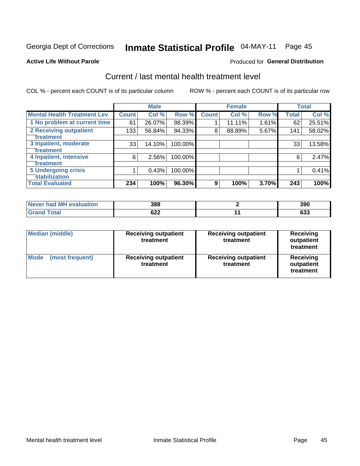#### Inmate Statistical Profile 04-MAY-11 Page 45

### **Active Life Without Parole**

### **Produced for General Distribution**

## Current / last mental health treatment level

COL % - percent each COUNT is of its particular column

|                                    |              | <b>Male</b> |         |              | <b>Female</b> |       |              | <b>Total</b> |
|------------------------------------|--------------|-------------|---------|--------------|---------------|-------|--------------|--------------|
| <b>Mental Health Treatment Lev</b> | <b>Count</b> | Col %       | Row %   | <b>Count</b> | Col %         | Row % | <b>Total</b> | Col %        |
| 1 No problem at current time       | 61           | 26.07%      | 98.39%  |              | 11.11%        | 1.61% | 62           | 25.51%       |
| 2 Receiving outpatient             | 133          | 56.84%      | 94.33%  | 8            | 88.89%        | 5.67% | 141          | 58.02%       |
| <b>Treatment</b>                   |              |             |         |              |               |       |              |              |
| 3 Inpatient, moderate              | 33           | 14.10%      | 100.00% |              |               |       | 33           | 13.58%       |
| Treatment                          |              |             |         |              |               |       |              |              |
| 4 Inpatient, intensive             | 6            | 2.56%       | 100.00% |              |               |       | 6            | 2.47%        |
| Treatment                          |              |             |         |              |               |       |              |              |
| <b>5 Undergoing crisis</b>         |              | 0.43%       | 100.00% |              |               |       |              | 0.41%        |
| <b>stabilization</b>               |              |             |         |              |               |       |              |              |
| <b>Total Evaluated</b>             | 234          | 100%        | 96.30%  | 9            | 100%          | 3.70% | 243          | 100%         |

| Never had MH<br>evaluation | 388        | 390 |
|----------------------------|------------|-----|
| $f$ otol                   | ຂາາ<br>◡∠∠ | ნათ |

| <b>Median (middle)</b>         | <b>Receiving outpatient</b><br>treatment | <b>Receiving outpatient</b><br>treatment | <b>Receiving</b><br>outpatient<br>treatment |  |
|--------------------------------|------------------------------------------|------------------------------------------|---------------------------------------------|--|
| <b>Mode</b><br>(most frequent) | <b>Receiving outpatient</b><br>treatment | <b>Receiving outpatient</b><br>treatment | <b>Receiving</b><br>outpatient<br>treatment |  |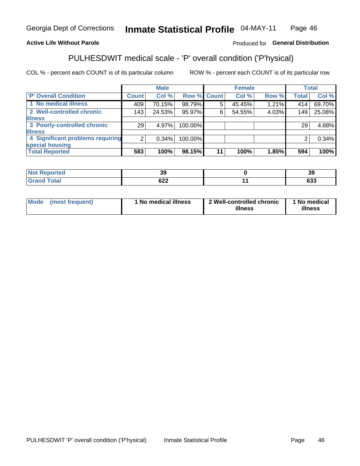#### Inmate Statistical Profile 04-MAY-11 Page 46

### **Active Life Without Parole**

### Produced for General Distribution

## PULHESDWIT medical scale - 'P' overall condition ('P'hysical)

COL % - percent each COUNT is of its particular column

|                                  |                 | <b>Male</b> |             |    | <b>Female</b> |       |                | <b>Total</b> |
|----------------------------------|-----------------|-------------|-------------|----|---------------|-------|----------------|--------------|
| 'P' Overall Condition            | Count l         | Col %       | Row % Count |    | Col %         | Row % | <b>Total</b>   | Col %        |
| 1 No medical illness             | 409             | 70.15%      | 98.79%      |    | 45.45%        | 1.21% | 414            | 69.70%       |
| 2 Well-controlled chronic        | 143             | 24.53%      | 95.97%      | 6  | 54.55%        | 4.03% | 149            | 25.08%       |
| <b>illness</b>                   |                 |             |             |    |               |       |                |              |
| 3 Poorly-controlled chronic      | 29 <sub>1</sub> | 4.97%       | 100.00%     |    |               |       | 29             | 4.88%        |
| <b>illness</b>                   |                 |             |             |    |               |       |                |              |
| 4 Significant problems requiring | 2 <sub>1</sub>  | 0.34%       | 100.00%     |    |               |       | $\overline{2}$ | 0.34%        |
| special housing                  |                 |             |             |    |               |       |                |              |
| <b>Total Reported</b>            | 583             | 100%        | 98.15%      | 11 | 100%          | 1.85% | 594            | 100%         |

| ю     | $\ddot{\phantom{0}}$<br><br>vũ | 39         |
|-------|--------------------------------|------------|
| _____ | cog<br>◡∠∠                     | 622<br>ხაა |

| Mode | (most frequent) | <sup>1</sup> No medical illness | 2 Well-controlled chronic<br>illness | 1 No medical<br>illness |
|------|-----------------|---------------------------------|--------------------------------------|-------------------------|
|------|-----------------|---------------------------------|--------------------------------------|-------------------------|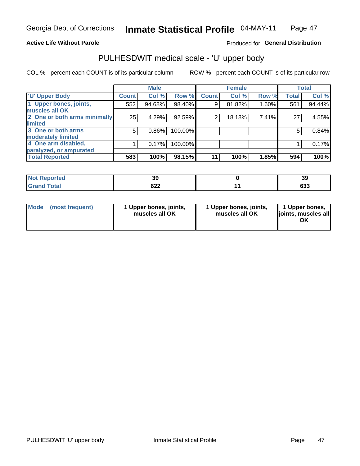### **Active Life Without Parole**

### Produced for General Distribution

# PULHESDWIT medical scale - 'U' upper body

COL % - percent each COUNT is of its particular column

|                                    | <b>Male</b> |              | <b>Female</b>                                             |                | <b>Total</b>   |
|------------------------------------|-------------|--------------|-----------------------------------------------------------|----------------|----------------|
| <b>Count</b>                       | Col %       | <b>Count</b> | Col %                                                     | <b>Total</b>   | Col %          |
| 552                                | 94.68%      | 9            | 81.82%                                                    | 561            | 94.44%         |
|                                    |             |              |                                                           |                |                |
| 2 One or both arms minimally<br>25 | 4.29%       | 2            | 18.18%                                                    | 27             | 4.55%          |
|                                    |             |              |                                                           |                |                |
| 5                                  | $0.86\%$    |              |                                                           | 5              | 0.84%          |
|                                    |             |              |                                                           |                |                |
|                                    | 0.17%       |              |                                                           |                | 0.17%          |
|                                    |             |              |                                                           |                |                |
| 583                                | 100%        | 11           | 100%                                                      | 594            | 100%           |
|                                    |             |              | Row %<br>98.40%<br>92.59%<br>100.00%<br>100.00%<br>98.15% | Row %<br>1.85% | 1.60%<br>7.41% |

| <b>Not Reported</b> | v          | 39            |
|---------------------|------------|---------------|
| <b>Total</b>        | coo<br>◡∠∠ | $\sim$<br>ნაა |

|  | Mode (most frequent) | 1 Upper bones, joints,<br>muscles all OK | 1 Upper bones, joints,<br>muscles all OK | 1 Upper bones,<br>ljoints, muscles all<br>ΟK |
|--|----------------------|------------------------------------------|------------------------------------------|----------------------------------------------|
|--|----------------------|------------------------------------------|------------------------------------------|----------------------------------------------|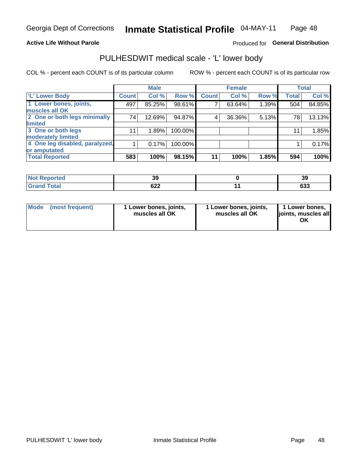### **Active Life Without Parole**

### Produced for General Distribution

## PULHESDWIT medical scale - 'L' lower body

COL % - percent each COUNT is of its particular column

|                                    | <b>Male</b> |              | <b>Female</b>                                             |       |              | <b>Total</b>   |
|------------------------------------|-------------|--------------|-----------------------------------------------------------|-------|--------------|----------------|
| <b>Count</b>                       | Col %       | <b>Count</b> | Col%                                                      | Row % | <b>Total</b> | Col %          |
| 497                                | 85.25%      |              | 63.64%                                                    |       | 504          | 84.85%         |
|                                    |             |              |                                                           |       |              |                |
| 2 One or both legs minimally<br>74 | 12.69%      | 4            | 36.36%                                                    |       | 78           | 13.13%         |
|                                    |             |              |                                                           |       |              |                |
| 11                                 | 1.89%       |              |                                                           |       | 11           | 1.85%          |
|                                    |             |              |                                                           |       |              |                |
| 4 One leg disabled, paralyzed,     | 0.17%       |              |                                                           |       |              | 0.17%          |
|                                    |             |              |                                                           |       |              |                |
| 583                                | 100%        | 11           | 100%                                                      | 1.85% | 594          | 100%           |
|                                    |             |              | Row %<br>98.61%<br>94.87%<br>100.00%<br>100.00%<br>98.15% |       |              | 1.39%<br>5.13% |

| <b>Not Reported</b> | v          | 39            |
|---------------------|------------|---------------|
| <b>Total</b>        | coo<br>◡∠∠ | $\sim$<br>ნაა |

|  | Mode (most frequent) | 1 Lower bones, joints,<br>muscles all OK | 1 Lower bones, joints,<br>muscles all OK | 1 Lower bones,<br>ljoints, muscles all<br>ΟK |
|--|----------------------|------------------------------------------|------------------------------------------|----------------------------------------------|
|--|----------------------|------------------------------------------|------------------------------------------|----------------------------------------------|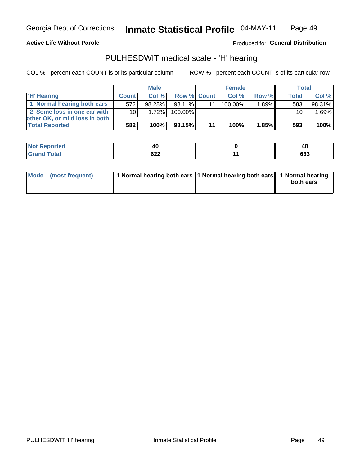**Active Life Without Parole** 

Produced for General Distribution

## PULHESDWIT medical scale - 'H' hearing

COL % - percent each COUNT is of its particular column

|                                | <b>Male</b>     |        | <b>Female</b>      |  |         | Total |              |        |
|--------------------------------|-----------------|--------|--------------------|--|---------|-------|--------------|--------|
| <b>H'</b> Hearing              | <b>Count</b>    | Col%   | <b>Row % Count</b> |  | Col%    | Row % | <b>Total</b> | Col %  |
| 1 Normal hearing both ears     | 572             | 98.28% | 98.11%             |  | 100.00% | 1.89% | 583          | 98.31% |
| 2 Some loss in one ear with    | 10 <sup>1</sup> | 1.72%  | 100.00%            |  |         |       | 10           | 1.69%  |
| other OK, or mild loss in both |                 |        |                    |  |         |       |              |        |
| <b>Total Reported</b>          | 582             | 100%   | 98.15%             |  | 100%    | 1.85% | 593          | 100%   |

| Λſ                | л.<br>4u          |
|-------------------|-------------------|
| <b>000</b><br>◡▵▵ | <b>000</b><br>ნაა |

| Mode (most frequent) | 1 Normal hearing both ears 1 Normal hearing both ears 1 Normal hearing | both ears |
|----------------------|------------------------------------------------------------------------|-----------|
|                      |                                                                        |           |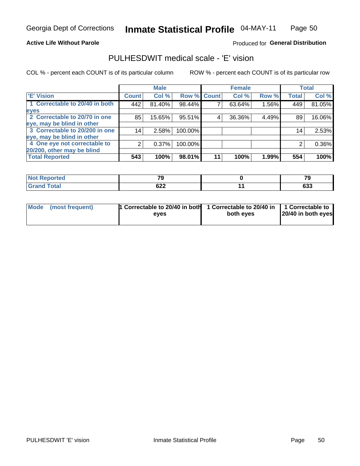**Active Life Without Parole** 

Produced for General Distribution

## PULHESDWIT medical scale - 'E' vision

COL % - percent each COUNT is of its particular column

|                                |                 | <b>Male</b> |             |    | <b>Female</b> |       |              | <b>Total</b> |
|--------------------------------|-----------------|-------------|-------------|----|---------------|-------|--------------|--------------|
| <b>E' Vision</b>               | <b>Count</b>    | Col %       | Row % Count |    | Col %         | Row % | <b>Total</b> | Col %        |
| 1 Correctable to 20/40 in both | 442             | 81.40%      | 98.44%      |    | 63.64%        | 1.56% | 449          | 81.05%       |
| eyes                           |                 |             |             |    |               |       |              |              |
| 2 Correctable to 20/70 in one  | 85              | 15.65%      | 95.51%      |    | 36.36%        | 4.49% | 89           | 16.06%       |
| eye, may be blind in other     |                 |             |             |    |               |       |              |              |
| 3 Correctable to 20/200 in one | 14 <sub>1</sub> | 2.58%       | 100.00%     |    |               |       | 14           | 2.53%        |
| eye, may be blind in other     |                 |             |             |    |               |       |              |              |
| 4 One eye not correctable to   |                 | 0.37%       | 100.00%     |    |               |       |              | 0.36%        |
| 20/200, other may be blind     |                 |             |             |    |               |       |              |              |
| <b>Total Reported</b>          | 543             | 100%        | 98.01%      | 11 | 100%          | 1.99% | 554          | 100%         |

| <b>Not Reported</b> | $\mathbf{z}$ | --            |
|---------------------|--------------|---------------|
| <b>Total</b>        | 622<br>---   | $\sim$<br>დაა |

| Mode (most frequent) | <sup>1</sup> Correctable to 20/40 in both 1 Correctable to 20/40 in 1 Correctable to<br>eves | both eyes | 20/40 in both eyes |
|----------------------|----------------------------------------------------------------------------------------------|-----------|--------------------|
|                      |                                                                                              |           |                    |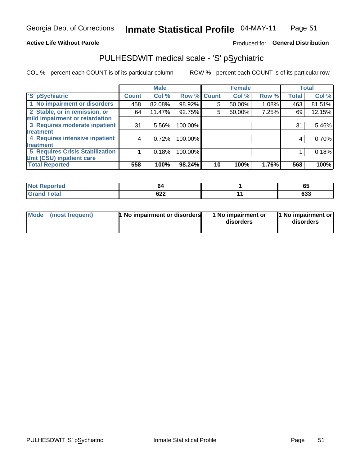### **Active Life Without Parole**

### Produced for General Distribution

## PULHESDWIT medical scale - 'S' pSychiatric

COL % - percent each COUNT is of its particular column

|                                        |              | <b>Male</b> |         |             | <b>Female</b> |       |              | <b>Total</b> |
|----------------------------------------|--------------|-------------|---------|-------------|---------------|-------|--------------|--------------|
| 'S' pSychiatric                        | <b>Count</b> | Col %       |         | Row % Count | Col %         | Row % | <b>Total</b> | Col %        |
| 1 No impairment or disorders           | 458          | 82.08%      | 98.92%  | 5           | 50.00%        | 1.08% | 463          | 81.51%       |
| 2 Stable, or in remission, or          | 64           | 11.47%      | 92.75%  | 5           | 50.00%        | 7.25% | 69           | 12.15%       |
| mild impairment or retardation         |              |             |         |             |               |       |              |              |
| 3 Requires moderate inpatient          | 31           | $5.56\%$    | 100.00% |             |               |       | 31           | 5.46%        |
| treatment                              |              |             |         |             |               |       |              |              |
| 4 Requires intensive inpatient         | 4            | 0.72%       | 100.00% |             |               |       | 4            | 0.70%        |
| treatment                              |              |             |         |             |               |       |              |              |
| <b>5 Requires Crisis Stabilization</b> |              | 0.18%       | 100.00% |             |               |       |              | 0.18%        |
| Unit (CSU) inpatient care              |              |             |         |             |               |       |              |              |
| <b>Total Reported</b>                  | 558          | 100%        | 98.24%  | 10          | 100%          | 1.76% | 568          | 100%         |

| <b>Not Reported</b>  | nΖ  | ხე         |
|----------------------|-----|------------|
| <b>Total</b><br>Cron | 622 | coo<br>დაა |

| <b>Mode</b> | (most frequent) | 1 No impairment or disorders | 1 No impairment or<br>disorders | 1 No impairment or<br>disorders |
|-------------|-----------------|------------------------------|---------------------------------|---------------------------------|
|-------------|-----------------|------------------------------|---------------------------------|---------------------------------|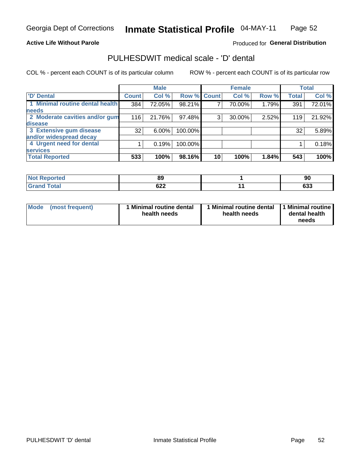### **Active Life Without Parole**

### Produced for General Distribution

## PULHESDWIT medical scale - 'D' dental

COL % - percent each COUNT is of its particular column

|                                 |                 | <b>Male</b> |         |             | <b>Female</b> |       |              | <b>Total</b> |
|---------------------------------|-----------------|-------------|---------|-------------|---------------|-------|--------------|--------------|
| <b>D'</b> Dental                | <b>Count</b>    | Col %       |         | Row % Count | Col %         | Row % | <b>Total</b> | Col %        |
| 1 Minimal routine dental health | 384             | 72.05%      | 98.21%  |             | 70.00%        | 1.79% | 391          | 72.01%       |
| <b>needs</b>                    |                 |             |         |             |               |       |              |              |
| 2 Moderate cavities and/or gum  | 116             | 21.76%      | 97.48%  | 3           | 30.00%        | 2.52% | 119          | 21.92%       |
| disease                         |                 |             |         |             |               |       |              |              |
| 3 Extensive gum disease         | 32 <sub>1</sub> | $6.00\%$    | 100.00% |             |               |       | 32           | 5.89%        |
| and/or widespread decay         |                 |             |         |             |               |       |              |              |
| 4 Urgent need for dental        |                 | 0.19%       | 100.00% |             |               |       |              | 0.18%        |
| <b>services</b>                 |                 |             |         |             |               |       |              |              |
| <b>Total Reported</b>           | 533             | 100%        | 98.16%  | 10          | 100%          | 1.84% | 543          | 100%         |

| <b>Not Reported</b> | or.<br>o | ດເ<br>っ    |
|---------------------|----------|------------|
| Total               | 622      | cos<br>დაა |

| <b>Mode</b> | (most frequent) | Minimal routine dental<br>health needs | 1 Minimal routine dental 11 Minimal routine<br>health needs | dental health<br>needs |
|-------------|-----------------|----------------------------------------|-------------------------------------------------------------|------------------------|
|-------------|-----------------|----------------------------------------|-------------------------------------------------------------|------------------------|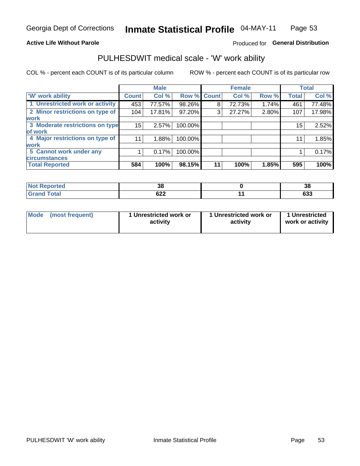### **Active Life Without Parole**

### Produced for General Distribution

## PULHESDWIT medical scale - 'W' work ability

COL % - percent each COUNT is of its particular column

|                                 |              | <b>Male</b> |         |             | <b>Female</b> |       |              | <b>Total</b> |
|---------------------------------|--------------|-------------|---------|-------------|---------------|-------|--------------|--------------|
| <b>W' work ability</b>          | <b>Count</b> | Col %       |         | Row % Count | Col %         | Row % | <b>Total</b> | Col %        |
| 1 Unrestricted work or activity | 453          | 77.57%      | 98.26%  | 8           | 72.73%        | 1.74% | 461          | 77.48%       |
| 2 Minor restrictions on type of | 104          | 17.81%      | 97.20%  | 3           | 27.27%        | 2.80% | 107          | 17.98%       |
| <b>work</b>                     |              |             |         |             |               |       |              |              |
| 3 Moderate restrictions on type | 15           | 2.57%       | 100.00% |             |               |       | 15           | 2.52%        |
| lof work                        |              |             |         |             |               |       |              |              |
| 4 Major restrictions on type of | 11           | 1.88%       | 100.00% |             |               |       | 11           | 1.85%        |
| <b>work</b>                     |              |             |         |             |               |       |              |              |
| 5 Cannot work under any         |              | 0.17%       | 100.00% |             |               |       |              | 0.17%        |
| <b>circumstances</b>            |              |             |         |             |               |       |              |              |
| <b>Total Reported</b>           | 584          | 100%        | 98.15%  | 11          | 100%          | 1.85% | 595          | 100%         |

| <b>Not Reported</b>  | $\sim$<br>၁၀ | 20<br>၁၀   |
|----------------------|--------------|------------|
| <b>Total</b><br>Cron | 622          | coo<br>ხაა |

| Mode (most frequent) | 1 Unrestricted work or | 1 Unrestricted work or | 1 Unrestricted   |
|----------------------|------------------------|------------------------|------------------|
|                      | activity               | activity               | work or activity |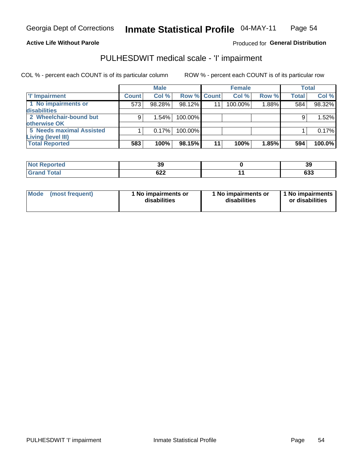### **Active Life Without Parole**

### Produced for General Distribution

## PULHESDWIT medical scale - 'I' impairment

COL % - percent each COUNT is of its particular column ROW % - percent each COUNT is of its particular row

|                                 |              | <b>Male</b> |             |    | <b>Female</b> |       |              | <b>Total</b> |
|---------------------------------|--------------|-------------|-------------|----|---------------|-------|--------------|--------------|
| <b>T' Impairment</b>            | <b>Count</b> | Col %       | Row % Count |    | Col %         | Row % | <b>Total</b> | Col %        |
| 1 No impairments or             | 573          | 98.28%      | 98.12%      | 11 | 100.00%       | 1.88% | 584          | 98.32%       |
| disabilities                    |              |             |             |    |               |       |              |              |
| 2 Wheelchair-bound but          | 9            | 1.54%       | 100.00%     |    |               |       |              | 1.52%        |
| otherwise OK                    |              |             |             |    |               |       |              |              |
| <b>5 Needs maximal Assisted</b> |              | 0.17%       | 100.00%     |    |               |       |              | 0.17%        |
| Living (level III)              |              |             |             |    |               |       |              |              |
| <b>Total Reported</b>           | 583          | 100%        | 98.15%      | 11 | 100%          | 1.85% | 594          | $100.0\%$    |

| <b>Not Reported</b> | 39         | 39       |
|---------------------|------------|----------|
| Total               | <b>DZŁ</b> | …<br>งงง |

| Mode            | 1 No impairments or | 1 No impairments or | 1 No impairments |
|-----------------|---------------------|---------------------|------------------|
| (most frequent) | disabilities        | disabilities        | or disabilities  |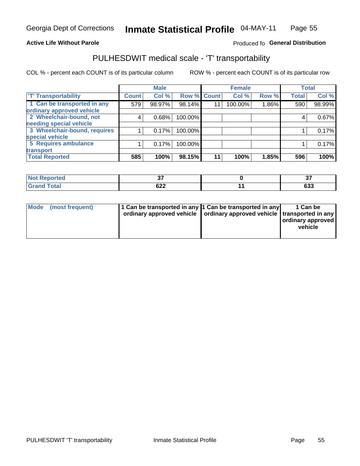### **Active Life Without Parole**

### Produced fo General Distribution

## PULHESDWIT medical scale - 'T' transportability

COL % - percent each COUNT is of its particular column

|                              |                    | <b>Male</b> |         |             | <b>Female</b> |       |              | <b>Total</b> |
|------------------------------|--------------------|-------------|---------|-------------|---------------|-------|--------------|--------------|
| <b>T' Transportability</b>   | Count <sup>1</sup> | Col %       |         | Row % Count | Col %         | Row % | <b>Total</b> | Col %        |
| 1 Can be transported in any  | 579                | 98.97%      | 98.14%  | 11          | 100.00%       | 1.86% | 590          | 98.99%       |
| ordinary approved vehicle    |                    |             |         |             |               |       |              |              |
| 2 Wheelchair-bound, not      | 4                  | 0.68%       | 100.00% |             |               |       |              | 0.67%        |
| needing special vehicle      |                    |             |         |             |               |       |              |              |
| 3 Wheelchair-bound, requires |                    | 0.17%       | 100.00% |             |               |       |              | 0.17%        |
| special vehicle              |                    |             |         |             |               |       |              |              |
| 5 Requires ambulance         |                    | 0.17%       | 100.00% |             |               |       |              | 0.17%        |
| transport                    |                    |             |         |             |               |       |              |              |
| <b>Total Reported</b>        | 585                | 100%        | 98.15%  | 11          | 100%          | 1.85% | 596          | 100%         |

| .eported     | $\sim$<br>$\cdot$ | $\sim$<br>J,     |
|--------------|-------------------|------------------|
| <b>Total</b> | 622               | <b>000</b><br>ნა |

| <b>Mode</b> | (most frequent) | 1 Can be transported in any 1 Can be transported in any | ordinary approved vehicle   ordinary approved vehicle   transported in any | 1 Can be<br>  ordinary approved  <br>vehicle |
|-------------|-----------------|---------------------------------------------------------|----------------------------------------------------------------------------|----------------------------------------------|
|-------------|-----------------|---------------------------------------------------------|----------------------------------------------------------------------------|----------------------------------------------|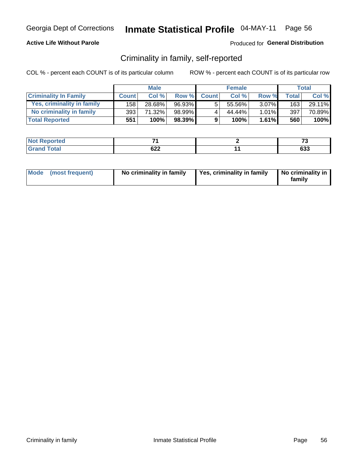### **Active Life Without Parole**

### Produced for General Distribution

## Criminality in family, self-reported

COL % - percent each COUNT is of its particular column

|                              | <b>Male</b>  |        | <b>Female</b> |              |        | Total    |       |        |
|------------------------------|--------------|--------|---------------|--------------|--------|----------|-------|--------|
| <b>Criminality In Family</b> | <b>Count</b> | Col%   | Row %         | <b>Count</b> | Col %  | Row %    | Total | Col %  |
| Yes, criminality in family   | 158          | 28.68% | 96.93%        | 5            | 55.56% | $3.07\%$ | 163   | 29.11% |
| No criminality in family     | 393          | 71.32% | 98.99%        |              | 44.44% | $1.01\%$ | 397   | 70.89% |
| <b>Total Reported</b>        | 551          | 100%   | 98.39%        | 9            | 100%   | $1.61\%$ | 560   | 100%   |

| Reported<br><b>NOT</b> | _          | $\mathbf{r}$<br>. . |
|------------------------|------------|---------------------|
| <b>Total</b>           | ດາາ<br>92Z | $\sim$<br>დაა       |

|  | Mode (most frequent) | No criminality in family | Yes, criminality in family | No criminality in<br>family |
|--|----------------------|--------------------------|----------------------------|-----------------------------|
|--|----------------------|--------------------------|----------------------------|-----------------------------|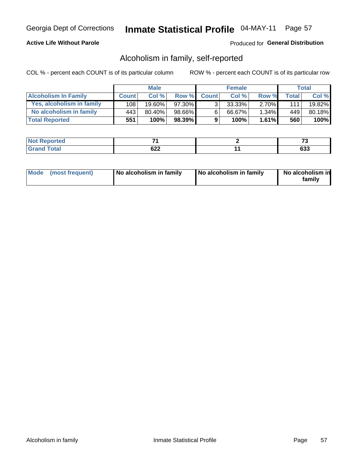### **Active Life Without Parole**

### Produced for General Distribution

## Alcoholism in family, self-reported

COL % - percent each COUNT is of its particular column

|                             | <b>Male</b>  |           | <b>Female</b> |              |        | Total    |       |        |
|-----------------------------|--------------|-----------|---------------|--------------|--------|----------|-------|--------|
| <b>Alcoholism In Family</b> | <b>Count</b> | Col%      | Row %         | <b>Count</b> | Col %  | Row %    | Total | Col %  |
| Yes, alcoholism in family   | 108          | $19.60\%$ | 97.30%        | ્ર           | 33.33% | $2.70\%$ | 1111  | 19.82% |
| No alcoholism in family     | 443          | 80.40%    | 98.66%I       | 6            | 66.67% | $1.34\%$ | 449   | 80.18% |
| <b>Total Reported</b>       | 551          | 100%      | 98.39%        | 9            | 100%   | $1.61\%$ | 560   | 100%   |

| <b>Not Reported</b> | _   | $\sim$ |
|---------------------|-----|--------|
| <b>Total</b>        | coo |        |
| <b>Grand</b>        | UZZ | ნაა    |

|  | Mode (most frequent) | No alcoholism in family | No alcoholism in family | No alcoholism in<br>family |
|--|----------------------|-------------------------|-------------------------|----------------------------|
|--|----------------------|-------------------------|-------------------------|----------------------------|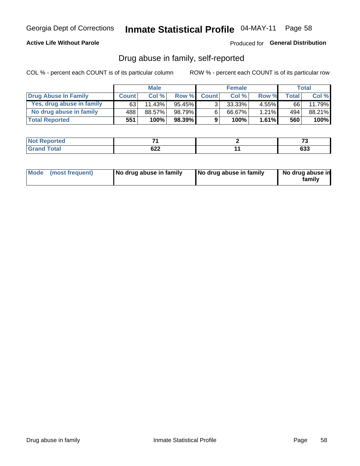### **Active Life Without Parole**

Produced for General Distribution

## Drug abuse in family, self-reported

COL % - percent each COUNT is of its particular column

|                           | <b>Male</b>  |        | <b>Female</b> |                |        | Total    |       |         |
|---------------------------|--------------|--------|---------------|----------------|--------|----------|-------|---------|
| Drug Abuse In Family      | <b>Count</b> | Col%   | Row %         | <b>Count</b>   | Col%   | Row %    | Total | Col %   |
| Yes, drug abuse in family | 631          | 11.43% | 95.45% I      | 3 <sub>1</sub> | 33.33% | $4.55\%$ | 66    | 11.79%  |
| No drug abuse in family   | 488          | 88.57% | 98.79%        | 6              | 66.67% | 1.21%    | 494   | 88.21%  |
| <b>Total Reported</b>     | 551          | 100%   | 98.39%        | 9              | 100%   | $1.61\%$ | 560   | $100\%$ |

| <b>Reported</b><br><b>NOT</b> | -          | --         |
|-------------------------------|------------|------------|
| <b>c</b> otal                 | coo<br>92Z | cog<br>ნაა |

|  | Mode (most frequent) | No drug abuse in family | No drug abuse in family | No drug abuse in<br>familv |
|--|----------------------|-------------------------|-------------------------|----------------------------|
|--|----------------------|-------------------------|-------------------------|----------------------------|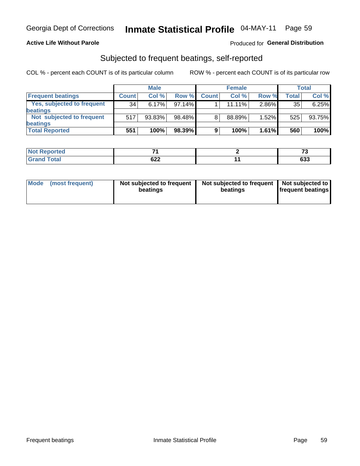### **Active Life Without Parole**

### Produced for General Distribution

## Subjected to frequent beatings, self-reported

COL % - percent each COUNT is of its particular column

|                            |                 | <b>Male</b> |        |              | <b>Female</b> | Total |       |        |
|----------------------------|-----------------|-------------|--------|--------------|---------------|-------|-------|--------|
| <b>Frequent beatings</b>   | <b>Count</b>    | Col %       | Row %  | <b>Count</b> | Col %         | Row % | Total | Col %  |
| Yes, subjected to frequent | 34 <sub>1</sub> | 6.17%       | 97.14% |              | 11.11%        | 2.86% | 35    | 6.25%  |
| <b>beatings</b>            |                 |             |        |              |               |       |       |        |
| Not subjected to frequent  | 517             | 93.83%      | 98.48% | 8            | 88.89%        | 1.52% | 525   | 93.75% |
| <b>beatings</b>            |                 |             |        |              |               |       |       |        |
| <b>Total Reported</b>      | 551             | 100%        | 98.39% | 9            | 100%          | 1.61% | 560   | 100%   |

| <b>Not Reported</b> | _   | $-$ |
|---------------------|-----|-----|
| <b>Grand Total</b>  | 622 | 633 |

| Mode | (most frequent) | Not subjected to frequent<br>beatings | Not subjected to frequent<br>beatings | Not subjected to<br><b>frequent beatings</b> |
|------|-----------------|---------------------------------------|---------------------------------------|----------------------------------------------|
|      |                 |                                       |                                       |                                              |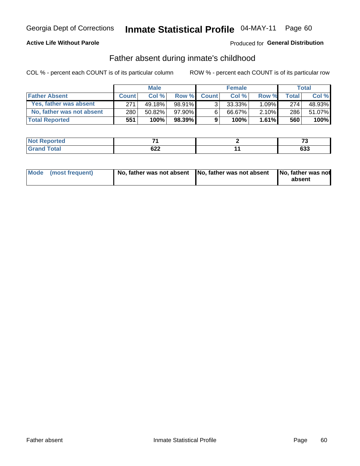### **Active Life Without Parole**

### Produced for General Distribution

## Father absent during inmate's childhood

COL % - percent each COUNT is of its particular column

|                           | <b>Male</b>  |           | <b>Female</b> |                |           | <b>Total</b> |              |        |
|---------------------------|--------------|-----------|---------------|----------------|-----------|--------------|--------------|--------|
| <b>Father Absent</b>      | <b>Count</b> | Col%      | Row %         | <b>Count</b>   | Col%      | Row %        | <b>Total</b> | Col %  |
| Yes, father was absent    | 271          | 49.18%    | 98.91%        | 3 <sub>1</sub> | $33.33\%$ | $1.09\%$     | 274          | 48.93% |
| No, father was not absent | 280          | $50.82\%$ | 97.90%        | 6              | 66.67%    | $2.10\%$     | 286          | 51.07% |
| <b>Total Reported</b>     | 551          | 100%      | $98.39\%$     | 9              | 100%      | $1.61\%$     | 560          | 100%   |

| <b>Not Reported</b> | _   | $\cdot$ |
|---------------------|-----|---------|
| <b>Total</b>        | cnn | $\sim$  |
| ' Grand ገ∖          | uzz | დაა     |

|  | Mode (most frequent) | No, father was not absent No, father was not absent |  | No, father was not<br>absent |
|--|----------------------|-----------------------------------------------------|--|------------------------------|
|--|----------------------|-----------------------------------------------------|--|------------------------------|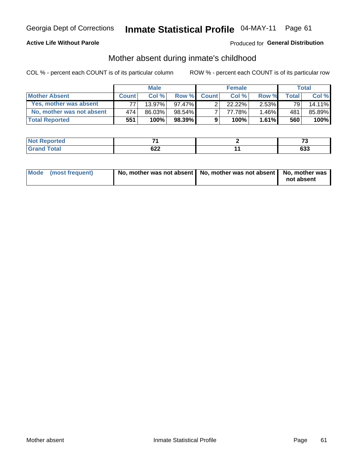### **Active Life Without Parole**

### Produced for General Distribution

## Mother absent during inmate's childhood

COL % - percent each COUNT is of its particular column

|                           | <b>Male</b>  |        | <b>Female</b> |              |        | <b>Total</b> |         |        |
|---------------------------|--------------|--------|---------------|--------------|--------|--------------|---------|--------|
| <b>Mother Absent</b>      | <b>Count</b> | Col%   | Row %         | <b>Count</b> | Col %  | Row %        | Total ⊧ | Col %  |
| Yes, mother was absent    | 77.          | 13.97% | 97.47%        | ◠            | 22.22% | $2.53\%$     | 79      | 14.11% |
| No, mother was not absent | 474          | 86.03% | $98.54\%$     |              | 77.78% | $1.46\%$     | 481     | 85.89% |
| <b>Total Reported</b>     | 551          | 100%   | $98.39\%$     | 9            | 100%   | 1.61%        | 560     | 100%   |

| Reported<br><b>NOT</b> |                   | $\sim$<br>--  |
|------------------------|-------------------|---------------|
| Total                  | coo<br><b>UZZ</b> | $\sim$<br>ხაა |

| Mode (most frequent) | No, mother was not absent   No, mother was not absent   No, mother was | not absent |
|----------------------|------------------------------------------------------------------------|------------|
|                      |                                                                        |            |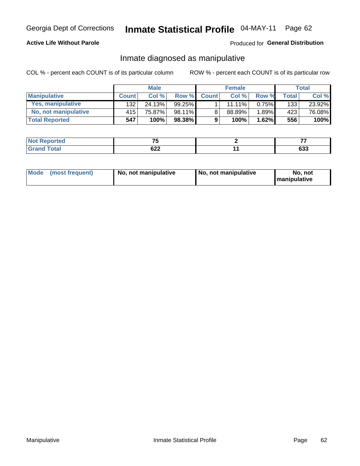### **Active Life Without Parole**

### Produced for General Distribution

## Inmate diagnosed as manipulative

COL % - percent each COUNT is of its particular column

|                          | <b>Male</b>  |        |           |              | <b>Female</b> | Total |              |        |
|--------------------------|--------------|--------|-----------|--------------|---------------|-------|--------------|--------|
| <b>Manipulative</b>      | <b>Count</b> | Col%   | Row %     | <b>Count</b> | Col %         | Row % | <b>Total</b> | Col %  |
| <b>Yes, manipulative</b> | 132          | 24.13% | $99.25\%$ |              | 11.11%        | 0.75% | 133          | 23.92% |
| No, not manipulative     | 415          | 75.87% | 98.11%    | 8            | 88.89%        | 1.89% | 423          | 76.08% |
| <b>Total Reported</b>    | 547          | 100%   | $98.38\%$ | 9            | 100%          | 1.62% | 556          | 100%   |

| ∩rted<br><b>NO</b> t | --  |            |
|----------------------|-----|------------|
| <b>Contract</b>      |     | <b>000</b> |
| $\sim$               | ◡▵▴ | ნაა        |

| Mode | (most frequent) | No, not manipulative | No, not manipulative | No. not<br><b>I</b> manipulative |
|------|-----------------|----------------------|----------------------|----------------------------------|
|------|-----------------|----------------------|----------------------|----------------------------------|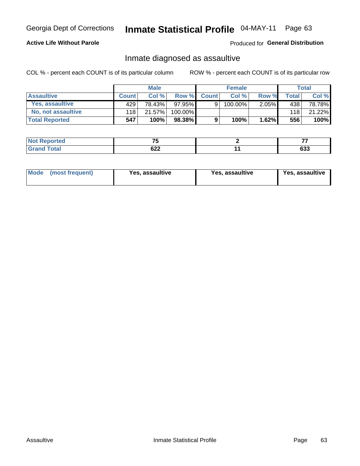## Inmate Statistical Profile 04-MAY-11 Page 63

### **Active Life Without Parole**

Produced for General Distribution

## Inmate diagnosed as assaultive

COL % - percent each COUNT is of its particular column

|                       | <b>Male</b>  |        |         | <b>Female</b> |         |          | Total |        |
|-----------------------|--------------|--------|---------|---------------|---------|----------|-------|--------|
| <b>Assaultive</b>     | <b>Count</b> | Col%   | Row %   | <b>Count</b>  | Col %   | Row %    | Total | Col %  |
| Yes, assaultive       | 429          | 78.43% | 97.95%  | 9             | 100.00% | $2.05\%$ | 438   | 78.78% |
| No, not assaultive    | 118          | 21.57% | 100.00% |               |         |          | 118   | 21.22% |
| <b>Total Reported</b> | 547          | 100%   | 98.38%  | 9             | 100%    | 1.62%    | 556   | 100%   |

| <b>Not Reported</b> | --         | --  |
|---------------------|------------|-----|
| <b>Total</b>        | coo<br>◡∠∠ | 633 |

| Mode (most frequent)<br>Yes, assaultive | Yes, assaultive | <b>Yes, assaultive</b> |
|-----------------------------------------|-----------------|------------------------|
|-----------------------------------------|-----------------|------------------------|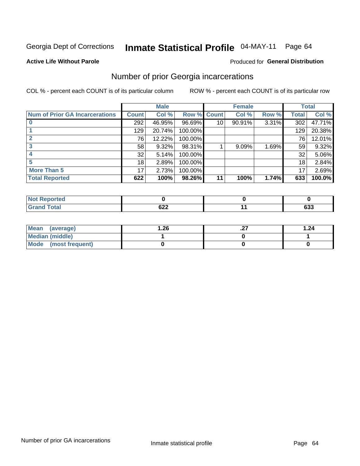#### Inmate Statistical Profile 04-MAY-11 Page 64

### **Active Life Without Parole**

### **Produced for General Distribution**

## Number of prior Georgia incarcerations

COL % - percent each COUNT is of its particular column

|                                       | <b>Male</b>  |        |         |                 | <b>Female</b> | <b>Total</b> |              |        |
|---------------------------------------|--------------|--------|---------|-----------------|---------------|--------------|--------------|--------|
| <b>Num of Prior GA Incarcerations</b> | <b>Count</b> | Col %  | Row %   | <b>Count</b>    | Col %         | Row %        | <b>Total</b> | Col %  |
|                                       | 292          | 46.95% | 96.69%  | 10 <sup>1</sup> | 90.91%        | 3.31%        | 302          | 47.71% |
|                                       | 129          | 20.74% | 100.00% |                 |               |              | 129          | 20.38% |
|                                       | 76           | 12.22% | 100.00% |                 |               |              | 76           | 12.01% |
|                                       | 58           | 9.32%  | 98.31%  |                 | 9.09%         | 1.69%        | 59           | 9.32%  |
|                                       | 32           | 5.14%  | 100.00% |                 |               |              | 32           | 5.06%  |
|                                       | 18           | 2.89%  | 100.00% |                 |               |              | 18           | 2.84%  |
| <b>More Than 5</b>                    | 17           | 2.73%  | 100.00% |                 |               |              | 17           | 2.69%  |
| <b>Total Reported</b>                 | 622          | 100%   | 98.26%  | 11              | 100%          | 1.74%        | 633          | 100.0% |

| Reported<br>Nt |            |            |
|----------------|------------|------------|
| <b>Total</b>   | coo<br>92Z | coo<br>ნაა |

| Mean (average)       | 26.، | . | 1.24 |
|----------------------|------|---|------|
| Median (middle)      |      |   |      |
| Mode (most frequent) |      |   |      |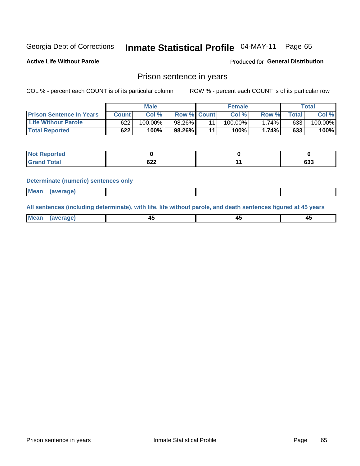#### Inmate Statistical Profile 04-MAY-11 Page 65

**Active Life Without Parole** 

**Produced for General Distribution** 

### Prison sentence in years

COL % - percent each COUNT is of its particular column

ROW % - percent each COUNT is of its particular row

|                                 | <b>Male</b> |            |                    |    | <b>Female</b> | Total |             |         |
|---------------------------------|-------------|------------|--------------------|----|---------------|-------|-------------|---------|
| <b>Prison Sentence In Years</b> | Count l     | Col %      | <b>Row % Count</b> |    | Col %         | Row % | $\tau$ otal | Col %   |
| <b>Life Without Parole</b>      | 622         | $100.00\%$ | 98.26%             |    | 100.00%       | 1.74% | 633         | 100.00% |
| <b>Total Reported</b>           | 622         | 100%       | 98.26%             | 44 | 100%          | 1.74% | 633         | 100%    |

| <b>Not Reported</b> |            |     |
|---------------------|------------|-----|
| <b>Grand Total</b>  | ດາາ<br>92Z | 633 |

### **Determinate (numeric) sentences only**

| (average) |             |  |  |
|-----------|-------------|--|--|
|           | <b>Mean</b> |  |  |

All sentences (including determinate), with life, life without parole, and death sentences figured at 45 years

| l Mea<br>апе<br>. | -⊷ |  |
|-------------------|----|--|
|                   |    |  |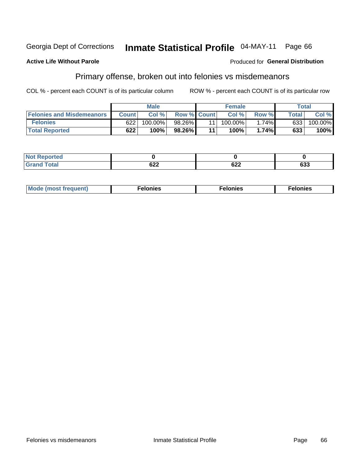#### Georgia Dept of Corrections Inmate Statistical Profile 04-MAY-11 Page 66

### **Active Life Without Parole**

### **Produced for General Distribution**

## Primary offense, broken out into felonies vs misdemeanors

COL % - percent each COUNT is of its particular column

|                                  |              | <b>Male</b> |                    |    | <b>Female</b> |       |              | Total   |
|----------------------------------|--------------|-------------|--------------------|----|---------------|-------|--------------|---------|
| <b>Felonies and Misdemeanors</b> | <b>Count</b> | Col%        | <b>Row % Count</b> |    | Col%          | Row % | <b>Total</b> | Col %   |
| <b>Felonies</b>                  | 622          | 100.00%     | 98.26%             |    | 100.00%       | 1.74% | 633          | 100.00% |
| <b>Total Reported</b>            | 622          | $100\%$     | 98.26%             | 44 | 100%          | 1.74% | 633          | 100%    |

| <b>Not Reported</b>         |     |                   |     |
|-----------------------------|-----|-------------------|-----|
| <b>Total</b><br>Gran<br>uuu | UZZ | <b>000</b><br>92Z | 633 |

| $Mc$<br>equent)<br>нез<br>$\sim$<br>. | onies<br>. | <b>onies</b><br>. |
|---------------------------------------|------------|-------------------|
|---------------------------------------|------------|-------------------|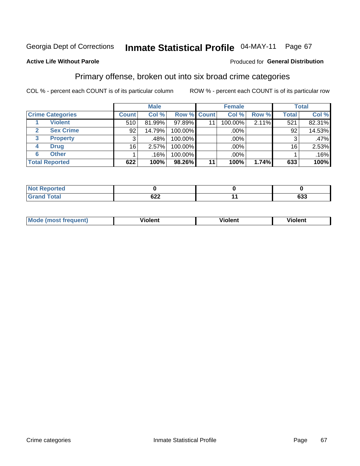#### Inmate Statistical Profile 04-MAY-11 Page 67

### **Active Life Without Parole**

### Produced for General Distribution

## Primary offense, broken out into six broad crime categories

COL % - percent each COUNT is of its particular column

|                         | <b>Male</b>  |        | <b>Female</b> |                    | <b>Total</b> |       |              |        |
|-------------------------|--------------|--------|---------------|--------------------|--------------|-------|--------------|--------|
| <b>Crime Categories</b> | <b>Count</b> | Col %  |               | <b>Row % Count</b> | Col %        | Row % | <b>Total</b> | Col %  |
| <b>Violent</b>          | 510          | 81.99% | 97.89%        | 11                 | 100.00%      | 2.11% | 521          | 82.31% |
| <b>Sex Crime</b>        | 92           | 14.79% | 100.00%       |                    | $.00\%$ $ $  |       | 92           | 14.53% |
| <b>Property</b><br>3    | 3            | .48%   | 100.00%       |                    | .00%         |       | 3            | .47%   |
| <b>Drug</b><br>4        | 16           | 2.57%  | 100.00%       |                    | .00%         |       | 16           | 2.53%  |
| <b>Other</b><br>6       |              | .16%   | 100.00%       |                    | $.00\%$      |       |              | .16%   |
| <b>Total Reported</b>   | 622          | 100%   | 98.26%        | 11                 | 100%         | 1.74% | 633          | 100%   |

| <b>Not Reported</b> |            |     |
|---------------------|------------|-----|
| <b>Total</b>        | coo<br>◡∠∠ | 633 |

| M | . | 40 O |
|---|---|------|
|   |   |      |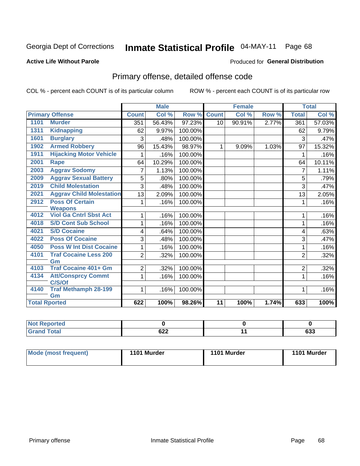#### Inmate Statistical Profile 04-MAY-11 Page 68

### **Active Life Without Parole**

### **Produced for General Distribution**

## Primary offense, detailed offense code

COL % - percent each COUNT is of its particular column

|      |                                 |                | <b>Male</b> |         |              | <b>Female</b> |       |                | <b>Total</b> |
|------|---------------------------------|----------------|-------------|---------|--------------|---------------|-------|----------------|--------------|
|      | <b>Primary Offense</b>          | <b>Count</b>   | Col %       | Row %   | <b>Count</b> | Col %         | Row % | <b>Total</b>   | Col%         |
| 1101 | <b>Murder</b>                   | 351            | 56.43%      | 97.23%  | 10           | 90.91%        | 2.77% | 361            | 57.03%       |
| 1311 | <b>Kidnapping</b>               | 62             | 9.97%       | 100.00% |              |               |       | 62             | 9.79%        |
| 1601 | <b>Burglary</b>                 | 3              | .48%        | 100.00% |              |               |       | 3              | .47%         |
| 1902 | <b>Armed Robbery</b>            | 96             | 15.43%      | 98.97%  | 1            | 9.09%         | 1.03% | 97             | 15.32%       |
| 1911 | <b>Hijacking Motor Vehicle</b>  |                | .16%        | 100.00% |              |               |       | 1              | .16%         |
| 2001 | Rape                            | 64             | 10.29%      | 100.00% |              |               |       | 64             | 10.11%       |
| 2003 | <b>Aggrav Sodomy</b>            | 7              | 1.13%       | 100.00% |              |               |       | $\overline{7}$ | 1.11%        |
| 2009 | <b>Aggrav Sexual Battery</b>    | 5              | .80%        | 100.00% |              |               |       | 5              | .79%         |
| 2019 | <b>Child Molestation</b>        | 3              | .48%        | 100.00% |              |               |       | 3              | .47%         |
| 2021 | <b>Aggrav Child Molestation</b> | 13             | 2.09%       | 100.00% |              |               |       | 13             | 2.05%        |
| 2912 | <b>Poss Of Certain</b>          | 1              | .16%        | 100.00% |              |               |       | 1              | .16%         |
|      | <b>Weapons</b>                  |                |             |         |              |               |       |                |              |
| 4012 | <b>Viol Ga Cntrl Sbst Act</b>   |                | .16%        | 100.00% |              |               |       | 1              | .16%         |
| 4018 | <b>S/D Cont Sub School</b>      | 1              | .16%        | 100.00% |              |               |       | 1              | .16%         |
| 4021 | <b>S/D Cocaine</b>              | 4              | .64%        | 100.00% |              |               |       | 4              | .63%         |
| 4022 | <b>Poss Of Cocaine</b>          | 3              | .48%        | 100.00% |              |               |       | 3              | .47%         |
| 4050 | <b>Poss W Int Dist Cocaine</b>  |                | .16%        | 100.00% |              |               |       | 1              | .16%         |
| 4101 | <b>Traf Cocaine Less 200</b>    | $\overline{2}$ | .32%        | 100.00% |              |               |       | $\overline{2}$ | .32%         |
|      | Gm                              |                |             |         |              |               |       |                |              |
| 4103 | <b>Traf Cocaine 401+ Gm</b>     | 2              | .32%        | 100.00% |              |               |       | $\overline{2}$ | .32%         |
| 4134 | <b>Att/Consprcy Commt</b>       | 1              | .16%        | 100.00% |              |               |       | 1              | .16%         |
|      | C/S/Of                          |                |             |         |              |               |       |                |              |
| 4140 | <b>Traf Methamph 28-199</b>     | 1              | .16%        | 100.00% |              |               |       | 1              | .16%         |
|      | Gm                              |                |             |         |              |               |       |                |              |
|      | <b>Total Rported</b>            | 622            | 100%        | 98.26%  | 11           | 100%          | 1.74% | 633            | 100%         |

| orted        |                   |                   |
|--------------|-------------------|-------------------|
| <b>Total</b> | cog<br><b>DZZ</b> | <b>000</b><br>დაა |

| Mode (most frequent) | 1101 Murder | 1101 Murder | 1101 Murder |
|----------------------|-------------|-------------|-------------|
|                      |             |             |             |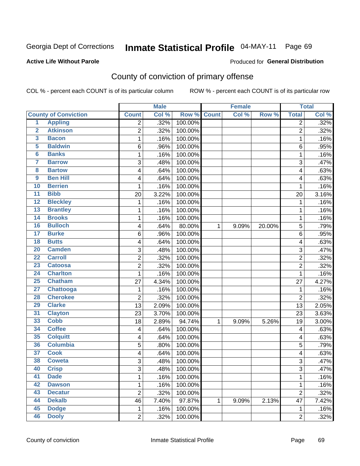# Inmate Statistical Profile 04-MAY-11 Page 69

### **Active Life Without Parole**

### Produced for General Distribution

## County of conviction of primary offense

COL % - percent each COUNT is of its particular column

|                         |                             |                         | <b>Male</b> |         |              | <b>Female</b> |        |                | <b>Total</b> |
|-------------------------|-----------------------------|-------------------------|-------------|---------|--------------|---------------|--------|----------------|--------------|
|                         | <b>County of Conviction</b> | <b>Count</b>            | Col %       | Row %   | <b>Count</b> | Col %         | Row %  | <b>Total</b>   | Col %        |
| 1                       | <b>Appling</b>              | 2                       | .32%        | 100.00% |              |               |        | $\overline{2}$ | .32%         |
| $\overline{2}$          | <b>Atkinson</b>             | $\overline{2}$          | .32%        | 100.00% |              |               |        | $\overline{2}$ | .32%         |
| $\overline{\mathbf{3}}$ | <b>Bacon</b>                | 1                       | .16%        | 100.00% |              |               |        | $\mathbf{1}$   | .16%         |
| $\overline{5}$          | <b>Baldwin</b>              | 6                       | .96%        | 100.00% |              |               |        | 6              | .95%         |
| $\overline{\mathbf{6}}$ | <b>Banks</b>                | 1                       | .16%        | 100.00% |              |               |        | $\mathbf{1}$   | .16%         |
| $\overline{\mathbf{7}}$ | <b>Barrow</b>               | 3                       | .48%        | 100.00% |              |               |        | 3              | .47%         |
| $\overline{\mathbf{8}}$ | <b>Bartow</b>               | 4                       | .64%        | 100.00% |              |               |        | 4              | .63%         |
| $\overline{9}$          | <b>Ben Hill</b>             | 4                       | .64%        | 100.00% |              |               |        | 4              | .63%         |
| 10                      | <b>Berrien</b>              | 1                       | .16%        | 100.00% |              |               |        | 1              | .16%         |
| $\overline{11}$         | <b>Bibb</b>                 | 20                      | 3.22%       | 100.00% |              |               |        | 20             | 3.16%        |
| $\overline{12}$         | <b>Bleckley</b>             | 1                       | .16%        | 100.00% |              |               |        | $\mathbf 1$    | .16%         |
| 13                      | <b>Brantley</b>             | 1                       | .16%        | 100.00% |              |               |        | 1              | .16%         |
| 14                      | <b>Brooks</b>               | 1                       | .16%        | 100.00% |              |               |        | $\mathbf{1}$   | .16%         |
| 16                      | <b>Bulloch</b>              | 4                       | .64%        | 80.00%  | 1            | 9.09%         | 20.00% | 5              | .79%         |
| $\overline{17}$         | <b>Burke</b>                | 6                       | .96%        | 100.00% |              |               |        | 6              | .95%         |
| $\overline{18}$         | <b>Butts</b>                | 4                       | .64%        | 100.00% |              |               |        | 4              | .63%         |
| 20                      | <b>Camden</b>               | 3                       | .48%        | 100.00% |              |               |        | 3              | .47%         |
| $\overline{22}$         | <b>Carroll</b>              | $\overline{\mathbf{c}}$ | .32%        | 100.00% |              |               |        | $\overline{c}$ | .32%         |
| 23                      | <b>Catoosa</b>              | 2                       | .32%        | 100.00% |              |               |        | $\overline{2}$ | .32%         |
| $\overline{24}$         | <b>Charlton</b>             | 1                       | .16%        | 100.00% |              |               |        | $\mathbf{1}$   | .16%         |
| 25                      | <b>Chatham</b>              | 27                      | 4.34%       | 100.00% |              |               |        | 27             | 4.27%        |
| $\overline{27}$         | <b>Chattooga</b>            | 1                       | .16%        | 100.00% |              |               |        | 1              | .16%         |
| 28                      | <b>Cherokee</b>             | $\overline{c}$          | .32%        | 100.00% |              |               |        | $\overline{2}$ | .32%         |
| 29                      | <b>Clarke</b>               | 13                      | 2.09%       | 100.00% |              |               |        | 13             | 2.05%        |
| $\overline{31}$         | <b>Clayton</b>              | 23                      | 3.70%       | 100.00% |              |               |        | 23             | 3.63%        |
| 33                      | <b>Cobb</b>                 | 18                      | 2.89%       | 94.74%  | 1            | 9.09%         | 5.26%  | 19             | 3.00%        |
| 34                      | <b>Coffee</b>               | 4                       | .64%        | 100.00% |              |               |        | 4              | .63%         |
| 35                      | <b>Colquitt</b>             | 4                       | .64%        | 100.00% |              |               |        | 4              | .63%         |
| 36                      | <b>Columbia</b>             | 5                       | .80%        | 100.00% |              |               |        | 5              | .79%         |
| $\overline{37}$         | <b>Cook</b>                 | 4                       | .64%        | 100.00% |              |               |        | 4              | .63%         |
| 38                      | <b>Coweta</b>               | 3                       | .48%        | 100.00% |              |               |        | 3              | .47%         |
| 40                      | <b>Crisp</b>                | 3                       | .48%        | 100.00% |              |               |        | 3              | .47%         |
| 41                      | <b>Dade</b>                 | $\mathbf 1$             | .16%        | 100.00% |              |               |        | $\mathbf{1}$   | .16%         |
| 42                      | <b>Dawson</b>               | $\mathbf 1$             | .16%        | 100.00% |              |               |        | 1              | .16%         |
| 43                      | <b>Decatur</b>              | $\overline{2}$          | .32%        | 100.00% |              |               |        | $\overline{2}$ | .32%         |
| 44                      | <b>Dekalb</b>               | 46                      | 7.40%       | 97.87%  | 1            | 9.09%         | 2.13%  | 47             | 7.42%        |
| 45                      | <b>Dodge</b>                | $\mathbf 1$             | .16%        | 100.00% |              |               |        | $\mathbf{1}$   | .16%         |
| 46                      | <b>Dooly</b>                | $\overline{2}$          | .32%        | 100.00% |              |               |        | $\overline{2}$ | .32%         |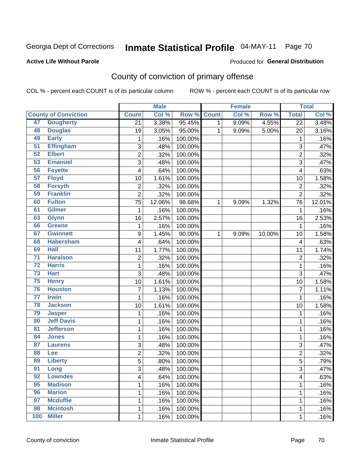# Inmate Statistical Profile 04-MAY-11 Page 70

### **Active Life Without Parole**

### Produced for General Distribution

## County of conviction of primary offense

COL % - percent each COUNT is of its particular column

|                 |                             |                         | <b>Male</b> |             |              | <b>Female</b> |        |                 | <b>Total</b> |
|-----------------|-----------------------------|-------------------------|-------------|-------------|--------------|---------------|--------|-----------------|--------------|
|                 | <b>County of Conviction</b> | <b>Count</b>            | Col %       | Row % Count |              | Col %         | Row %  | <b>Total</b>    | Col %        |
| 47              | <b>Dougherty</b>            | $\overline{21}$         | 3.38%       | 95.45%      | $\mathbf{1}$ | 9.09%         | 4.55%  | $\overline{22}$ | 3.48%        |
| 48              | <b>Douglas</b>              | 19                      | 3.05%       | 95.00%      | 1            | 9.09%         | 5.00%  | 20              | 3.16%        |
| 49              | <b>Early</b>                | 1                       | .16%        | 100.00%     |              |               |        | 1               | .16%         |
| 51              | <b>Effingham</b>            | 3                       | .48%        | 100.00%     |              |               |        | 3               | .47%         |
| 52              | <b>Elbert</b>               | $\overline{c}$          | .32%        | 100.00%     |              |               |        | $\overline{c}$  | .32%         |
| 53              | <b>Emanuel</b>              | 3                       | .48%        | 100.00%     |              |               |        | $\overline{3}$  | .47%         |
| 56              | <b>Fayette</b>              | 4                       | .64%        | 100.00%     |              |               |        | 4               | .63%         |
| 57              | <b>Floyd</b>                | 10                      | 1.61%       | 100.00%     |              |               |        | 10              | 1.58%        |
| 58              | <b>Forsyth</b>              | $\mathbf 2$             | .32%        | 100.00%     |              |               |        | $\mathbf 2$     | .32%         |
| 59              | <b>Franklin</b>             | $\overline{2}$          | .32%        | 100.00%     |              |               |        | $\overline{2}$  | .32%         |
| 60              | <b>Fulton</b>               | 75                      | 12.06%      | 98.68%      | 1            | 9.09%         | 1.32%  | 76              | 12.01%       |
| 61              | <b>Gilmer</b>               | $\mathbf 1$             | .16%        | 100.00%     |              |               |        | $\mathbf 1$     | .16%         |
| 63              | <b>Glynn</b>                | 16                      | 2.57%       | 100.00%     |              |               |        | 16              | 2.53%        |
| 66              | <b>Greene</b>               | 1                       | .16%        | 100.00%     |              |               |        | 1               | .16%         |
| 67              | <b>Gwinnett</b>             | 9                       | 1.45%       | 90.00%      | $\mathbf 1$  | 9.09%         | 10.00% | 10              | 1.58%        |
| 68              | <b>Habersham</b>            | 4                       | .64%        | 100.00%     |              |               |        | 4               | .63%         |
| 69              | <b>Hall</b>                 | 11                      | 1.77%       | 100.00%     |              |               |        | 11              | 1.74%        |
| $\overline{71}$ | <b>Haralson</b>             | $\overline{c}$          | .32%        | 100.00%     |              |               |        | $\overline{c}$  | .32%         |
| $\overline{72}$ | <b>Harris</b>               | 1                       | .16%        | 100.00%     |              |               |        | $\mathbf{1}$    | .16%         |
| 73              | <b>Hart</b>                 | 3                       | .48%        | 100.00%     |              |               |        | 3               | .47%         |
| 75              | <b>Henry</b>                | 10                      | 1.61%       | 100.00%     |              |               |        | 10              | 1.58%        |
| 76              | <b>Houston</b>              | 7                       | 1.13%       | 100.00%     |              |               |        | $\overline{7}$  | 1.11%        |
| $\overline{77}$ | <b>Irwin</b>                | 1                       | .16%        | 100.00%     |              |               |        | $\mathbf{1}$    | .16%         |
| 78              | <b>Jackson</b>              | 10                      | 1.61%       | 100.00%     |              |               |        | 10              | 1.58%        |
| 79              | <b>Jasper</b>               | 1                       | .16%        | 100.00%     |              |               |        | 1               | .16%         |
| 80              | <b>Jeff Davis</b>           | 1                       | .16%        | 100.00%     |              |               |        | 1               | .16%         |
| 81              | <b>Jefferson</b>            | 1                       | .16%        | 100.00%     |              |               |        | $\mathbf{1}$    | .16%         |
| 84              | <b>Jones</b>                | 1                       | .16%        | 100.00%     |              |               |        | 1               | .16%         |
| 87              | <b>Laurens</b>              | 3                       | .48%        | 100.00%     |              |               |        | 3               | .47%         |
| 88              | <b>Lee</b>                  | $\overline{\mathbf{c}}$ | .32%        | 100.00%     |              |               |        | $\overline{c}$  | .32%         |
| 89              | <b>Liberty</b>              | $\overline{5}$          | .80%        | 100.00%     |              |               |        | $\overline{5}$  | .79%         |
| 91              | Long                        | 3                       | .48%        | 100.00%     |              |               |        | 3               | .47%         |
| 92              | <b>Lowndes</b>              | 4                       | .64%        | 100.00%     |              |               |        | 4               | .63%         |
| 95              | <b>Madison</b>              | 1                       | .16%        | 100.00%     |              |               |        | 1               | .16%         |
| 96              | <b>Marion</b>               | 1                       | .16%        | 100.00%     |              |               |        | 1               | .16%         |
| 97              | <b>Mcduffie</b>             | 1                       | .16%        | 100.00%     |              |               |        | 1               | .16%         |
| 98              | <b>Mcintosh</b>             | $\mathbf{1}$            | .16%        | 100.00%     |              |               |        | 1               | .16%         |
| 100             | <b>Miller</b>               | $\mathbf 1$             | .16%        | 100.00%     |              |               |        | 1               | .16%         |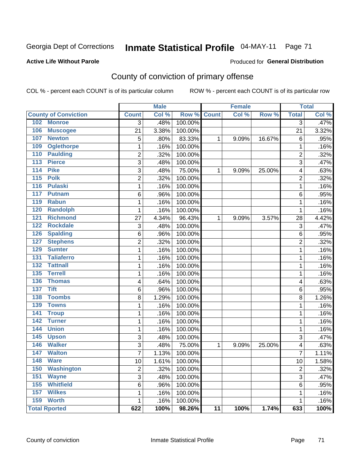# Inmate Statistical Profile 04-MAY-11 Page 71

### **Active Life Without Parole**

### Produced for General Distribution

## County of conviction of primary offense

COL % - percent each COUNT is of its particular column

|                                  |                | <b>Male</b> |         |                 | <b>Female</b> |        |                         | <b>Total</b> |
|----------------------------------|----------------|-------------|---------|-----------------|---------------|--------|-------------------------|--------------|
| <b>County of Conviction</b>      | <b>Count</b>   | Col %       | Row %   | <b>Count</b>    | Col %         | Row %  | <b>Total</b>            | Col %        |
| <b>Monroe</b><br>102             | 3              | .48%        | 100.00% |                 |               |        | 3                       | .47%         |
| 106<br><b>Muscogee</b>           | 21             | 3.38%       | 100.00% |                 |               |        | 21                      | 3.32%        |
| 107<br><b>Newton</b>             | 5              | .80%        | 83.33%  | 1               | 9.09%         | 16.67% | 6                       | .95%         |
| <b>Oglethorpe</b><br>109         | 1              | .16%        | 100.00% |                 |               |        | 1                       | .16%         |
| <b>Paulding</b><br>110           | $\overline{c}$ | .32%        | 100.00% |                 |               |        | $\overline{2}$          | .32%         |
| <b>Pierce</b><br>113             | 3              | .48%        | 100.00% |                 |               |        | 3                       | .47%         |
| 114<br><b>Pike</b>               | 3              | .48%        | 75.00%  | 1               | 9.09%         | 25.00% | 4                       | .63%         |
| 115<br><b>Polk</b>               | 2              | .32%        | 100.00% |                 |               |        | $\overline{2}$          | .32%         |
| 116<br><b>Pulaski</b>            | 1              | .16%        | 100.00% |                 |               |        | 1                       | .16%         |
| 117<br><b>Putnam</b>             | 6              | .96%        | 100.00% |                 |               |        | 6                       | .95%         |
| <b>Rabun</b><br>119              | 1              | .16%        | 100.00% |                 |               |        | 1                       | .16%         |
| <b>Randolph</b><br>120           | 1              | .16%        | 100.00% |                 |               |        | 1                       | .16%         |
| <b>Richmond</b><br>121           | 27             | 4.34%       | 96.43%  | 1               | 9.09%         | 3.57%  | 28                      | 4.42%        |
| <b>Rockdale</b><br>122           | 3              | .48%        | 100.00% |                 |               |        | 3                       | .47%         |
| <b>Spalding</b><br>126           | 6              | .96%        | 100.00% |                 |               |        | 6                       | .95%         |
| <b>Stephens</b><br>127           | $\overline{2}$ | .32%        | 100.00% |                 |               |        | $\overline{2}$          | .32%         |
| 129<br><b>Sumter</b>             | 1              | .16%        | 100.00% |                 |               |        | 1                       | .16%         |
| <b>Taliaferro</b><br>131         | 1              | .16%        | 100.00% |                 |               |        | 1                       | .16%         |
| <b>Tattnall</b><br>132           | 1              | .16%        | 100.00% |                 |               |        | 1                       | .16%         |
| 135<br><b>Terrell</b>            | 1              | .16%        | 100.00% |                 |               |        | 1                       | .16%         |
| 136<br><b>Thomas</b>             | 4              | .64%        | 100.00% |                 |               |        | 4                       | .63%         |
| <b>Tift</b><br>137               | 6              | .96%        | 100.00% |                 |               |        | 6                       | .95%         |
| <b>Toombs</b><br>138             | 8              | 1.29%       | 100.00% |                 |               |        | 8                       | 1.26%        |
| <b>Towns</b><br>139              | 1              | .16%        | 100.00% |                 |               |        | 1                       | .16%         |
| $\overline{141}$<br><b>Troup</b> | 1              | .16%        | 100.00% |                 |               |        | 1                       | .16%         |
| 142<br><b>Turner</b>             | 1              | .16%        | 100.00% |                 |               |        | 1                       | .16%         |
| 144<br><b>Union</b>              | 1              | .16%        | 100.00% |                 |               |        | 1                       | .16%         |
| 145<br><b>Upson</b>              | 3              | .48%        | 100.00% |                 |               |        | 3                       | .47%         |
| <b>Walker</b><br>146             | 3              | .48%        | 75.00%  | 1               | 9.09%         | 25.00% | 4                       | .63%         |
| 147<br><b>Walton</b>             | $\overline{7}$ | 1.13%       | 100.00% |                 |               |        | $\overline{7}$          | 1.11%        |
| <b>Ware</b><br>148               | 10             | 1.61%       | 100.00% |                 |               |        | 10                      | 1.58%        |
| 150<br>Washington                | 2              | .32%        | 100.00% |                 |               |        | $\overline{\mathbf{c}}$ | .32%         |
| 151<br><b>Wayne</b>              | 3              | .48%        | 100.00% |                 |               |        | 3                       | .47%         |
| <b>Whitfield</b><br>155          | 6              | .96%        | 100.00% |                 |               |        | 6                       | .95%         |
| <b>Wilkes</b><br>157             | 1              | .16%        | 100.00% |                 |               |        | 1                       | .16%         |
| 159 Worth                        | 1              | .16%        | 100.00% |                 |               |        | 1                       | .16%         |
| <b>Total Rported</b>             | 622            | 100%        | 98.26%  | $\overline{11}$ | 100%          | 1.74%  | 633                     | 100%         |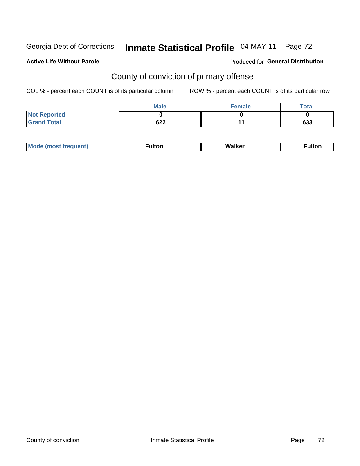# Inmate Statistical Profile 04-MAY-11 Page 72

### **Active Life Without Parole**

### Produced for General Distribution

## County of conviction of primary offense

COL % - percent each COUNT is of its particular column

|                     | <b>Male</b> | <b>Female</b> | <b>Total</b> |
|---------------------|-------------|---------------|--------------|
| <b>Not Reported</b> |             |               |              |
| <b>Grand Total</b>  | 622         |               | 633          |

|  | M<br>. | .<br>uı | alker<br>w | . |
|--|--------|---------|------------|---|
|--|--------|---------|------------|---|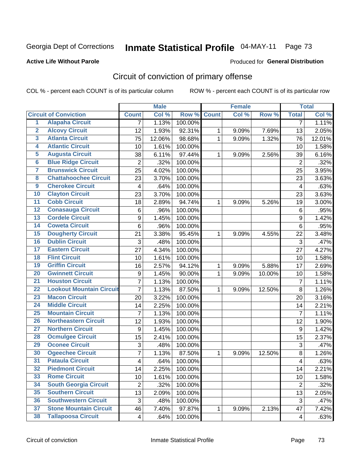Georgia Dept of Corrections

# Inmate Statistical Profile 04-MAY-11 Page 73

### **Active Life Without Parole**

#### Produced for General Distribution

# Circuit of conviction of primary offense

COL % - percent each COUNT is of its particular column

|                         |                                 |                | <b>Male</b> |         |              | <b>Female</b> |        |                         | <b>Total</b> |
|-------------------------|---------------------------------|----------------|-------------|---------|--------------|---------------|--------|-------------------------|--------------|
|                         | <b>Circuit of Conviction</b>    | <b>Count</b>   | Col %       | Row %   | <b>Count</b> | Col%          | Row %  | <b>Total</b>            | Col %        |
| 1                       | <b>Alapaha Circuit</b>          | 7              | 1.13%       | 100.00% |              |               |        | 7                       | 1.11%        |
| $\overline{2}$          | <b>Alcovy Circuit</b>           | 12             | 1.93%       | 92.31%  | 1            | 9.09%         | 7.69%  | 13                      | 2.05%        |
| $\overline{\mathbf{3}}$ | <b>Atlanta Circuit</b>          | 75             | 12.06%      | 98.68%  | $\mathbf 1$  | 9.09%         | 1.32%  | 76                      | 12.01%       |
| 4                       | <b>Atlantic Circuit</b>         | 10             | 1.61%       | 100.00% |              |               |        | 10                      | 1.58%        |
| 5                       | <b>Augusta Circuit</b>          | 38             | 6.11%       | 97.44%  | $\mathbf 1$  | 9.09%         | 2.56%  | 39                      | 6.16%        |
| $\overline{\mathbf{6}}$ | <b>Blue Ridge Circuit</b>       | $\overline{2}$ | .32%        | 100.00% |              |               |        | $\overline{2}$          | .32%         |
| $\overline{\mathbf{7}}$ | <b>Brunswick Circuit</b>        | 25             | 4.02%       | 100.00% |              |               |        | 25                      | 3.95%        |
| $\overline{\mathbf{8}}$ | <b>Chattahoochee Circuit</b>    | 23             | 3.70%       | 100.00% |              |               |        | 23                      | 3.63%        |
| $\overline{9}$          | <b>Cherokee Circuit</b>         | 4              | .64%        | 100.00% |              |               |        | $\overline{\mathbf{4}}$ | .63%         |
| 10                      | <b>Clayton Circuit</b>          | 23             | 3.70%       | 100.00% |              |               |        | 23                      | 3.63%        |
| $\overline{11}$         | <b>Cobb Circuit</b>             | 18             | 2.89%       | 94.74%  | 1            | 9.09%         | 5.26%  | 19                      | 3.00%        |
| $\overline{12}$         | <b>Conasauga Circuit</b>        | 6              | .96%        | 100.00% |              |               |        | 6                       | .95%         |
| 13                      | <b>Cordele Circuit</b>          | 9              | 1.45%       | 100.00% |              |               |        | $\boldsymbol{9}$        | 1.42%        |
| 14                      | <b>Coweta Circuit</b>           | 6              | .96%        | 100.00% |              |               |        | 6                       | .95%         |
| 15                      | <b>Dougherty Circuit</b>        | 21             | 3.38%       | 95.45%  | 1            | 9.09%         | 4.55%  | 22                      | 3.48%        |
| 16                      | <b>Dublin Circuit</b>           | 3              | .48%        | 100.00% |              |               |        | 3                       | .47%         |
| 17                      | <b>Eastern Circuit</b>          | 27             | 4.34%       | 100.00% |              |               |        | 27                      | 4.27%        |
| 18                      | <b>Flint Circuit</b>            | 10             | 1.61%       | 100.00% |              |               |        | 10                      | 1.58%        |
| 19                      | <b>Griffin Circuit</b>          | 16             | 2.57%       | 94.12%  | 1            | 9.09%         | 5.88%  | 17                      | 2.69%        |
| 20                      | <b>Gwinnett Circuit</b>         | 9              | 1.45%       | 90.00%  | 1            | 9.09%         | 10.00% | 10                      | 1.58%        |
| $\overline{21}$         | <b>Houston Circuit</b>          | $\overline{7}$ | 1.13%       | 100.00% |              |               |        | $\overline{7}$          | 1.11%        |
| $\overline{22}$         | <b>Lookout Mountain Circuit</b> | $\overline{7}$ | 1.13%       | 87.50%  | 1            | 9.09%         | 12.50% | 8                       | 1.26%        |
| 23                      | <b>Macon Circuit</b>            | 20             | 3.22%       | 100.00% |              |               |        | 20                      | 3.16%        |
| $\overline{24}$         | <b>Middle Circuit</b>           | 14             | 2.25%       | 100.00% |              |               |        | 14                      | 2.21%        |
| $\overline{25}$         | <b>Mountain Circuit</b>         | $\overline{7}$ | 1.13%       | 100.00% |              |               |        | $\overline{7}$          | 1.11%        |
| 26                      | <b>Northeastern Circuit</b>     | 12             | 1.93%       | 100.00% |              |               |        | 12                      | 1.90%        |
| $\overline{27}$         | <b>Northern Circuit</b>         | 9              | 1.45%       | 100.00% |              |               |        | 9                       | 1.42%        |
| 28                      | <b>Ocmulgee Circuit</b>         | 15             | 2.41%       | 100.00% |              |               |        | 15                      | 2.37%        |
| 29                      | <b>Oconee Circuit</b>           | 3              | .48%        | 100.00% |              |               |        | 3                       | .47%         |
| 30                      | <b>Ogeechee Circuit</b>         | 7              | 1.13%       | 87.50%  | 1            | 9.09%         | 12.50% | 8                       | 1.26%        |
| $\overline{31}$         | <b>Pataula Circuit</b>          | 4              | .64%        | 100.00% |              |               |        | 4                       | .63%         |
| 32                      | <b>Piedmont Circuit</b>         | 14             | 2.25%       | 100.00% |              |               |        | 14                      | 2.21%        |
| 33                      | <b>Rome Circuit</b>             | 10             | 1.61%       | 100.00% |              |               |        | 10                      | 1.58%        |
| 34                      | <b>South Georgia Circuit</b>    | $\overline{2}$ | .32%        | 100.00% |              |               |        | $\overline{2}$          | .32%         |
| 35                      | <b>Southern Circuit</b>         | 13             | 2.09%       | 100.00% |              |               |        | 13                      | 2.05%        |
| 36                      | <b>Southwestern Circuit</b>     | 3              | .48%        | 100.00% |              |               |        | 3                       | .47%         |
| 37                      | <b>Stone Mountain Circuit</b>   | 46             | 7.40%       | 97.87%  | 1            | 9.09%         | 2.13%  | 47                      | 7.42%        |
| 38                      | <b>Tallapoosa Circuit</b>       | $\overline{4}$ | .64%        | 100.00% |              |               |        | 4                       | .63%         |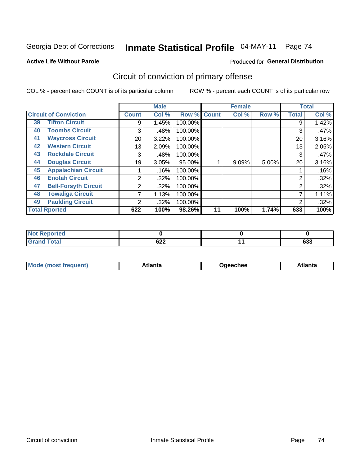Georgia Dept of Corrections

#### Inmate Statistical Profile 04-MAY-11 Page 74

### **Active Life Without Parole**

#### Produced for General Distribution

# Circuit of conviction of primary offense

COL % - percent each COUNT is of its particular column

|    |                              |              | <b>Male</b> |         |              | <b>Female</b> |       |                | <b>Total</b> |
|----|------------------------------|--------------|-------------|---------|--------------|---------------|-------|----------------|--------------|
|    | <b>Circuit of Conviction</b> | <b>Count</b> | Col %       | Row %   | <b>Count</b> | Col %         | Row % | <b>Total</b>   | Col %        |
| 39 | <b>Tifton Circuit</b>        | 9            | 1.45%       | 100.00% |              |               |       | 9              | 1.42%        |
| 40 | <b>Toombs Circuit</b>        | 3            | .48%        | 100.00% |              |               |       | 3              | .47%         |
| 41 | <b>Waycross Circuit</b>      | 20           | 3.22%       | 100.00% |              |               |       | 20             | 3.16%        |
| 42 | <b>Western Circuit</b>       | 13           | 2.09%       | 100.00% |              |               |       | 13             | 2.05%        |
| 43 | <b>Rockdale Circuit</b>      | 3            | .48%        | 100.00% |              |               |       | 3              | .47%         |
| 44 | <b>Douglas Circuit</b>       | 19           | 3.05%       | 95.00%  |              | 9.09%         | 5.00% | 20             | 3.16%        |
| 45 | <b>Appalachian Circuit</b>   |              | .16%        | 100.00% |              |               |       |                | .16%         |
| 46 | <b>Enotah Circuit</b>        | 2            | $.32\%$     | 100.00% |              |               |       | 2              | .32%         |
| 47 | <b>Bell-Forsyth Circuit</b>  | 2            | .32%        | 100.00% |              |               |       | $\overline{2}$ | .32%         |
| 48 | <b>Towaliga Circuit</b>      | 7            | 1.13%       | 100.00% |              |               |       | ⇁              | 1.11%        |
| 49 | <b>Paulding Circuit</b>      | ົ            | $.32\%$     | 100.00% |              |               |       | 2              | .32%         |
|    | <b>Total Rported</b>         | 622          | 100%        | 98.26%  | 11           | 100%          | 1.74% | 633            | 100%         |

| eported     |        |            |
|-------------|--------|------------|
| <b>otal</b> | $\sim$ | <b>000</b> |
| $\sim$      | ◡∠∠    | ნაა        |

| Mc<br>tlanta<br>\tlanta<br>echee: |
|-----------------------------------|
|-----------------------------------|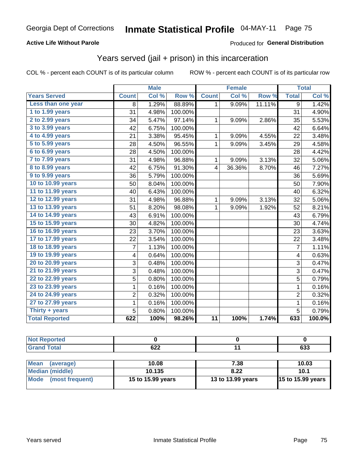### **Active Life Without Parole**

### Produced for General Distribution

# Years served (jail + prison) in this incarceration

COL % - percent each COUNT is of its particular column

|                       |              | <b>Male</b> |         |                 | <b>Female</b> |        |                | <b>Total</b> |
|-----------------------|--------------|-------------|---------|-----------------|---------------|--------|----------------|--------------|
| <b>Years Served</b>   | <b>Count</b> | Col %       | Row %   | <b>Count</b>    | Col %         | Row %  | <b>Total</b>   | Col %        |
| Less than one year    | 8            | 1.29%       | 88.89%  | 1.              | 9.09%         | 11.11% | 9              | 1.42%        |
| 1 to 1.99 years       | 31           | 4.98%       | 100.00% |                 |               |        | 31             | 4.90%        |
| $2$ to 2.99 years     | 34           | 5.47%       | 97.14%  | 1               | 9.09%         | 2.86%  | 35             | 5.53%        |
| 3 to 3.99 years       | 42           | 6.75%       | 100.00% |                 |               |        | 42             | 6.64%        |
| 4 to 4.99 years       | 21           | 3.38%       | 95.45%  | 1               | 9.09%         | 4.55%  | 22             | 3.48%        |
| 5 to 5.99 years       | 28           | 4.50%       | 96.55%  | $\mathbf{1}$    | 9.09%         | 3.45%  | 29             | 4.58%        |
| 6 to 6.99 years       | 28           | 4.50%       | 100.00% |                 |               |        | 28             | 4.42%        |
| 7 to 7.99 years       | 31           | 4.98%       | 96.88%  | 1               | 9.09%         | 3.13%  | 32             | 5.06%        |
| 8 to 8.99 years       | 42           | 6.75%       | 91.30%  | 4               | 36.36%        | 8.70%  | 46             | 7.27%        |
| 9 to 9.99 years       | 36           | 5.79%       | 100.00% |                 |               |        | 36             | 5.69%        |
| 10 to 10.99 years     | 50           | 8.04%       | 100.00% |                 |               |        | 50             | 7.90%        |
| 11 to 11.99 years     | 40           | 6.43%       | 100.00% |                 |               |        | 40             | 6.32%        |
| 12 to 12.99 years     | 31           | 4.98%       | 96.88%  | 1               | 9.09%         | 3.13%  | 32             | 5.06%        |
| 13 to 13.99 years     | 51           | 8.20%       | 98.08%  | $\mathbf{1}$    | 9.09%         | 1.92%  | 52             | 8.21%        |
| 14 to 14.99 years     | 43           | 6.91%       | 100.00% |                 |               |        | 43             | 6.79%        |
| 15 to 15.99 years     | 30           | 4.82%       | 100.00% |                 |               |        | 30             | 4.74%        |
| 16 to 16.99 years     | 23           | 3.70%       | 100.00% |                 |               |        | 23             | 3.63%        |
| 17 to 17.99 years     | 22           | 3.54%       | 100.00% |                 |               |        | 22             | 3.48%        |
| 18 to 18.99 years     | 7            | 1.13%       | 100.00% |                 |               |        | $\overline{7}$ | 1.11%        |
| 19 to 19.99 years     | 4            | 0.64%       | 100.00% |                 |               |        | 4              | 0.63%        |
| 20 to 20.99 years     | 3            | 0.48%       | 100.00% |                 |               |        | 3              | 0.47%        |
| 21 to 21.99 years     | 3            | 0.48%       | 100.00% |                 |               |        | 3              | 0.47%        |
| 22 to 22.99 years     | 5            | 0.80%       | 100.00% |                 |               |        | 5              | 0.79%        |
| 23 to 23.99 years     | 1            | 0.16%       | 100.00% |                 |               |        | $\mathbf{1}$   | 0.16%        |
| 24 to 24.99 years     | 2            | 0.32%       | 100.00% |                 |               |        | $\overline{2}$ | 0.32%        |
| 27 to 27.99 years     | $\mathbf 1$  | 0.16%       | 100.00% |                 |               |        | $\mathbf{1}$   | 0.16%        |
| Thirty $+$ years      | 5            | 0.80%       | 100.00% |                 |               |        | 5              | 0.79%        |
| <b>Total Reported</b> | 622          | 100%        | 98.26%  | $\overline{11}$ | 100%          | 1.74%  | 633            | 100.0%       |

| _     |                      |         |
|-------|----------------------|---------|
| _____ | $\sim$<br>.<br>$- -$ | <br>ნაა |

| Mean<br>(average)    | 10.08             | 7.38              | 10.03                    |
|----------------------|-------------------|-------------------|--------------------------|
| Median (middle)      | 10.135            | 8.22              | 10.1                     |
| Mode (most frequent) | 15 to 15.99 years | 13 to 13.99 years | <b>15 to 15.99 years</b> |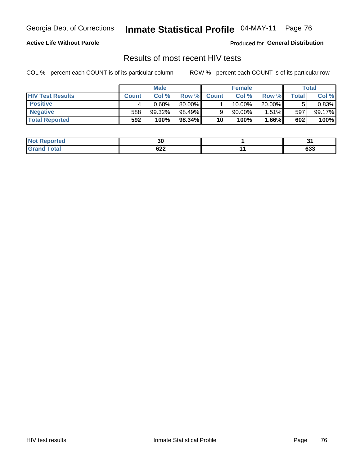Georgia Dept of Corrections

#### Inmate Statistical Profile 04-MAY-11 Page 76

### **Active Life Without Parole**

Produced for General Distribution

# Results of most recent HIV tests

COL % - percent each COUNT is of its particular column

|                         | <b>Male</b>  |        | <b>Female</b> |              |           | Total    |               |        |
|-------------------------|--------------|--------|---------------|--------------|-----------|----------|---------------|--------|
| <b>HIV Test Results</b> | <b>Count</b> | Col%   | Row %I        | <b>Count</b> | Col %     | Row %    | $\tau$ otal i | Col %  |
| <b>Positive</b>         |              | 0.68%  | 80.00%        |              | 10.00%    | 20.00%   |               | 0.83%  |
| <b>Negative</b>         | 588          | 99.32% | 98.49%        |              | $90.00\%$ | $1.51\%$ | 597           | 99.17% |
| <b>Total Reported</b>   | 592          | 100%   | 98.34%        | 10           | 100%      | $1.66\%$ | 602           | 100%   |

| Not <b>N</b><br><b>Reported</b> | 30  | т.<br>. . |
|---------------------------------|-----|-----------|
| 'otal                           | coo | $\sim$    |
| $.$ Cro $.$                     | 92Z | ხაა       |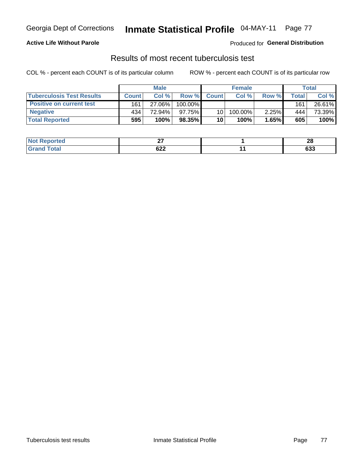### **Active Life Without Parole**

**Produced for General Distribution** 

## Results of most recent tuberculosis test

COL % - percent each COUNT is of its particular column

|                                  | <b>Male</b>  |        | <b>Female</b> |                 |         | Total    |       |        |
|----------------------------------|--------------|--------|---------------|-----------------|---------|----------|-------|--------|
| <b>Tuberculosis Test Results</b> | <b>Count</b> | Col%   | Row %         | <b>Count</b>    | Col %   | Row %    | Total | Col %  |
| <b>Positive on current test</b>  | 161          | 27.06% | 100.00%       |                 |         |          | 161   | 26.61% |
| <b>Negative</b>                  | 434          | 72.94% | $97.75\%$     | 10 <sup>1</sup> | 100.00% | $2.25\%$ | 444   | 73.39% |
| <b>Total Reported</b>            | 595          | 100%   | 98.35%        | 10              | 100%    | 1.65%    | 605   | 100%   |

| <b>Not Reported</b> | ~-                                               | ഹ<br>ZO       |
|---------------------|--------------------------------------------------|---------------|
| <b>Total</b>        | 622<br>$\sim$ $\sim$ $\sim$ $\sim$ $\sim$ $\sim$ | $\sim$<br>ხაა |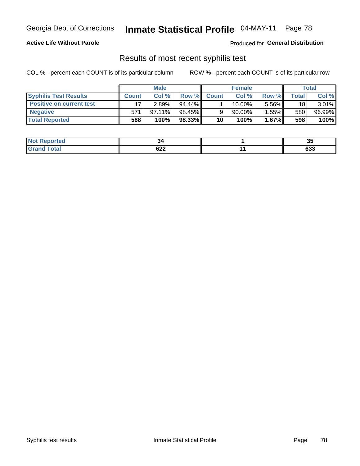### **Active Life Without Parole**

Produced for General Distribution

## Results of most recent syphilis test

COL % - percent each COUNT is of its particular column

|                                 | <b>Male</b>  |        | <b>Female</b> |              |        | Total |       |        |
|---------------------------------|--------------|--------|---------------|--------------|--------|-------|-------|--------|
| <b>Syphilis Test Results</b>    | <b>Count</b> | Col %  | Row %         | <b>Count</b> | Col %  | Row % | Total | Col %  |
| <b>Positive on current test</b> |              | 2.89%  | $94.44\%$     |              | 10.00% | 5.56% | 18    | 3.01%  |
| <b>Negative</b>                 | 571          | 97.11% | 98.45%        |              | 90.00% | 1.55% | 580   | 96.99% |
| <b>Total Reported</b>           | 588          | 100%   | 98.33%        | 10           | 100%   | 1.67% | 598   | 100%   |

| <b>Not Reported</b> | ⊶ت         | יי<br>u       |
|---------------------|------------|---------------|
| Total               | coo<br>92Z | $\sim$<br>დაა |